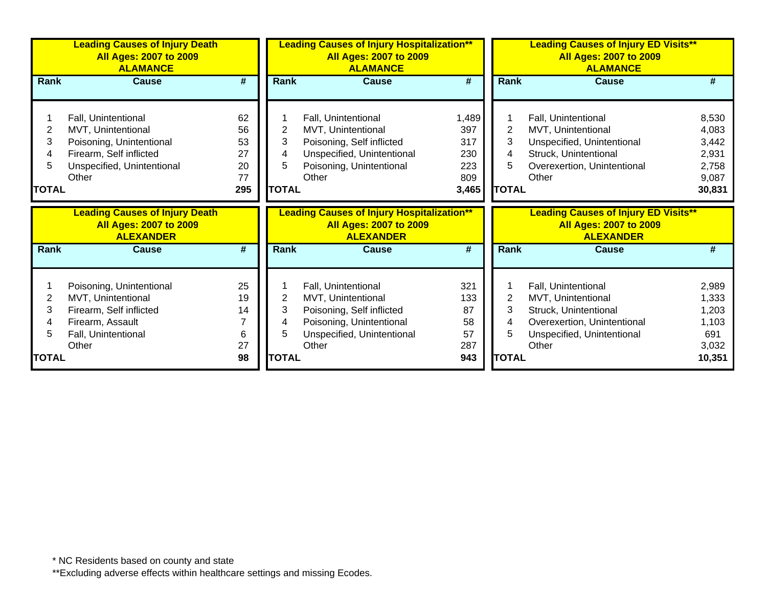|              | <b>Leading Causes of Injury Death</b><br><b>All Ages: 2007 to 2009</b><br><b>ALAMANCE</b>  |                             |              | <b>Leading Causes of Injury Hospitalization**</b><br><b>All Ages: 2007 to 2009</b><br><b>ALAMANCE</b>  |            |                | <b>Leading Causes of Injury ED Visits**</b><br><b>All Ages: 2007 to 2009</b><br><b>ALAMANCE</b>  |                 |  |  |
|--------------|--------------------------------------------------------------------------------------------|-----------------------------|--------------|--------------------------------------------------------------------------------------------------------|------------|----------------|--------------------------------------------------------------------------------------------------|-----------------|--|--|
| Rank         | <b>Cause</b>                                                                               | #                           | Rank         | <b>Cause</b>                                                                                           | #          | Rank           | <b>Cause</b>                                                                                     | #               |  |  |
|              |                                                                                            |                             |              |                                                                                                        |            |                |                                                                                                  |                 |  |  |
|              | Fall, Unintentional                                                                        | 62                          |              | Fall, Unintentional                                                                                    | 1,489      |                | Fall, Unintentional                                                                              | 8,530           |  |  |
| 2            | MVT, Unintentional                                                                         | 56                          | 2            | MVT, Unintentional                                                                                     | 397        | 2              | MVT, Unintentional                                                                               | 4,083           |  |  |
| 3            | Poisoning, Unintentional                                                                   | 53                          | 3            | Poisoning, Self inflicted                                                                              | 317        | 3              | Unspecified, Unintentional                                                                       | 3,442           |  |  |
|              | Firearm, Self inflicted                                                                    | 27                          | 4            | Unspecified, Unintentional                                                                             | 230        | 4              | Struck, Unintentional                                                                            | 2,931           |  |  |
| 5            | Unspecified, Unintentional                                                                 | 20                          | 5            | Poisoning, Unintentional                                                                               | 223        | 5              | Overexertion, Unintentional                                                                      | 2,758           |  |  |
|              | Other                                                                                      | 77                          |              | Other                                                                                                  | 809        |                | Other                                                                                            | 9,087           |  |  |
| <b>TOTAL</b> |                                                                                            | 295                         | <b>TOTAL</b> |                                                                                                        | 3,465      | <b>TOTAL</b>   |                                                                                                  | 30,831          |  |  |
|              |                                                                                            |                             |              |                                                                                                        |            |                |                                                                                                  |                 |  |  |
|              | <b>Leading Causes of Injury Death</b><br><b>All Ages: 2007 to 2009</b><br><b>ALEXANDER</b> |                             |              | <b>Leading Causes of Injury Hospitalization**</b><br><b>All Ages: 2007 to 2009</b><br><b>ALEXANDER</b> |            |                | <b>Leading Causes of Injury ED Visits**</b><br><b>All Ages: 2007 to 2009</b><br><b>ALEXANDER</b> |                 |  |  |
| <b>Rank</b>  | <b>Cause</b>                                                                               | $\overline{\boldsymbol{r}}$ | <b>Rank</b>  | <b>Cause</b>                                                                                           | #          | <b>Rank</b>    | <b>Cause</b>                                                                                     | #               |  |  |
|              |                                                                                            |                             |              |                                                                                                        |            |                |                                                                                                  |                 |  |  |
|              | Poisoning, Unintentional                                                                   | 25                          |              |                                                                                                        | 321        |                |                                                                                                  | 2,989           |  |  |
| 2            | MVT, Unintentional                                                                         | 19                          | 2            | Fall, Unintentional<br>MVT, Unintentional                                                              | 133        | $\overline{2}$ | Fall, Unintentional<br>MVT, Unintentional                                                        | 1,333           |  |  |
| 3            | Firearm, Self inflicted                                                                    | 14                          | 3            | Poisoning, Self inflicted                                                                              | 87         | 3              | Struck, Unintentional                                                                            | 1,203           |  |  |
|              | Firearm, Assault                                                                           |                             | 4            | Poisoning, Unintentional                                                                               | 58         | 4              | Overexertion, Unintentional                                                                      | 1,103           |  |  |
|              | Fall, Unintentional                                                                        | 6                           | 5            | Unspecified, Unintentional                                                                             | 57         | 5              | Unspecified, Unintentional                                                                       | 691             |  |  |
| <b>TOTAL</b> | Other                                                                                      | 27<br>98                    | <b>TOTAL</b> | Other                                                                                                  | 287<br>943 | <b>TOTAL</b>   | Other                                                                                            | 3,032<br>10,351 |  |  |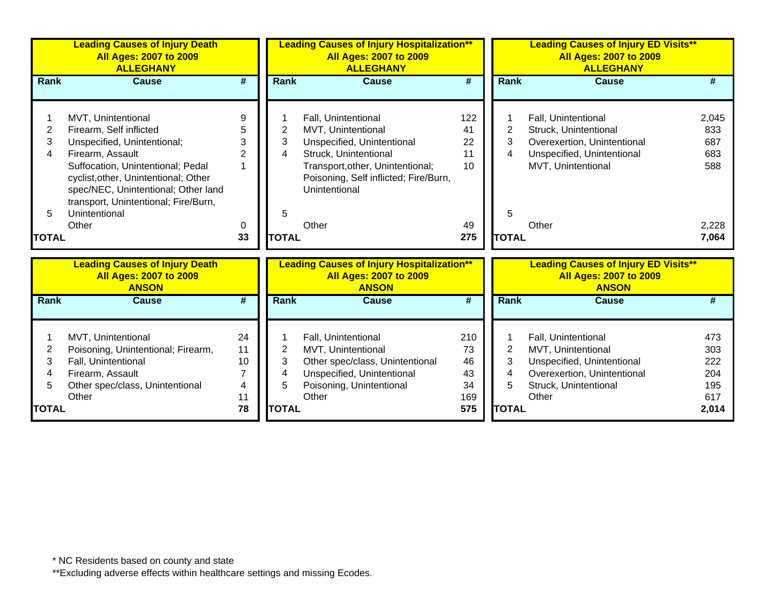|              | <b>Leading Causes of Injury Death</b><br><b>All Ages: 2007 to 2009</b><br><b>ALLEGHANY</b>                                                               |                             | <b>Leading Causes of Injury Hospitalization**</b><br><b>All Ages: 2007 to 2009</b><br><b>ALLEGHANY</b> |                                                                                                    |                             | <b>Leading Causes of Injury ED Visits**</b><br><b>All Ages: 2007 to 2009</b><br><b>ALLEGHANY</b> |                                                                                              |       |
|--------------|----------------------------------------------------------------------------------------------------------------------------------------------------------|-----------------------------|--------------------------------------------------------------------------------------------------------|----------------------------------------------------------------------------------------------------|-----------------------------|--------------------------------------------------------------------------------------------------|----------------------------------------------------------------------------------------------|-------|
| <b>Rank</b>  | <b>Cause</b>                                                                                                                                             | $\overline{\boldsymbol{H}}$ | Rank                                                                                                   | <b>Cause</b>                                                                                       | $\overline{\boldsymbol{t}}$ | <b>Rank</b>                                                                                      | <b>Cause</b>                                                                                 | #     |
|              |                                                                                                                                                          |                             |                                                                                                        |                                                                                                    |                             |                                                                                                  |                                                                                              |       |
|              | MVT, Unintentional                                                                                                                                       | 9                           |                                                                                                        | Fall, Unintentional                                                                                | 122                         |                                                                                                  | Fall, Unintentional                                                                          | 2,045 |
| 2            | Firearm, Self inflicted                                                                                                                                  | 5                           | 2                                                                                                      | MVT, Unintentional                                                                                 | 41                          | 2                                                                                                | Struck, Unintentional                                                                        | 833   |
| 3            | Unspecified, Unintentional;                                                                                                                              | 3                           | 3                                                                                                      | Unspecified, Unintentional                                                                         | 22                          | 3                                                                                                | Overexertion, Unintentional                                                                  | 687   |
| 4            | Firearm, Assault                                                                                                                                         | $\overline{2}$              | 4                                                                                                      | Struck, Unintentional                                                                              | 11                          | 4                                                                                                | Unspecified, Unintentional                                                                   | 683   |
|              | Suffocation, Unintentional; Pedal<br>cyclist, other, Unintentional; Other<br>spec/NEC, Unintentional; Other land<br>transport, Unintentional; Fire/Burn, |                             |                                                                                                        | Transport, other, Unintentional;<br>Poisoning, Self inflicted; Fire/Burn,<br>Unintentional         | 10                          |                                                                                                  | MVT, Unintentional                                                                           | 588   |
| 5            | Unintentional                                                                                                                                            |                             | 5                                                                                                      |                                                                                                    |                             | 5                                                                                                |                                                                                              |       |
|              | Other                                                                                                                                                    | 0                           |                                                                                                        | Other                                                                                              | 49                          |                                                                                                  | Other                                                                                        | 2,228 |
| <b>TOTAL</b> |                                                                                                                                                          | 33                          | <b>TOTAL</b>                                                                                           |                                                                                                    | 275                         | <b>TOTAL</b>                                                                                     |                                                                                              | 7,064 |
|              |                                                                                                                                                          |                             |                                                                                                        |                                                                                                    |                             |                                                                                                  |                                                                                              |       |
|              | <b>Leading Causes of Injury Death</b><br><b>All Ages: 2007 to 2009</b><br><b>ANSON</b>                                                                   |                             |                                                                                                        | <b>Leading Causes of Injury Hospitalization**</b><br><b>All Ages: 2007 to 2009</b><br><b>ANSON</b> |                             |                                                                                                  | <b>Leading Causes of Injury ED Visits**</b><br><b>All Ages: 2007 to 2009</b><br><b>ANSON</b> |       |
| <b>Rank</b>  | <b>Cause</b>                                                                                                                                             | $\overline{\boldsymbol{H}}$ | <b>Rank</b>                                                                                            | <b>Cause</b>                                                                                       | $\overline{\boldsymbol{t}}$ | Rank                                                                                             | <b>Cause</b>                                                                                 | #     |
|              | MVT, Unintentional                                                                                                                                       | 24                          |                                                                                                        | Fall, Unintentional                                                                                | 210                         |                                                                                                  | Fall, Unintentional                                                                          | 473   |
| 2            | Poisoning, Unintentional; Firearm,                                                                                                                       | 11                          | 2                                                                                                      | MVT, Unintentional                                                                                 | 73                          | $\overline{2}$                                                                                   | MVT, Unintentional                                                                           | 303   |
| 3            | Fall, Unintentional                                                                                                                                      | 10                          | 3                                                                                                      | Other spec/class, Unintentional                                                                    | 46                          | 3                                                                                                | Unspecified, Unintentional                                                                   | 222   |
| 4            | Firearm, Assault                                                                                                                                         | $\overline{7}$              | 4                                                                                                      | Unspecified, Unintentional                                                                         | 43                          | 4                                                                                                | Overexertion, Unintentional                                                                  | 204   |
| 5            | Other spec/class, Unintentional                                                                                                                          | 4                           | 5                                                                                                      | Poisoning, Unintentional                                                                           | 34                          | 5                                                                                                | Struck, Unintentional                                                                        | 195   |
|              | Other                                                                                                                                                    | 11                          |                                                                                                        | Other                                                                                              | 169                         |                                                                                                  | Other                                                                                        | 617   |
| <b>TOTAL</b> |                                                                                                                                                          | 78                          | <b>TOTAL</b>                                                                                           |                                                                                                    | 575                         | <b>TOTAL</b>                                                                                     |                                                                                              | 2,014 |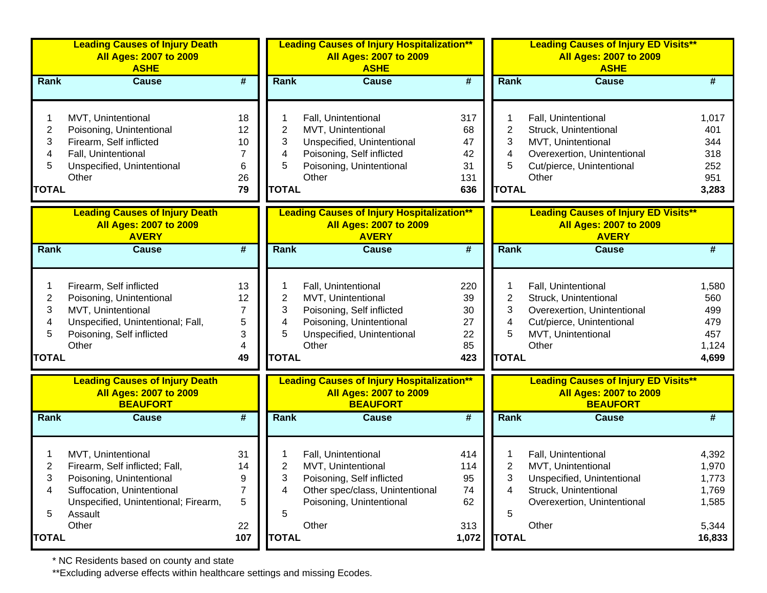|                                               | <b>Leading Causes of Injury Death</b><br><b>All Ages: 2007 to 2009</b><br><b>ASHE</b>                                                                             |                                      |                                  | <b>Leading Causes of Injury Hospitalization**</b><br><b>All Ages: 2007 to 2009</b><br><b>ASHE</b>                                         |                                           |                                  | <b>Leading Causes of Injury ED Visits**</b><br><b>All Ages: 2007 to 2009</b><br><b>ASHE</b>                                             |                                                     |
|-----------------------------------------------|-------------------------------------------------------------------------------------------------------------------------------------------------------------------|--------------------------------------|----------------------------------|-------------------------------------------------------------------------------------------------------------------------------------------|-------------------------------------------|----------------------------------|-----------------------------------------------------------------------------------------------------------------------------------------|-----------------------------------------------------|
| <b>Rank</b>                                   | <b>Cause</b>                                                                                                                                                      | $\overline{\boldsymbol{t}}$          | <b>Rank</b>                      | <b>Cause</b>                                                                                                                              | $\overline{\boldsymbol{t}}$               | <b>Rank</b>                      | <b>Cause</b>                                                                                                                            | #                                                   |
| $\overline{c}$<br>3<br>4<br>5<br><b>TOTAL</b> | MVT, Unintentional<br>Poisoning, Unintentional<br>Firearm, Self inflicted<br>Fall, Unintentional<br>Unspecified, Unintentional<br>Other                           | 18<br>12<br>10<br>7<br>6<br>26<br>79 | 2<br>3<br>4<br>5<br><b>TOTAL</b> | Fall, Unintentional<br>MVT, Unintentional<br>Unspecified, Unintentional<br>Poisoning, Self inflicted<br>Poisoning, Unintentional<br>Other | 317<br>68<br>47<br>42<br>31<br>131<br>636 | 2<br>3<br>4<br>5<br><b>TOTAL</b> | Fall, Unintentional<br>Struck, Unintentional<br>MVT, Unintentional<br>Overexertion, Unintentional<br>Cut/pierce, Unintentional<br>Other | 1,017<br>401<br>344<br>318<br>252<br>951<br>3,283   |
|                                               | <b>Leading Causes of Injury Death</b><br><b>All Ages: 2007 to 2009</b><br><b>AVERY</b>                                                                            |                                      |                                  | <b>Leading Causes of Injury Hospitalization**</b><br><b>All Ages: 2007 to 2009</b><br><b>AVERY</b>                                        |                                           |                                  | <b>Leading Causes of Injury ED Visits**</b><br><b>All Ages: 2007 to 2009</b><br><b>AVERY</b>                                            |                                                     |
| Rank                                          | <b>Cause</b>                                                                                                                                                      | $\overline{\boldsymbol{t}}$          | Rank                             | <b>Cause</b>                                                                                                                              | $\overline{\boldsymbol{t}}$               | <b>Rank</b>                      | <b>Cause</b>                                                                                                                            | #                                                   |
| 2<br>3<br>4<br>5<br><b>TOTAL</b>              | Firearm, Self inflicted<br>Poisoning, Unintentional<br>MVT, Unintentional<br>Unspecified, Unintentional; Fall,<br>Poisoning, Self inflicted<br>Other              | 13<br>12<br>7<br>5<br>3<br>4<br>49   | 2<br>3<br>4<br>5<br><b>TOTAL</b> | Fall, Unintentional<br>MVT, Unintentional<br>Poisoning, Self inflicted<br>Poisoning, Unintentional<br>Unspecified, Unintentional<br>Other | 220<br>39<br>30<br>27<br>22<br>85<br>423  | 2<br>3<br>4<br>5<br><b>TOTAL</b> | Fall, Unintentional<br>Struck, Unintentional<br>Overexertion, Unintentional<br>Cut/pierce, Unintentional<br>MVT, Unintentional<br>Other | 1,580<br>560<br>499<br>479<br>457<br>1,124<br>4,699 |
|                                               | <b>Leading Causes of Injury Death</b><br><b>All Ages: 2007 to 2009</b><br><b>BEAUFORT</b>                                                                         |                                      |                                  | <b>Leading Causes of Injury Hospitalization**</b><br><b>All Ages: 2007 to 2009</b><br><b>BEAUFORT</b>                                     |                                           |                                  | <b>Leading Causes of Injury ED Visits**</b><br><b>All Ages: 2007 to 2009</b><br><b>BEAUFORT</b>                                         |                                                     |
| <b>Rank</b>                                   | <b>Cause</b>                                                                                                                                                      | $\overline{\boldsymbol{t}}$          | <b>Rank</b>                      | <b>Cause</b>                                                                                                                              | $\overline{\boldsymbol{t}}$               | Rank                             | <b>Cause</b>                                                                                                                            | #                                                   |
| 2<br>3<br>4<br>5                              | MVT, Unintentional<br>Firearm, Self inflicted; Fall,<br>Poisoning, Unintentional<br>Suffocation, Unintentional<br>Unspecified, Unintentional; Firearm,<br>Assault | 31<br>14<br>9<br>$\overline{7}$<br>5 | 2<br>3<br>4<br>5                 | Fall, Unintentional<br>MVT, Unintentional<br>Poisoning, Self inflicted<br>Other spec/class, Unintentional<br>Poisoning, Unintentional     | 414<br>114<br>95<br>74<br>62              | 2<br>3<br>4<br>5                 | Fall, Unintentional<br>MVT, Unintentional<br>Unspecified, Unintentional<br>Struck, Unintentional<br>Overexertion, Unintentional         | 4,392<br>1,970<br>1,773<br>1,769<br>1,585           |
| TOTAL                                         | Other                                                                                                                                                             | 22<br>107                            | <b>TOTAL</b>                     | Other                                                                                                                                     | 313<br>1,072                              | <b>TOTAL</b>                     | Other                                                                                                                                   | 5,344<br>16,833                                     |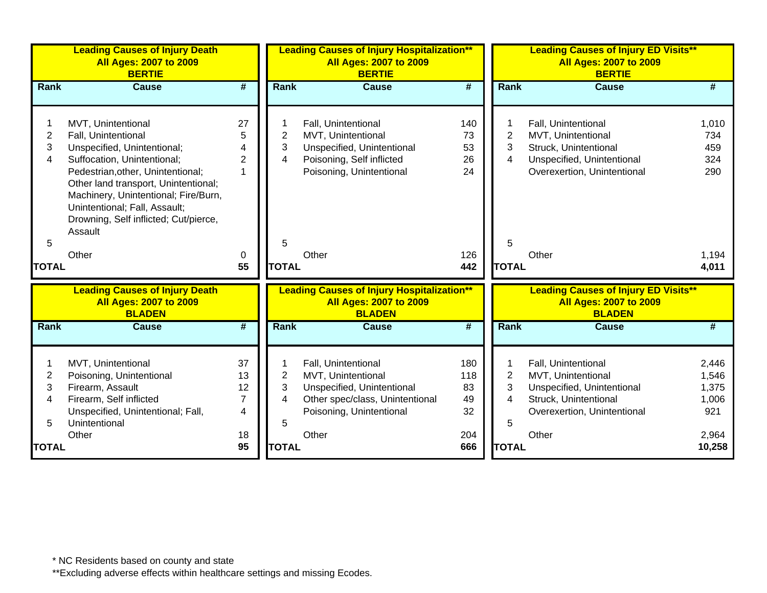| <b>Leading Causes of Injury Death</b><br><b>All Ages: 2007 to 2009</b><br><b>BERTIE</b>                                                                                                                                                                                                                                    |                                             | <b>All Ages: 2007 to 2009</b><br><b>BERTIE</b> |                                                                                                                                                 |                                           |                                                                                                               | <b>All Ages: 2007 to 2009</b><br><b>BERTIE</b>                                                                                           |                                                                                                                                                   |
|----------------------------------------------------------------------------------------------------------------------------------------------------------------------------------------------------------------------------------------------------------------------------------------------------------------------------|---------------------------------------------|------------------------------------------------|-------------------------------------------------------------------------------------------------------------------------------------------------|-------------------------------------------|---------------------------------------------------------------------------------------------------------------|------------------------------------------------------------------------------------------------------------------------------------------|---------------------------------------------------------------------------------------------------------------------------------------------------|
| <b>Cause</b>                                                                                                                                                                                                                                                                                                               | #                                           | Rank                                           | <b>Cause</b>                                                                                                                                    | #                                         |                                                                                                               | <b>Cause</b>                                                                                                                             | #                                                                                                                                                 |
| MVT, Unintentional<br>Fall, Unintentional<br>Unspecified, Unintentional;<br>Suffocation, Unintentional;<br>Pedestrian, other, Unintentional;<br>Other land transport, Unintentional;<br>Machinery, Unintentional; Fire/Burn,<br>Unintentional; Fall, Assault;<br>Drowning, Self inflicted; Cut/pierce,<br>Assault<br>Other | 27<br>5<br>$\overline{2}$<br>1<br>0<br>55   | $\overline{2}$<br>3<br>4<br>5                  | Fall, Unintentional<br>MVT, Unintentional<br>Unspecified, Unintentional<br>Poisoning, Self inflicted<br>Poisoning, Unintentional<br>Other       | 140<br>73<br>53<br>26<br>24<br>126<br>442 | $\overline{c}$<br>3<br>4<br>5                                                                                 | Fall, Unintentional<br>MVT, Unintentional<br>Struck, Unintentional<br>Unspecified, Unintentional<br>Overexertion, Unintentional<br>Other | 1,010<br>734<br>459<br>324<br>290<br>1,194<br>4,011                                                                                               |
| <b>Leading Causes of Injury Death</b><br><b>All Ages: 2007 to 2009</b><br><b>BLADEN</b>                                                                                                                                                                                                                                    |                                             |                                                | <b>All Ages: 2007 to 2009</b><br><b>BLADEN</b>                                                                                                  |                                           |                                                                                                               | <b>All Ages: 2007 to 2009</b><br><b>BLADEN</b>                                                                                           |                                                                                                                                                   |
| <b>Cause</b>                                                                                                                                                                                                                                                                                                               | $\overline{\boldsymbol{t}}$                 | Rank                                           | <b>Cause</b>                                                                                                                                    | $\overline{\boldsymbol{t}}$               |                                                                                                               | <b>Cause</b>                                                                                                                             | #                                                                                                                                                 |
| MVT, Unintentional<br>Poisoning, Unintentional<br>Firearm, Assault<br>Firearm, Self inflicted<br>Unspecified, Unintentional; Fall,<br>Unintentional<br>Other                                                                                                                                                               | 37<br>13<br>12<br>$\overline{7}$<br>4<br>18 | $\mathbf{2}$<br>3<br>4<br>5                    | Fall, Unintentional<br>MVT, Unintentional<br>Unspecified, Unintentional<br>Other spec/class, Unintentional<br>Poisoning, Unintentional<br>Other | 180<br>118<br>83<br>49<br>32<br>204       | 2<br>3<br>4<br>5                                                                                              | Fall, Unintentional<br>MVT, Unintentional<br>Unspecified, Unintentional<br>Struck, Unintentional<br>Overexertion, Unintentional<br>Other | 2,446<br>1,546<br>1,375<br>1,006<br>921<br>2,964<br>10,258                                                                                        |
| Rank                                                                                                                                                                                                                                                                                                                       | <b>TOTAL</b><br><b>TOTAL</b>                | 95                                             |                                                                                                                                                 | <b>TOTAL</b><br><b>TOTAL</b>              | <b>Leading Causes of Injury Hospitalization**</b><br><b>Leading Causes of Injury Hospitalization**</b><br>666 |                                                                                                                                          | <b>Leading Causes of Injury ED Visits**</b><br>Rank<br><b>TOTAL</b><br><b>Leading Causes of Injury ED Visits**</b><br><b>Rank</b><br><b>TOTAL</b> |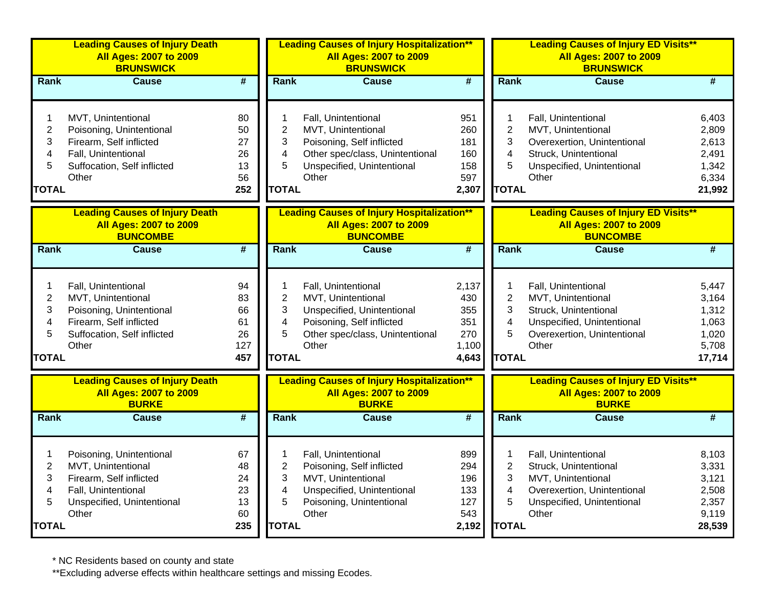|                                                    | <b>Leading Causes of Injury Death</b><br><b>All Ages: 2007 to 2009</b><br><b>BRUNSWICK</b>                                               |                                          |                                                                          | <b>Leading Causes of Injury Hospitalization**</b><br><b>All Ages: 2007 to 2009</b><br><b>BRUNSWICK</b>                                           |                                                     |                                                                          | <b>Leading Causes of Injury ED Visits**</b><br><b>All Ages: 2007 to 2009</b><br><b>BRUNSWICK</b>                                         |                                                              |  |
|----------------------------------------------------|------------------------------------------------------------------------------------------------------------------------------------------|------------------------------------------|--------------------------------------------------------------------------|--------------------------------------------------------------------------------------------------------------------------------------------------|-----------------------------------------------------|--------------------------------------------------------------------------|------------------------------------------------------------------------------------------------------------------------------------------|--------------------------------------------------------------|--|
| Rank                                               | <b>Cause</b>                                                                                                                             | #                                        | <b>Rank</b>                                                              | <b>Cause</b>                                                                                                                                     | #                                                   | Rank                                                                     | <b>Cause</b>                                                                                                                             | #                                                            |  |
| 1<br>$\overline{2}$<br>3<br>4<br>5<br><b>TOTAL</b> | MVT, Unintentional<br>Poisoning, Unintentional<br>Firearm, Self inflicted<br>Fall, Unintentional<br>Suffocation, Self inflicted<br>Other | 80<br>50<br>27<br>26<br>13<br>56<br>252  | 1<br>$\overline{2}$<br>3<br>4<br>5<br><b>TOTAL</b>                       | Fall, Unintentional<br>MVT, Unintentional<br>Poisoning, Self inflicted<br>Other spec/class, Unintentional<br>Unspecified, Unintentional<br>Other | 951<br>260<br>181<br>160<br>158<br>597<br>2,307     | 1<br>$\mathbf 2$<br>3<br>4<br>5<br><b>TOTAL</b>                          | Fall, Unintentional<br>MVT, Unintentional<br>Overexertion, Unintentional<br>Struck, Unintentional<br>Unspecified, Unintentional<br>Other | 6,403<br>2,809<br>2,613<br>2,491<br>1,342<br>6,334<br>21,992 |  |
|                                                    | <b>Leading Causes of Injury Death</b><br><b>All Ages: 2007 to 2009</b><br><b>BUNCOMBE</b>                                                |                                          |                                                                          | <b>Leading Causes of Injury Hospitalization**</b><br><b>All Ages: 2007 to 2009</b><br><b>BUNCOMBE</b>                                            |                                                     |                                                                          | <b>Leading Causes of Injury ED Visits**</b><br><b>All Ages: 2007 to 2009</b><br><b>BUNCOMBE</b>                                          |                                                              |  |
| Rank                                               | <b>Cause</b>                                                                                                                             | $\overline{\#}$                          | Rank                                                                     | <b>Cause</b>                                                                                                                                     | #                                                   | Rank                                                                     | <b>Cause</b>                                                                                                                             | #                                                            |  |
| 1<br>$\overline{2}$<br>3<br>4<br>5<br><b>TOTAL</b> | Fall, Unintentional<br>MVT, Unintentional<br>Poisoning, Unintentional<br>Firearm, Self inflicted<br>Suffocation, Self inflicted<br>Other | 94<br>83<br>66<br>61<br>26<br>127<br>457 | 1<br>$\overline{2}$<br>3<br>4<br>5<br><b>TOTAL</b>                       | Fall, Unintentional<br>MVT, Unintentional<br>Unspecified, Unintentional<br>Poisoning, Self inflicted<br>Other spec/class, Unintentional<br>Other | 2,137<br>430<br>355<br>351<br>270<br>1,100<br>4,643 | 1<br>$\overline{2}$<br>3<br>$\overline{\mathbf{4}}$<br>5<br><b>TOTAL</b> | Fall, Unintentional<br>MVT, Unintentional<br>Struck, Unintentional<br>Unspecified, Unintentional<br>Overexertion, Unintentional<br>Other | 5,447<br>3,164<br>1,312<br>1,063<br>1,020<br>5,708<br>17,714 |  |
|                                                    | <b>Leading Causes of Injury Death</b><br><b>All Ages: 2007 to 2009</b><br><b>BURKE</b>                                                   |                                          |                                                                          | <b>Leading Causes of Injury Hospitalization**</b><br><b>All Ages: 2007 to 2009</b><br><b>BURKE</b>                                               |                                                     |                                                                          | <b>Leading Causes of Injury ED Visits**</b><br><b>All Ages: 2007 to 2009</b><br><b>BURKE</b>                                             |                                                              |  |
| Rank                                               | <b>Cause</b>                                                                                                                             | $\overline{\boldsymbol{r}}$              | Rank                                                                     | <b>Cause</b>                                                                                                                                     | #                                                   | Rank                                                                     | <b>Cause</b>                                                                                                                             | #                                                            |  |
| 1<br>$\overline{2}$<br>3<br>4<br>5<br><b>TOTAL</b> | Poisoning, Unintentional<br>MVT, Unintentional<br>Firearm, Self inflicted<br>Fall, Unintentional<br>Unspecified, Unintentional<br>Other  | 67<br>48<br>24<br>23<br>13<br>60<br>235  | 1<br>$\overline{2}$<br>3<br>$\overline{\mathbf{4}}$<br>5<br><b>TOTAL</b> | Fall, Unintentional<br>Poisoning, Self inflicted<br>MVT, Unintentional<br>Unspecified, Unintentional<br>Poisoning, Unintentional<br>Other        | 899<br>294<br>196<br>133<br>127<br>543<br>2,192     | 1<br>$\overline{2}$<br>3<br>$\overline{\mathbf{4}}$<br>5<br><b>TOTAL</b> | Fall, Unintentional<br>Struck, Unintentional<br>MVT, Unintentional<br>Overexertion, Unintentional<br>Unspecified, Unintentional<br>Other | 8,103<br>3,331<br>3,121<br>2,508<br>2,357<br>9,119<br>28,539 |  |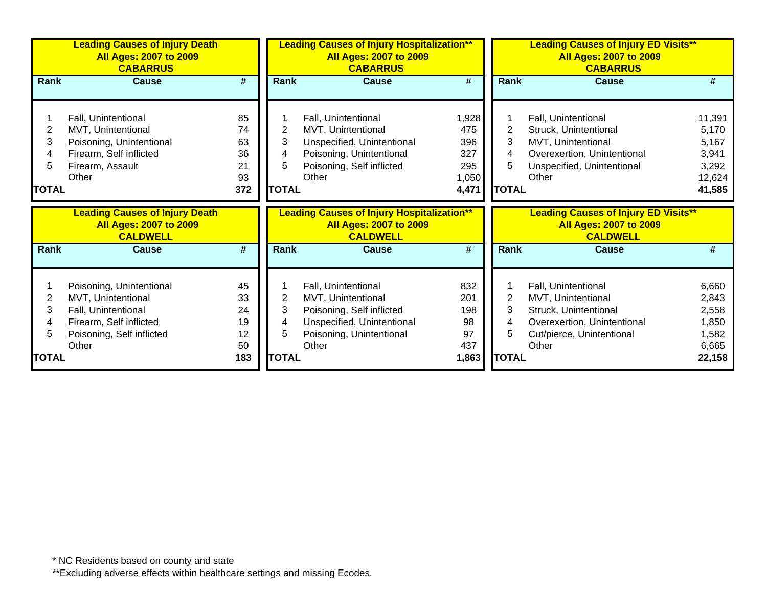|                                  | <b>Leading Causes of Injury Death</b><br><b>All Ages: 2007 to 2009</b><br><b>CABARRUS</b>                                     |                                         |                                  | <b>Leading Causes of Injury Hospitalization**</b><br><b>All Ages: 2007 to 2009</b><br><b>CABARRUS</b>                                     | <b>Leading Causes of Injury ED Visits**</b><br><b>All Ages: 2007 to 2009</b><br><b>CABARRUS</b> |                              |                                                                                                                                          |                                                                |
|----------------------------------|-------------------------------------------------------------------------------------------------------------------------------|-----------------------------------------|----------------------------------|-------------------------------------------------------------------------------------------------------------------------------------------|-------------------------------------------------------------------------------------------------|------------------------------|------------------------------------------------------------------------------------------------------------------------------------------|----------------------------------------------------------------|
| Rank                             | <b>Cause</b>                                                                                                                  | #                                       | Rank                             | <b>Cause</b>                                                                                                                              | #                                                                                               | <b>Rank</b>                  | <b>Cause</b>                                                                                                                             | #                                                              |
| 2<br>3<br>4<br>5<br><b>TOTAL</b> | Fall, Unintentional<br>MVT, Unintentional<br>Poisoning, Unintentional<br>Firearm, Self inflicted<br>Firearm, Assault<br>Other | 85<br>74<br>63<br>36<br>21<br>93<br>372 | 2<br>3<br>4<br>5<br><b>TOTAL</b> | Fall, Unintentional<br>MVT, Unintentional<br>Unspecified, Unintentional<br>Poisoning, Unintentional<br>Poisoning, Self inflicted<br>Other | 1,928<br>475<br>396<br>327<br>295<br>1,050<br>4,471                                             | 2<br>3<br>5.<br><b>TOTAL</b> | Fall, Unintentional<br>Struck, Unintentional<br>MVT, Unintentional<br>Overexertion, Unintentional<br>Unspecified, Unintentional<br>Other | 11,391<br>5,170<br>5,167<br>3,941<br>3,292<br>12,624<br>41,585 |
|                                  |                                                                                                                               |                                         |                                  |                                                                                                                                           |                                                                                                 |                              |                                                                                                                                          |                                                                |
|                                  | <b>Leading Causes of Injury Death</b><br><b>All Ages: 2007 to 2009</b><br><b>CALDWELL</b>                                     |                                         |                                  | <b>Leading Causes of Injury Hospitalization**</b><br><b>All Ages: 2007 to 2009</b><br><b>CALDWELL</b>                                     |                                                                                                 |                              | <b>Leading Causes of Injury ED Visits**</b><br><b>All Ages: 2007 to 2009</b><br><b>CALDWELL</b>                                          |                                                                |
| <b>Rank</b>                      | <b>Cause</b>                                                                                                                  | $\overline{\boldsymbol{t}}$             | Rank                             | <b>Cause</b>                                                                                                                              | $\overline{\boldsymbol{t}}$                                                                     | Rank                         | <b>Cause</b>                                                                                                                             | #                                                              |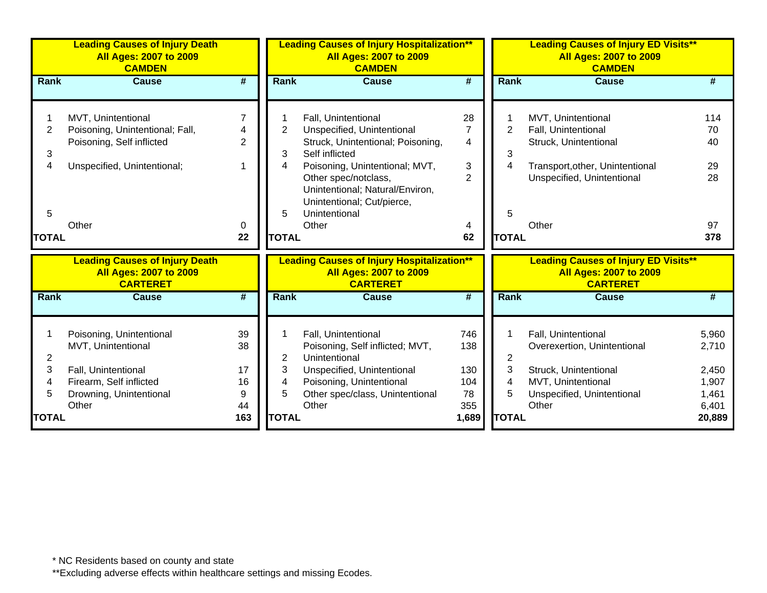|                | <b>Leading Causes of Injury Death</b><br><b>All Ages: 2007 to 2009</b><br><b>CAMDEN</b> |                             | <b>Leading Causes of Injury Hospitalization**</b><br><b>All Ages: 2007 to 2009</b><br><b>CAMDEN</b><br>$\overline{\boldsymbol{t}}$<br>Rank<br><b>Cause</b> |                                                   |                             | <b>Leading Causes of Injury ED Visits**</b><br><b>All Ages: 2007 to 2009</b><br><b>CAMDEN</b> |                                                  |        |  |
|----------------|-----------------------------------------------------------------------------------------|-----------------------------|------------------------------------------------------------------------------------------------------------------------------------------------------------|---------------------------------------------------|-----------------------------|-----------------------------------------------------------------------------------------------|--------------------------------------------------|--------|--|
| Rank           | <b>Cause</b>                                                                            | $\overline{\boldsymbol{t}}$ |                                                                                                                                                            |                                                   |                             | <b>Rank</b>                                                                                   | <b>Cause</b>                                     | #      |  |
|                | MVT, Unintentional                                                                      | 7                           |                                                                                                                                                            | Fall, Unintentional                               | 28                          |                                                                                               | MVT, Unintentional                               | 114    |  |
| $\overline{2}$ | Poisoning, Unintentional; Fall,                                                         | 4                           | $\overline{2}$                                                                                                                                             | Unspecified, Unintentional                        | $\overline{7}$              | $\overline{2}$                                                                                | Fall, Unintentional                              | 70     |  |
|                | Poisoning, Self inflicted                                                               | $\overline{2}$              |                                                                                                                                                            | Struck, Unintentional; Poisoning,                 | $\overline{4}$              |                                                                                               | Struck, Unintentional                            | 40     |  |
| 3              |                                                                                         |                             | 3                                                                                                                                                          | Self inflicted                                    |                             | 3                                                                                             |                                                  |        |  |
| 4              | Unspecified, Unintentional;                                                             |                             | 4                                                                                                                                                          | Poisoning, Unintentional; MVT,                    | 3                           | 4                                                                                             | Transport, other, Unintentional                  | 29     |  |
|                |                                                                                         |                             |                                                                                                                                                            | Other spec/notclass,                              | $\overline{2}$              |                                                                                               | Unspecified, Unintentional                       | 28     |  |
|                |                                                                                         |                             |                                                                                                                                                            | Unintentional; Natural/Environ,                   |                             |                                                                                               |                                                  |        |  |
|                |                                                                                         |                             |                                                                                                                                                            | Unintentional; Cut/pierce,                        |                             |                                                                                               |                                                  |        |  |
| 5              |                                                                                         |                             | 5                                                                                                                                                          | Unintentional                                     |                             | 5                                                                                             |                                                  |        |  |
|                | Other                                                                                   | 0                           |                                                                                                                                                            | Other                                             | 4                           |                                                                                               | Other                                            | 97     |  |
| <b>TOTAL</b>   |                                                                                         | 22                          | <b>TOTAL</b>                                                                                                                                               |                                                   | 62                          | <b>TOTAL</b>                                                                                  |                                                  | 378    |  |
|                | <b>Leading Causes of Injury Death</b>                                                   |                             |                                                                                                                                                            | <b>Leading Causes of Injury Hospitalization**</b> |                             |                                                                                               | <b>Leading Causes of Injury ED Visits**</b>      |        |  |
|                | <b>All Ages: 2007 to 2009</b><br><b>CARTERET</b>                                        |                             |                                                                                                                                                            | <b>All Ages: 2007 to 2009</b><br><b>CARTERET</b>  |                             |                                                                                               | <b>All Ages: 2007 to 2009</b><br><b>CARTERET</b> |        |  |
| Rank           | <b>Cause</b>                                                                            | $\overline{\boldsymbol{t}}$ | Rank                                                                                                                                                       | <b>Cause</b>                                      | $\overline{\boldsymbol{t}}$ | Rank                                                                                          | <b>Cause</b>                                     | #      |  |
|                |                                                                                         |                             |                                                                                                                                                            |                                                   |                             |                                                                                               |                                                  |        |  |
|                | Poisoning, Unintentional                                                                | 39                          |                                                                                                                                                            | Fall, Unintentional                               | 746                         |                                                                                               | Fall, Unintentional                              | 5,960  |  |
|                | MVT, Unintentional                                                                      | 38                          |                                                                                                                                                            | Poisoning, Self inflicted; MVT,                   | 138                         |                                                                                               | Overexertion, Unintentional                      | 2,710  |  |
| 2              |                                                                                         |                             | 2                                                                                                                                                          | Unintentional                                     |                             | 2                                                                                             |                                                  |        |  |
| 3              | Fall, Unintentional                                                                     | 17                          | 3                                                                                                                                                          | Unspecified, Unintentional                        | 130                         | 3                                                                                             | Struck, Unintentional                            | 2,450  |  |
| 4              | Firearm, Self inflicted                                                                 | 16                          | 4                                                                                                                                                          | Poisoning, Unintentional                          | 104                         | 4                                                                                             | MVT, Unintentional                               | 1,907  |  |
| 5              | Drowning, Unintentional                                                                 | 9                           | 5                                                                                                                                                          | Other spec/class, Unintentional                   | 78                          | 5                                                                                             | Unspecified, Unintentional                       | 1,461  |  |
|                | Other                                                                                   | 44                          |                                                                                                                                                            | Other                                             | 355                         |                                                                                               | Other                                            | 6,401  |  |
| <b>TOTAL</b>   |                                                                                         | 163                         | <b>TOTAL</b>                                                                                                                                               |                                                   | 1,689                       | <b>TOTAL</b>                                                                                  |                                                  | 20,889 |  |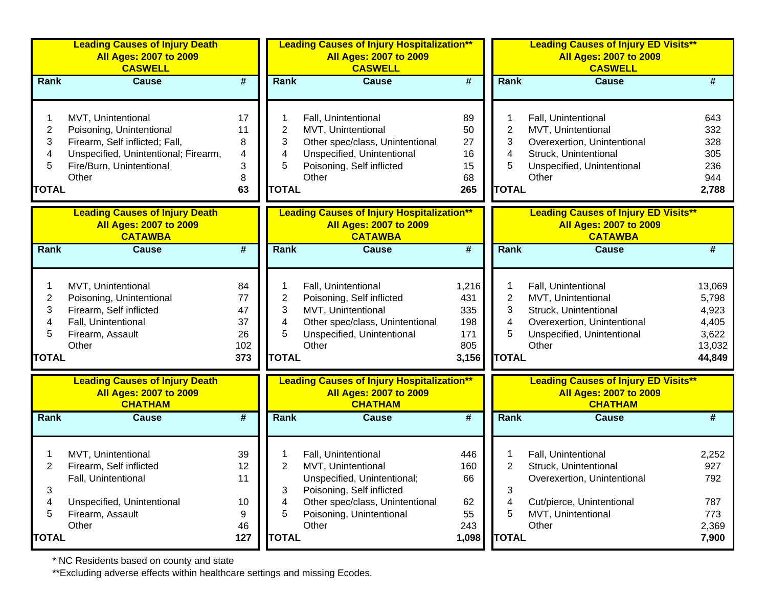|                                                        | <b>Leading Causes of Injury Death</b><br><b>All Ages: 2007 to 2009</b><br><b>CASWELL</b>                                                                      |                                          | <b>Leading Causes of Injury Hospitalization**</b><br><b>All Ages: 2007 to 2009</b><br><b>CASWELL</b> |                                                                                                                                                  |                                                   | <b>Leading Causes of Injury ED Visits**</b><br><b>All Ages: 2007 to 2009</b><br><b>CASWELL</b> |                                                                                                                                          |                                                                |  |
|--------------------------------------------------------|---------------------------------------------------------------------------------------------------------------------------------------------------------------|------------------------------------------|------------------------------------------------------------------------------------------------------|--------------------------------------------------------------------------------------------------------------------------------------------------|---------------------------------------------------|------------------------------------------------------------------------------------------------|------------------------------------------------------------------------------------------------------------------------------------------|----------------------------------------------------------------|--|
| <b>Rank</b>                                            | <b>Cause</b>                                                                                                                                                  | $\overline{\boldsymbol{H}}$              | <b>Rank</b>                                                                                          | <b>Cause</b>                                                                                                                                     | $\overline{\boldsymbol{t}}$                       | Rank                                                                                           | <b>Cause</b>                                                                                                                             | #                                                              |  |
| $\overline{\mathbf{c}}$<br>3<br>4<br>5<br><b>TOTAL</b> | MVT, Unintentional<br>Poisoning, Unintentional<br>Firearm, Self inflicted; Fall,<br>Unspecified, Unintentional; Firearm,<br>Fire/Burn, Unintentional<br>Other | 17<br>11<br>8<br>4<br>3<br>8<br>63       | 2<br>3<br>4<br>5<br><b>TOTAL</b>                                                                     | Fall, Unintentional<br>MVT, Unintentional<br>Other spec/class, Unintentional<br>Unspecified, Unintentional<br>Poisoning, Self inflicted<br>Other | 89<br>50<br>27<br>16<br>15<br>68<br>265           | $\overline{2}$<br>3<br>4<br>5<br><b>TOTAL</b>                                                  | Fall, Unintentional<br>MVT, Unintentional<br>Overexertion, Unintentional<br>Struck, Unintentional<br>Unspecified, Unintentional<br>Other | 643<br>332<br>328<br>305<br>236<br>944<br>2,788                |  |
|                                                        | <b>Leading Causes of Injury Death</b><br><b>All Ages: 2007 to 2009</b><br><b>CATAWBA</b>                                                                      |                                          |                                                                                                      | <b>Leading Causes of Injury Hospitalization**</b><br><b>All Ages: 2007 to 2009</b><br><b>CATAWBA</b>                                             |                                                   |                                                                                                | <b>Leading Causes of Injury ED Visits**</b><br><b>All Ages: 2007 to 2009</b><br><b>CATAWBA</b>                                           |                                                                |  |
| Rank                                                   | <b>Cause</b>                                                                                                                                                  | $\overline{\boldsymbol{t}}$              | Rank                                                                                                 | <b>Cause</b>                                                                                                                                     | $\overline{\boldsymbol{t}}$                       | Rank                                                                                           | <b>Cause</b>                                                                                                                             | #                                                              |  |
| 2<br>3<br>4<br>5<br><b>TOTAL</b>                       | MVT, Unintentional<br>Poisoning, Unintentional<br>Firearm, Self inflicted<br>Fall, Unintentional<br>Firearm, Assault<br>Other                                 | 84<br>77<br>47<br>37<br>26<br>102<br>373 | $\overline{2}$<br>3<br>4<br>5<br><b>TOTAL</b>                                                        | Fall, Unintentional<br>Poisoning, Self inflicted<br>MVT, Unintentional<br>Other spec/class, Unintentional<br>Unspecified, Unintentional<br>Other | 1,216<br>431<br>335<br>198<br>171<br>805<br>3,156 | $\overline{2}$<br>3<br>4<br>5<br><b>TOTAL</b>                                                  | Fall, Unintentional<br>MVT, Unintentional<br>Struck, Unintentional<br>Overexertion, Unintentional<br>Unspecified, Unintentional<br>Other | 13,069<br>5,798<br>4,923<br>4,405<br>3,622<br>13,032<br>44,849 |  |
|                                                        | <b>Leading Causes of Injury Death</b><br><b>All Ages: 2007 to 2009</b><br><b>CHATHAM</b>                                                                      |                                          |                                                                                                      | <b>Leading Causes of Injury Hospitalization**</b><br><b>All Ages: 2007 to 2009</b><br><b>CHATHAM</b>                                             |                                                   |                                                                                                | <b>Leading Causes of Injury ED Visits**</b><br><b>All Ages: 2007 to 2009</b><br><b>CHATHAM</b>                                           |                                                                |  |
| <b>Rank</b>                                            | <b>Cause</b>                                                                                                                                                  | $\overline{\boldsymbol{t}}$              | <b>Rank</b>                                                                                          | <b>Cause</b>                                                                                                                                     | #                                                 | Rank                                                                                           | <b>Cause</b>                                                                                                                             | #                                                              |  |
| 2<br>3<br>4                                            | MVT, Unintentional<br>Firearm, Self inflicted<br>Fall, Unintentional<br>Unspecified, Unintentional                                                            | 39<br>12<br>11<br>10                     | 2<br>3<br>4                                                                                          | Fall, Unintentional<br>MVT, Unintentional<br>Unspecified, Unintentional;<br>Poisoning, Self inflicted<br>Other spec/class, Unintentional         | 446<br>160<br>66<br>62                            | 2<br>3<br>4                                                                                    | Fall, Unintentional<br>Struck, Unintentional<br>Overexertion, Unintentional<br>Cut/pierce, Unintentional                                 | 2,252<br>927<br>792<br>787                                     |  |
| 5<br><b>TOTAL</b>                                      | Firearm, Assault<br>Other                                                                                                                                     | 9<br>46<br>127                           | 5<br><b>TOTAL</b>                                                                                    | Poisoning, Unintentional<br>Other                                                                                                                | 55<br>243<br>1,098                                | 5<br><b>TOTAL</b>                                                                              | MVT, Unintentional<br>Other                                                                                                              | 773<br>2,369<br>7,900                                          |  |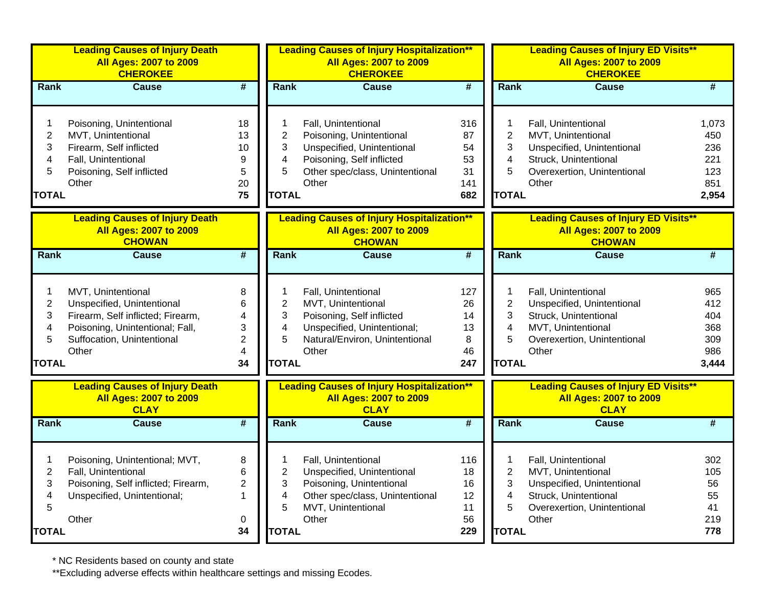|                                                    | <b>Leading Causes of Injury Death</b><br><b>All Ages: 2007 to 2009</b><br><b>CHEROKEE</b>                                                                       |                                                                 |                                                                                   | <b>Leading Causes of Injury Hospitalization**</b><br><b>All Ages: 2007 to 2009</b><br><b>CHEROKEE</b>                                                  |                                           |                                                    | <b>Leading Causes of Injury ED Visits**</b><br><b>All Ages: 2007 to 2009</b><br><b>CHEROKEE</b>                                          |                                                   |
|----------------------------------------------------|-----------------------------------------------------------------------------------------------------------------------------------------------------------------|-----------------------------------------------------------------|-----------------------------------------------------------------------------------|--------------------------------------------------------------------------------------------------------------------------------------------------------|-------------------------------------------|----------------------------------------------------|------------------------------------------------------------------------------------------------------------------------------------------|---------------------------------------------------|
| Rank                                               | <b>Cause</b>                                                                                                                                                    | #                                                               | <b>Rank</b>                                                                       | <b>Cause</b>                                                                                                                                           | #                                         | <b>Rank</b>                                        | <b>Cause</b>                                                                                                                             | #                                                 |
| 1<br>$\overline{c}$<br>3<br>4<br>5<br><b>TOTAL</b> | Poisoning, Unintentional<br>MVT, Unintentional<br>Firearm, Self inflicted<br>Fall, Unintentional<br>Poisoning, Self inflicted<br>Other                          | 18<br>13<br>10<br>9<br>5<br>20<br>75                            | 1<br>$\overline{c}$<br>3<br>$\overline{\mathbf{4}}$<br>5<br><b>TOTAL</b>          | Fall, Unintentional<br>Poisoning, Unintentional<br>Unspecified, Unintentional<br>Poisoning, Self inflicted<br>Other spec/class, Unintentional<br>Other | 316<br>87<br>54<br>53<br>31<br>141<br>682 | 1<br>$\mathbf 2$<br>3<br>4<br>5<br><b>TOTAL</b>    | Fall, Unintentional<br>MVT, Unintentional<br>Unspecified, Unintentional<br>Struck, Unintentional<br>Overexertion, Unintentional<br>Other | 1,073<br>450<br>236<br>221<br>123<br>851<br>2,954 |
|                                                    | <b>Leading Causes of Injury Death</b><br><b>All Ages: 2007 to 2009</b><br><b>CHOWAN</b>                                                                         |                                                                 |                                                                                   | <b>Leading Causes of Injury Hospitalization**</b><br><b>All Ages: 2007 to 2009</b><br><b>CHOWAN</b>                                                    |                                           |                                                    | <b>Leading Causes of Injury ED Visits**</b><br><b>All Ages: 2007 to 2009</b><br><b>CHOWAN</b>                                            |                                                   |
| Rank                                               | <b>Cause</b>                                                                                                                                                    | #                                                               | Rank                                                                              | <b>Cause</b>                                                                                                                                           | #                                         | Rank                                               | <b>Cause</b>                                                                                                                             |                                                   |
| 1<br>$\overline{c}$<br>3<br>4<br>5<br><b>TOTAL</b> | MVT, Unintentional<br>Unspecified, Unintentional<br>Firearm, Self inflicted; Firearm,<br>Poisoning, Unintentional; Fall,<br>Suffocation, Unintentional<br>Other | 8<br>6<br>4<br>3<br>$\overline{2}$<br>$\overline{4}$<br>34      | 1<br>$\overline{\mathbf{c}}$<br>3<br>$\overline{\mathbf{4}}$<br>5<br><b>TOTAL</b> | Fall, Unintentional<br>MVT, Unintentional<br>Poisoning, Self inflicted<br>Unspecified, Unintentional;<br>Natural/Environ, Unintentional<br>Other       | 127<br>26<br>14<br>13<br>8<br>46<br>247   | 1<br>$\overline{2}$<br>3<br>4<br>5<br><b>TOTAL</b> | Fall, Unintentional<br>Unspecified, Unintentional<br>Struck, Unintentional<br>MVT, Unintentional<br>Overexertion, Unintentional<br>Other | 965<br>412<br>404<br>368<br>309<br>986<br>3,444   |
|                                                    | <b>Leading Causes of Injury Death</b><br><b>All Ages: 2007 to 2009</b><br><b>CLAY</b>                                                                           |                                                                 |                                                                                   | <b>Leading Causes of Injury Hospitalization**</b><br><b>All Ages: 2007 to 2009</b><br><b>CLAY</b>                                                      |                                           |                                                    | <b>Leading Causes of Injury ED Visits**</b><br><b>All Ages: 2007 to 2009</b><br><b>CLAY</b>                                              |                                                   |
| Rank                                               | <b>Cause</b>                                                                                                                                                    | #                                                               | Rank                                                                              | <b>Cause</b>                                                                                                                                           | #                                         | Rank                                               | <b>Cause</b>                                                                                                                             | #                                                 |
| 1<br>$\overline{2}$<br>3<br>4<br>5<br><b>TOTAL</b> | Poisoning, Unintentional; MVT,<br>Fall, Unintentional<br>Poisoning, Self inflicted; Firearm,<br>Unspecified, Unintentional;<br>Other                            | 8<br>$6\phantom{1}$<br>$\overline{c}$<br>$\mathbf 1$<br>0<br>34 | 1<br>$\overline{2}$<br>3<br>4<br>5<br><b>TOTAL</b>                                | Fall, Unintentional<br>Unspecified, Unintentional<br>Poisoning, Unintentional<br>Other spec/class, Unintentional<br>MVT, Unintentional<br>Other        | 116<br>18<br>16<br>12<br>11<br>56<br>229  | 1<br>$\overline{2}$<br>3<br>4<br>5<br><b>TOTAL</b> | Fall, Unintentional<br>MVT, Unintentional<br>Unspecified, Unintentional<br>Struck, Unintentional<br>Overexertion, Unintentional<br>Other | 302<br>105<br>56<br>55<br>41<br>219<br>778        |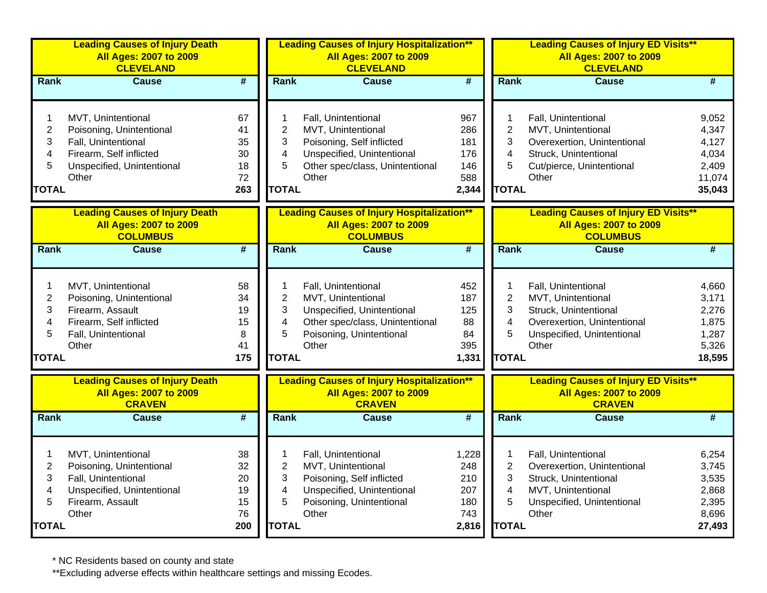|                                                               | <b>Leading Causes of Injury Death</b><br><b>All Ages: 2007 to 2009</b><br><b>CLEVELAND</b>                                              |                                         |                                                                          | <b>Leading Causes of Injury Hospitalization**</b><br><b>All Ages: 2007 to 2009</b><br><b>CLEVELAND</b>                                           |                                                   |                                                                          | <b>Leading Causes of Injury ED Visits**</b><br><b>All Ages: 2007 to 2009</b><br><b>CLEVELAND</b>                                         |                                                               |  |
|---------------------------------------------------------------|-----------------------------------------------------------------------------------------------------------------------------------------|-----------------------------------------|--------------------------------------------------------------------------|--------------------------------------------------------------------------------------------------------------------------------------------------|---------------------------------------------------|--------------------------------------------------------------------------|------------------------------------------------------------------------------------------------------------------------------------------|---------------------------------------------------------------|--|
| Rank                                                          | Cause                                                                                                                                   | $\overline{\#}$                         | Rank                                                                     | Cause                                                                                                                                            | $\overline{\mathbf{H}}$                           | Rank                                                                     | Cause                                                                                                                                    | #                                                             |  |
| 1<br>$\overline{2}$<br>3<br>4<br>5<br><b>TOTAL</b>            | MVT, Unintentional<br>Poisoning, Unintentional<br>Fall, Unintentional<br>Firearm, Self inflicted<br>Unspecified, Unintentional<br>Other | 67<br>41<br>35<br>30<br>18<br>72<br>263 | 1<br>$\overline{2}$<br>3<br>$\overline{\mathbf{4}}$<br>5<br><b>TOTAL</b> | Fall, Unintentional<br>MVT, Unintentional<br>Poisoning, Self inflicted<br>Unspecified, Unintentional<br>Other spec/class, Unintentional<br>Other | 967<br>286<br>181<br>176<br>146<br>588<br>2,344   | 1<br>$\overline{2}$<br>3<br>4<br>5<br><b>TOTAL</b>                       | Fall, Unintentional<br>MVT, Unintentional<br>Overexertion, Unintentional<br>Struck, Unintentional<br>Cut/pierce, Unintentional<br>Other  | 9,052<br>4,347<br>4,127<br>4,034<br>2,409<br>11,074<br>35,043 |  |
|                                                               | <b>Leading Causes of Injury Death</b><br><b>All Ages: 2007 to 2009</b><br><b>COLUMBUS</b>                                               |                                         |                                                                          | <b>Leading Causes of Injury Hospitalization**</b><br><b>All Ages: 2007 to 2009</b><br><b>COLUMBUS</b>                                            |                                                   |                                                                          | <b>Leading Causes of Injury ED Visits**</b><br><b>All Ages: 2007 to 2009</b><br><b>COLUMBUS</b>                                          |                                                               |  |
| Rank                                                          | <b>Cause</b>                                                                                                                            | $\overline{\#}$                         | Rank                                                                     | <b>Cause</b>                                                                                                                                     | #                                                 | Rank                                                                     | <b>Cause</b>                                                                                                                             | #                                                             |  |
| $\mathbf{1}$<br>$\overline{2}$<br>3<br>4<br>5<br><b>TOTAL</b> | MVT, Unintentional<br>Poisoning, Unintentional<br>Firearm, Assault<br>Firearm, Self inflicted<br>Fall, Unintentional<br>Other           | 58<br>34<br>19<br>15<br>8<br>41<br>175  | 1<br>$\overline{c}$<br>3<br>4<br>5<br><b>TOTAL</b>                       | Fall, Unintentional<br>MVT, Unintentional<br>Unspecified, Unintentional<br>Other spec/class, Unintentional<br>Poisoning, Unintentional<br>Other  | 452<br>187<br>125<br>88<br>84<br>395<br>1,331     | 1<br>$\overline{2}$<br>3<br>4<br>5<br><b>TOTAL</b>                       | Fall, Unintentional<br>MVT, Unintentional<br>Struck, Unintentional<br>Overexertion, Unintentional<br>Unspecified, Unintentional<br>Other | 4,660<br>3,171<br>2,276<br>1,875<br>1,287<br>5,326<br>18,595  |  |
|                                                               | <b>Leading Causes of Injury Death</b><br><b>All Ages: 2007 to 2009</b><br><b>CRAVEN</b>                                                 |                                         |                                                                          | <b>Leading Causes of Injury Hospitalization**</b><br><b>All Ages: 2007 to 2009</b><br><b>CRAVEN</b>                                              |                                                   |                                                                          | <b>Leading Causes of Injury ED Visits**</b><br><b>All Ages: 2007 to 2009</b><br><b>CRAVEN</b>                                            |                                                               |  |
| Rank                                                          | <b>Cause</b>                                                                                                                            | $\overline{\#}$                         | Rank                                                                     | <b>Cause</b>                                                                                                                                     | $\overline{\#}$                                   | Rank                                                                     | <b>Cause</b>                                                                                                                             | $\overline{\#}$                                               |  |
| 1<br>$\overline{2}$<br>3<br>4<br>5<br><b>TOTAL</b>            | MVT, Unintentional<br>Poisoning, Unintentional<br>Fall, Unintentional<br>Unspecified, Unintentional<br>Firearm, Assault<br>Other        | 38<br>32<br>20<br>19<br>15<br>76<br>200 | 1<br>$\overline{2}$<br>3<br>$\overline{\mathbf{4}}$<br>5<br><b>TOTAL</b> | Fall, Unintentional<br>MVT, Unintentional<br>Poisoning, Self inflicted<br>Unspecified, Unintentional<br>Poisoning, Unintentional<br>Other        | 1,228<br>248<br>210<br>207<br>180<br>743<br>2,816 | 1<br>$\overline{c}$<br>3<br>$\overline{\mathbf{4}}$<br>5<br><b>TOTAL</b> | Fall, Unintentional<br>Overexertion, Unintentional<br>Struck, Unintentional<br>MVT, Unintentional<br>Unspecified, Unintentional<br>Other | 6,254<br>3,745<br>3,535<br>2,868<br>2,395<br>8,696<br>27,493  |  |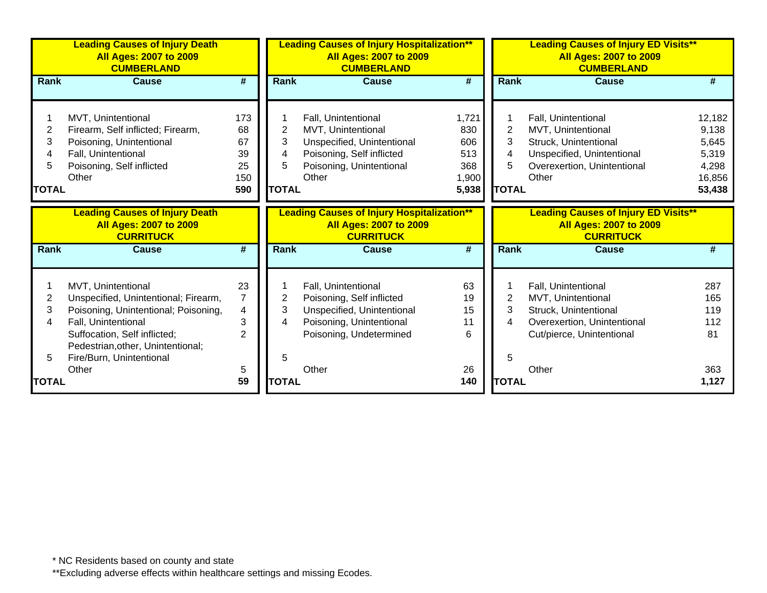|                                  | <b>Leading Causes of Injury Death</b><br><b>All Ages: 2007 to 2009</b><br><b>CUMBERLAND</b>                                                                                                                                |                                                  |                                  | <b>Leading Causes of Injury Hospitalization**</b><br><b>All Ages: 2007 to 2009</b><br><b>CUMBERLAND</b>                                   |                                                     | <b>Leading Causes of Injury ED Visits**</b><br><b>All Ages: 2007 to 2009</b><br><b>CUMBERLAND</b> |                                                                                                                                          |                                                                |  |
|----------------------------------|----------------------------------------------------------------------------------------------------------------------------------------------------------------------------------------------------------------------------|--------------------------------------------------|----------------------------------|-------------------------------------------------------------------------------------------------------------------------------------------|-----------------------------------------------------|---------------------------------------------------------------------------------------------------|------------------------------------------------------------------------------------------------------------------------------------------|----------------------------------------------------------------|--|
| <b>Rank</b>                      | <b>Cause</b>                                                                                                                                                                                                               | #                                                | Rank                             | <b>Cause</b>                                                                                                                              | #                                                   | <b>Rank</b>                                                                                       | <b>Cause</b>                                                                                                                             | #                                                              |  |
| 2<br>3<br>4<br>5<br><b>TOTAL</b> | MVT, Unintentional<br>Firearm, Self inflicted; Firearm,<br>Poisoning, Unintentional<br>Fall, Unintentional<br>Poisoning, Self inflicted<br>Other                                                                           | 173<br>68<br>67<br>39<br>25<br>150<br>590        | 2<br>3<br>4<br>5<br><b>TOTAL</b> | Fall, Unintentional<br>MVT, Unintentional<br>Unspecified, Unintentional<br>Poisoning, Self inflicted<br>Poisoning, Unintentional<br>Other | 1,721<br>830<br>606<br>513<br>368<br>1,900<br>5,938 | $\overline{2}$<br>3<br>4<br>5<br><b>TOTAL</b>                                                     | Fall, Unintentional<br>MVT, Unintentional<br>Struck, Unintentional<br>Unspecified, Unintentional<br>Overexertion, Unintentional<br>Other | 12,182<br>9,138<br>5,645<br>5,319<br>4,298<br>16,856<br>53,438 |  |
|                                  | <b>Leading Causes of Injury Death</b><br><b>All Ages: 2007 to 2009</b><br><b>CURRITUCK</b>                                                                                                                                 |                                                  |                                  | <b>Leading Causes of Injury Hospitalization**</b><br><b>All Ages: 2007 to 2009</b><br><b>CURRITUCK</b>                                    |                                                     |                                                                                                   | <b>Leading Causes of Injury ED Visits**</b><br><b>All Ages: 2007 to 2009</b><br><b>CURRITUCK</b>                                         |                                                                |  |
| <b>Rank</b>                      | <b>Cause</b>                                                                                                                                                                                                               | #                                                | <b>Rank</b>                      | <b>Cause</b>                                                                                                                              | #                                                   | <b>Rank</b>                                                                                       | <b>Cause</b>                                                                                                                             | #                                                              |  |
| 2<br>3<br>4<br>5                 | MVT, Unintentional<br>Unspecified, Unintentional; Firearm,<br>Poisoning, Unintentional; Poisoning,<br>Fall, Unintentional<br>Suffocation, Self inflicted;<br>Pedestrian, other, Unintentional;<br>Fire/Burn, Unintentional | 23<br>$\overline{7}$<br>4<br>3<br>$\overline{2}$ | 2<br>3<br>4<br>5                 | Fall, Unintentional<br>Poisoning, Self inflicted<br>Unspecified, Unintentional<br>Poisoning, Unintentional<br>Poisoning, Undetermined     | 63<br>19<br>15<br>11<br>6                           | 2<br>3<br>4<br>5                                                                                  | Fall, Unintentional<br>MVT, Unintentional<br>Struck, Unintentional<br>Overexertion, Unintentional<br>Cut/pierce, Unintentional           | 287<br>165<br>119<br>112<br>81                                 |  |
| <b>TOTAL</b>                     | Other                                                                                                                                                                                                                      | 5<br>59                                          | <b>TOTAL</b>                     | Other                                                                                                                                     | 26<br>140                                           | <b>TOTAL</b>                                                                                      | Other                                                                                                                                    | 363<br>1,127                                                   |  |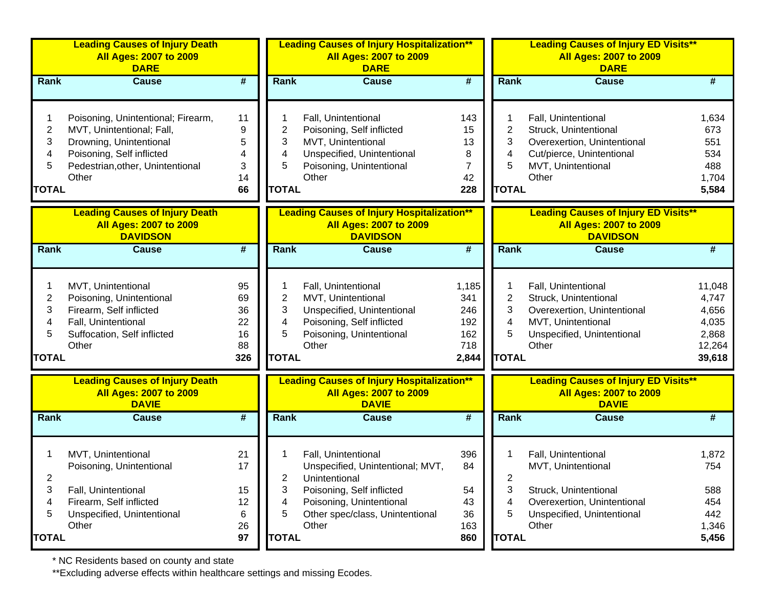|                                  | <b>Leading Causes of Injury Death</b><br>All Ages: 2007 to 2009<br><b>DARE</b>                                                                                       |                                         |                                  | <b>Leading Causes of Injury Hospitalization**</b><br><b>All Ages: 2007 to 2009</b><br><b>DARE</b>                                         |                                                   |                                               | <b>Leading Causes of Injury ED Visits**</b><br><b>All Ages: 2007 to 2009</b><br><b>DARE</b>                                              |                                                                |
|----------------------------------|----------------------------------------------------------------------------------------------------------------------------------------------------------------------|-----------------------------------------|----------------------------------|-------------------------------------------------------------------------------------------------------------------------------------------|---------------------------------------------------|-----------------------------------------------|------------------------------------------------------------------------------------------------------------------------------------------|----------------------------------------------------------------|
| Rank                             | <b>Cause</b>                                                                                                                                                         | #                                       | Rank                             | <b>Cause</b>                                                                                                                              | #                                                 | Rank                                          | <b>Cause</b>                                                                                                                             | #                                                              |
| 2<br>3<br>4<br>5<br><b>TOTAL</b> | Poisoning, Unintentional; Firearm,<br>MVT, Unintentional; Fall,<br>Drowning, Unintentional<br>Poisoning, Self inflicted<br>Pedestrian, other, Unintentional<br>Other | 11<br>9<br>5<br>4<br>3<br>14<br>66      | 2<br>3<br>4<br>5<br><b>TOTAL</b> | Fall, Unintentional<br>Poisoning, Self inflicted<br>MVT, Unintentional<br>Unspecified, Unintentional<br>Poisoning, Unintentional<br>Other | 143<br>15<br>13<br>8<br>7<br>42<br>228            | $\overline{2}$<br>3<br>4<br>5<br><b>TOTAL</b> | Fall, Unintentional<br>Struck, Unintentional<br>Overexertion, Unintentional<br>Cut/pierce, Unintentional<br>MVT, Unintentional<br>Other  | 1,634<br>673<br>551<br>534<br>488<br>1,704<br>5,584            |
|                                  | <b>Leading Causes of Injury Death</b><br><b>All Ages: 2007 to 2009</b><br><b>DAVIDSON</b>                                                                            |                                         |                                  | <b>Leading Causes of Injury Hospitalization**</b><br><b>All Ages: 2007 to 2009</b><br><b>DAVIDSON</b>                                     |                                                   |                                               | <b>Leading Causes of Injury ED Visits**</b><br><b>All Ages: 2007 to 2009</b><br><b>DAVIDSON</b>                                          |                                                                |
| Rank                             | <b>Cause</b>                                                                                                                                                         | #                                       | <b>Rank</b>                      | <b>Cause</b>                                                                                                                              | $\overline{\boldsymbol{r}}$                       | Rank                                          | <b>Cause</b>                                                                                                                             | #                                                              |
| 2<br>3<br>4<br>5<br><b>TOTAL</b> | MVT, Unintentional<br>Poisoning, Unintentional<br>Firearm, Self inflicted<br>Fall, Unintentional<br>Suffocation, Self inflicted<br>Other                             | 95<br>69<br>36<br>22<br>16<br>88<br>326 | 2<br>3<br>4<br>5<br><b>TOTAL</b> | Fall, Unintentional<br>MVT, Unintentional<br>Unspecified, Unintentional<br>Poisoning, Self inflicted<br>Poisoning, Unintentional<br>Other | 1,185<br>341<br>246<br>192<br>162<br>718<br>2,844 | $\overline{2}$<br>3<br>4<br>5<br><b>TOTAL</b> | Fall, Unintentional<br>Struck, Unintentional<br>Overexertion, Unintentional<br>MVT, Unintentional<br>Unspecified, Unintentional<br>Other | 11,048<br>4,747<br>4,656<br>4,035<br>2,868<br>12,264<br>39,618 |
|                                  | <b>Leading Causes of Injury Death</b><br><b>All Ages: 2007 to 2009</b><br><b>DAVIE</b>                                                                               |                                         |                                  | <b>Leading Causes of Injury Hospitalization**</b><br><b>All Ages: 2007 to 2009</b><br><b>DAVIE</b>                                        |                                                   |                                               | <b>Leading Causes of Injury ED Visits**</b><br><b>All Ages: 2007 to 2009</b><br><b>DAVIE</b>                                             |                                                                |
| Rank                             | <b>Cause</b>                                                                                                                                                         | #                                       | Rank                             | <b>Cause</b>                                                                                                                              | #                                                 | Rank                                          | <b>Cause</b>                                                                                                                             | #                                                              |
| $\overline{\mathbf{c}}$          | MVT, Unintentional<br>Poisoning, Unintentional                                                                                                                       | 21<br>17                                | $\overline{2}$                   | Fall, Unintentional<br>Unspecified, Unintentional; MVT,<br>Unintentional                                                                  | 396<br>84                                         | $\overline{\mathbf{c}}$                       | Fall, Unintentional<br>MVT, Unintentional                                                                                                | 1,872<br>754                                                   |
| 3<br>4<br>5                      | Fall, Unintentional<br>Firearm, Self inflicted<br>Unspecified, Unintentional<br>Other                                                                                | 15<br>12<br>6<br>26                     | 3<br>4<br>5                      | Poisoning, Self inflicted<br>Poisoning, Unintentional<br>Other spec/class, Unintentional<br>Other                                         | 54<br>43<br>36<br>163                             | 3<br>4<br>5                                   | Struck, Unintentional<br>Overexertion, Unintentional<br>Unspecified, Unintentional<br>Other                                              | 588<br>454<br>442<br>1,346                                     |
| <b>TOTAL</b>                     |                                                                                                                                                                      | 97                                      | <b>TOTAL</b>                     |                                                                                                                                           | 860                                               | <b>TOTAL</b>                                  |                                                                                                                                          | 5,456                                                          |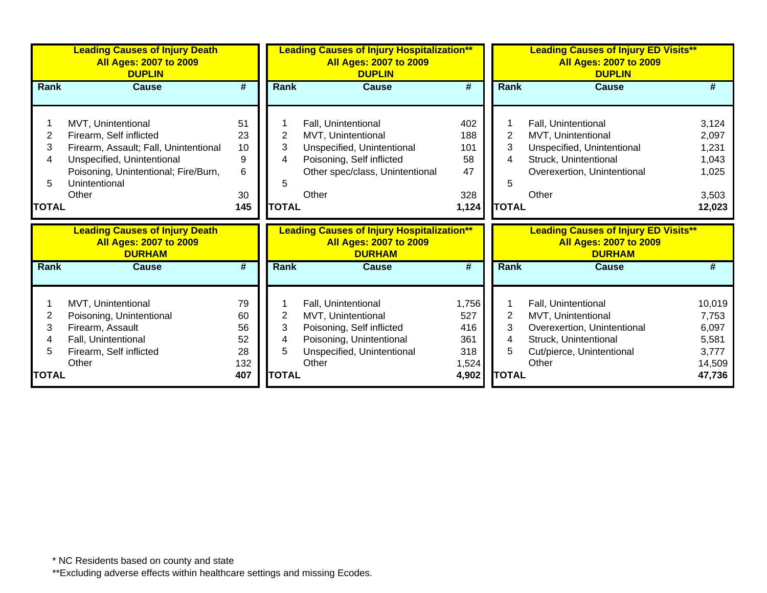|              | <b>Leading Causes of Injury Death</b><br><b>All Ages: 2007 to 2009</b><br><b>DUPLIN</b> |          |                     | <b>Leading Causes of Injury Hospitalization**</b><br><b>All Ages: 2007 to 2009</b><br><b>DUPLIN</b> |            | <b>Leading Causes of Injury ED Visits**</b><br><b>All Ages: 2007 to 2009</b><br><b>DUPLIN</b> |                                                                              |                |
|--------------|-----------------------------------------------------------------------------------------|----------|---------------------|-----------------------------------------------------------------------------------------------------|------------|-----------------------------------------------------------------------------------------------|------------------------------------------------------------------------------|----------------|
| <b>Rank</b>  | <b>Cause</b>                                                                            | #        | <b>Rank</b>         | <b>Cause</b>                                                                                        | #          | <b>Rank</b>                                                                                   | <b>Cause</b>                                                                 | #              |
|              |                                                                                         |          |                     |                                                                                                     |            |                                                                                               |                                                                              |                |
|              | MVT, Unintentional                                                                      | 51       |                     | Fall, Unintentional                                                                                 | 402        |                                                                                               | Fall, Unintentional                                                          | 3,124          |
| 2            | Firearm, Self inflicted                                                                 | 23       | 2                   | MVT, Unintentional                                                                                  | 188        | $\overline{2}$                                                                                | MVT, Unintentional                                                           | 2,097          |
| 3            | Firearm, Assault; Fall, Unintentional                                                   | 10       | 3                   | Unspecified, Unintentional                                                                          | 101        | 3                                                                                             | Unspecified, Unintentional                                                   | 1,231          |
| 4            | Unspecified, Unintentional                                                              | 9        | 4                   | Poisoning, Self inflicted                                                                           | 58         | 4                                                                                             | Struck, Unintentional                                                        | 1,043          |
|              | Poisoning, Unintentional; Fire/Burn,                                                    | 6        |                     | Other spec/class, Unintentional                                                                     | 47         |                                                                                               | Overexertion, Unintentional                                                  | 1,025          |
| 5            | Unintentional                                                                           |          | 5                   |                                                                                                     |            | 5                                                                                             |                                                                              |                |
|              | Other                                                                                   | 30       |                     | Other                                                                                               | 328        |                                                                                               | Other                                                                        | 3,503          |
| <b>TOTAL</b> |                                                                                         | 145      | <b>TOTAL</b>        |                                                                                                     | 1,124      | <b>TOTAL</b>                                                                                  |                                                                              | 12,023         |
|              | <b>Leading Causes of Injury Death</b><br><b>All Ages: 2007 to 2009</b>                  |          |                     | <b>Leading Causes of Injury Hospitalization**</b><br><b>All Ages: 2007 to 2009</b>                  |            |                                                                                               | <b>Leading Causes of Injury ED Visits**</b><br><b>All Ages: 2007 to 2009</b> |                |
|              | <b>DURHAM</b>                                                                           |          |                     | <b>DURHAM</b>                                                                                       |            |                                                                                               | <b>DURHAM</b>                                                                |                |
| <b>Rank</b>  | <b>Cause</b>                                                                            | #        | <b>Rank</b>         | <b>Cause</b>                                                                                        | #          | <b>Rank</b>                                                                                   | <b>Cause</b>                                                                 | #              |
|              |                                                                                         |          |                     |                                                                                                     |            | 1                                                                                             |                                                                              |                |
|              | MVT, Unintentional                                                                      | 79       |                     | Fall, Unintentional                                                                                 | 1,756      |                                                                                               | Fall, Unintentional                                                          | 10,019         |
| 2<br>3       | Poisoning, Unintentional                                                                | 60<br>56 | $\overline{2}$<br>3 | MVT, Unintentional                                                                                  | 527<br>416 | $\overline{2}$<br>3                                                                           | MVT, Unintentional                                                           | 7,753          |
|              | Firearm, Assault                                                                        | 52       | 4                   | Poisoning, Self inflicted                                                                           | 361        | 4                                                                                             | Overexertion, Unintentional                                                  | 6,097          |
|              | Fall, Unintentional                                                                     | 28       | 5                   | Poisoning, Unintentional                                                                            | 318        | 5                                                                                             | Struck, Unintentional                                                        | 5,581<br>3,777 |
|              | Firearm, Self inflicted<br>Other                                                        | 132      |                     | Unspecified, Unintentional<br>Other                                                                 | 1,524      |                                                                                               | Cut/pierce, Unintentional<br>Other                                           | 14,509         |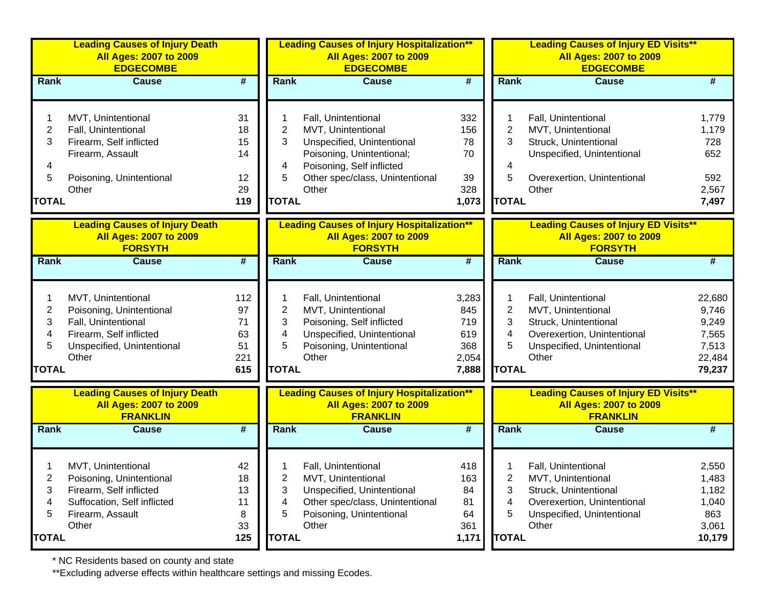|                | <b>Leading Causes of Injury Death</b><br><b>All Ages: 2007 to 2009</b><br><b>EDGECOMBE</b> |                             |                         | <b>Leading Causes of Injury Hospitalization**</b><br><b>All Ages: 2007 to 2009</b><br><b>EDGECOMBE</b> |                             |                | <b>Leading Causes of Injury ED Visits**</b><br><b>All Ages: 2007 to 2009</b><br><b>EDGECOMBE</b> |                 |
|----------------|--------------------------------------------------------------------------------------------|-----------------------------|-------------------------|--------------------------------------------------------------------------------------------------------|-----------------------------|----------------|--------------------------------------------------------------------------------------------------|-----------------|
| <b>Rank</b>    | <b>Cause</b>                                                                               | $\overline{\boldsymbol{H}}$ | Rank                    | <b>Cause</b>                                                                                           | #                           | Rank           | <b>Cause</b>                                                                                     | #               |
|                |                                                                                            |                             |                         |                                                                                                        |                             |                |                                                                                                  |                 |
|                | MVT, Unintentional                                                                         | 31                          |                         | Fall, Unintentional                                                                                    | 332                         |                | Fall, Unintentional                                                                              | 1,779           |
| $\overline{2}$ | Fall, Unintentional                                                                        | 18                          | 2                       | MVT, Unintentional                                                                                     | 156                         | $\overline{2}$ | MVT, Unintentional                                                                               | 1,179           |
| 3              | Firearm, Self inflicted                                                                    | 15                          | 3                       | Unspecified, Unintentional                                                                             | 78                          | 3              | Struck, Unintentional                                                                            | 728             |
|                | Firearm, Assault                                                                           | 14                          |                         | Poisoning, Unintentional;                                                                              | 70                          |                | Unspecified, Unintentional                                                                       | 652             |
| 4              |                                                                                            |                             | 4                       | Poisoning, Self inflicted                                                                              |                             | 4              |                                                                                                  |                 |
| 5              | Poisoning, Unintentional                                                                   | 12                          | 5                       | Other spec/class, Unintentional                                                                        | 39                          | 5              | Overexertion, Unintentional                                                                      | 592             |
|                | Other                                                                                      | 29                          |                         | Other                                                                                                  | 328                         |                | Other                                                                                            | 2,567           |
| <b>TOTAL</b>   |                                                                                            | 119                         | <b>TOTAL</b>            |                                                                                                        | 1,073                       | <b>TOTAL</b>   |                                                                                                  | 7,497           |
|                | <b>Leading Causes of Injury Death</b>                                                      |                             |                         | <b>Leading Causes of Injury Hospitalization**</b>                                                      |                             |                | <b>Leading Causes of Injury ED Visits**</b>                                                      |                 |
|                | <b>All Ages: 2007 to 2009</b><br><b>FORSYTH</b>                                            |                             |                         | <b>All Ages: 2007 to 2009</b><br><b>FORSYTH</b>                                                        |                             |                | <b>All Ages: 2007 to 2009</b><br><b>FORSYTH</b>                                                  |                 |
| <b>Rank</b>    | <b>Cause</b>                                                                               | $\overline{\boldsymbol{t}}$ | Rank                    | <b>Cause</b>                                                                                           | #                           | <b>Rank</b>    | <b>Cause</b>                                                                                     | #               |
|                |                                                                                            |                             |                         |                                                                                                        |                             |                |                                                                                                  |                 |
|                | MVT, Unintentional                                                                         | 112                         | 1                       | Fall, Unintentional                                                                                    | 3,283                       | 1              | Fall, Unintentional                                                                              | 22,680          |
| 2              | Poisoning, Unintentional                                                                   | 97                          | $\overline{\mathbf{c}}$ | MVT, Unintentional                                                                                     | 845                         | $\overline{2}$ | MVT, Unintentional                                                                               | 9,746           |
| 3              | Fall, Unintentional                                                                        | 71                          | 3                       | Poisoning, Self inflicted                                                                              | 719                         | 3              | Struck, Unintentional                                                                            | 9,249           |
| 4              | Firearm, Self inflicted                                                                    | 63                          | 4                       | Unspecified, Unintentional                                                                             | 619                         | 4              | Overexertion, Unintentional                                                                      | 7,565           |
| 5              | Unspecified, Unintentional                                                                 | 51                          | 5                       | Poisoning, Unintentional                                                                               | 368                         | 5              | Unspecified, Unintentional                                                                       | 7,513           |
|                | Other                                                                                      | 221                         |                         | Other                                                                                                  | 2,054                       |                | Other                                                                                            | 22,484          |
| <b>TOTAL</b>   |                                                                                            | 615                         | <b>TOTAL</b>            |                                                                                                        | 7,888                       | <b>TOTAL</b>   |                                                                                                  | 79,237          |
|                | <b>Leading Causes of Injury Death</b><br><b>All Ages: 2007 to 2009</b><br><b>FRANKLIN</b>  |                             |                         | <b>Leading Causes of Injury Hospitalization**</b><br><b>All Ages: 2007 to 2009</b><br><b>FRANKLIN</b>  |                             |                | <b>Leading Causes of Injury ED Visits**</b><br><b>All Ages: 2007 to 2009</b><br><b>FRANKLIN</b>  |                 |
| <b>Rank</b>    | <b>Cause</b>                                                                               | #                           | Rank                    | <b>Cause</b>                                                                                           | $\overline{\boldsymbol{H}}$ | Rank           | <b>Cause</b>                                                                                     | #               |
|                |                                                                                            |                             |                         |                                                                                                        |                             |                |                                                                                                  |                 |
|                | MVT, Unintentional                                                                         | 42                          |                         | Fall, Unintentional                                                                                    | 418                         |                | Fall, Unintentional                                                                              | 2,550           |
| 2              | Poisoning, Unintentional                                                                   | 18                          | 2                       | MVT, Unintentional                                                                                     | 163                         | 2              | MVT, Unintentional                                                                               | 1,483           |
| 3              | Firearm, Self inflicted                                                                    | 13                          | 3                       | Unspecified, Unintentional                                                                             | 84                          | 3              | Struck, Unintentional                                                                            | 1,182           |
| 4              | Suffocation, Self inflicted                                                                | 11                          | 4                       | Other spec/class, Unintentional                                                                        | 81                          | 4              | Overexertion, Unintentional                                                                      | 1,040           |
| 5              | Firearm, Assault<br>Other                                                                  | 8                           | 5                       | Poisoning, Unintentional<br>Other                                                                      | 64                          | 5              | Unspecified, Unintentional<br>Other                                                              | 863             |
| <b>TOTAL</b>   |                                                                                            | 33<br>125                   | <b>TOTAL</b>            |                                                                                                        | 361<br>1,171                | <b>TOTAL</b>   |                                                                                                  | 3,061<br>10,179 |
|                |                                                                                            |                             |                         |                                                                                                        |                             |                |                                                                                                  |                 |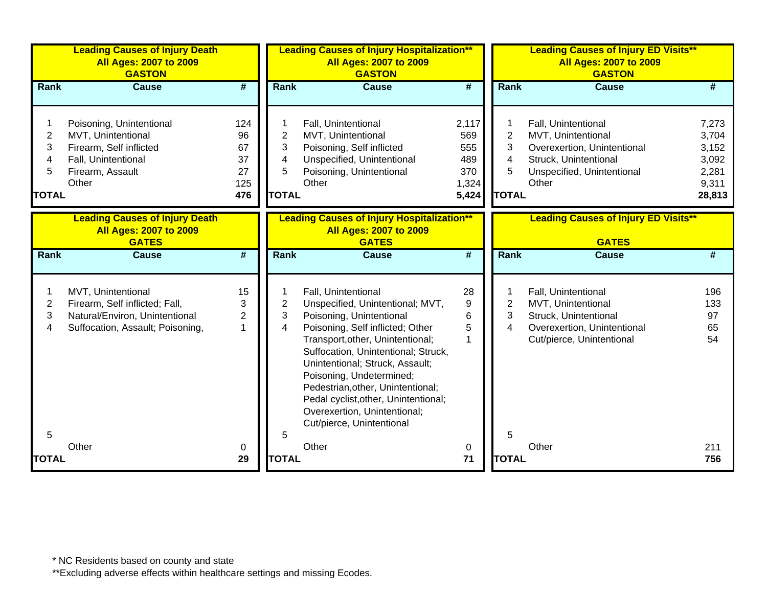|                                               | <b>Leading Causes of Injury Death</b><br><b>All Ages: 2007 to 2009</b><br><b>GASTON</b>                                       |                                           |                                               | <b>Leading Causes of Injury Hospitalization**</b><br><b>All Ages: 2007 to 2009</b><br><b>GASTON</b>                                                                                                                                                                                                                                                                                                         |                                                     |                                  | <b>Leading Causes of Injury ED Visits**</b><br><b>All Ages: 2007 to 2009</b><br><b>GASTON</b>                                            |                                                              |  |
|-----------------------------------------------|-------------------------------------------------------------------------------------------------------------------------------|-------------------------------------------|-----------------------------------------------|-------------------------------------------------------------------------------------------------------------------------------------------------------------------------------------------------------------------------------------------------------------------------------------------------------------------------------------------------------------------------------------------------------------|-----------------------------------------------------|----------------------------------|------------------------------------------------------------------------------------------------------------------------------------------|--------------------------------------------------------------|--|
| Rank                                          | <b>Cause</b>                                                                                                                  | #                                         | Rank                                          | <b>Cause</b>                                                                                                                                                                                                                                                                                                                                                                                                | #                                                   | Rank                             | <b>Cause</b>                                                                                                                             | #                                                            |  |
| $\overline{c}$<br>3<br>4<br>5<br><b>TOTAL</b> | Poisoning, Unintentional<br>MVT, Unintentional<br>Firearm, Self inflicted<br>Fall, Unintentional<br>Firearm, Assault<br>Other | 124<br>96<br>67<br>37<br>27<br>125<br>476 | $\overline{2}$<br>3<br>4<br>5<br><b>TOTAL</b> | Fall, Unintentional<br>MVT, Unintentional<br>Poisoning, Self inflicted<br>Unspecified, Unintentional<br>Poisoning, Unintentional<br>Other                                                                                                                                                                                                                                                                   | 2,117<br>569<br>555<br>489<br>370<br>1,324<br>5,424 | 2<br>3<br>4<br>5<br><b>TOTAL</b> | Fall, Unintentional<br>MVT, Unintentional<br>Overexertion, Unintentional<br>Struck, Unintentional<br>Unspecified, Unintentional<br>Other | 7,273<br>3,704<br>3,152<br>3,092<br>2,281<br>9,311<br>28,813 |  |
|                                               | <b>Leading Causes of Injury Death</b><br><b>All Ages: 2007 to 2009</b><br><b>GATES</b>                                        |                                           |                                               | <b>Leading Causes of Injury Hospitalization**</b><br><b>All Ages: 2007 to 2009</b><br><b>GATES</b>                                                                                                                                                                                                                                                                                                          |                                                     |                                  | <b>Leading Causes of Injury ED Visits**</b><br><b>GATES</b>                                                                              |                                                              |  |
| Rank                                          | <b>Cause</b>                                                                                                                  | $\overline{\boldsymbol{r}}$               | <b>Rank</b>                                   | <b>Cause</b>                                                                                                                                                                                                                                                                                                                                                                                                | $\overline{\#}$                                     | <b>Rank</b>                      | <b>Cause</b>                                                                                                                             | #                                                            |  |
| 2<br>3<br>4                                   | MVT, Unintentional<br>Firearm, Self inflicted; Fall,<br>Natural/Environ, Unintentional<br>Suffocation, Assault; Poisoning,    | 15<br>3<br>2<br>1                         | 2<br>3<br>4                                   | Fall, Unintentional<br>Unspecified, Unintentional; MVT,<br>Poisoning, Unintentional<br>Poisoning, Self inflicted; Other<br>Transport, other, Unintentional;<br>Suffocation, Unintentional; Struck,<br>Unintentional; Struck, Assault;<br>Poisoning, Undetermined;<br>Pedestrian, other, Unintentional;<br>Pedal cyclist, other, Unintentional;<br>Overexertion, Unintentional;<br>Cut/pierce, Unintentional | 28<br>9<br>6<br>5<br>1                              | 2<br>3<br>4                      | Fall, Unintentional<br>MVT, Unintentional<br>Struck, Unintentional<br>Overexertion, Unintentional<br>Cut/pierce, Unintentional           | 196<br>133<br>97<br>65<br>54                                 |  |
| 5<br><b>TOTAL</b>                             | Other                                                                                                                         | 0<br>29                                   | 5<br><b>TOTAL</b>                             | Other                                                                                                                                                                                                                                                                                                                                                                                                       | 0<br>71                                             | 5<br><b>TOTAL</b>                | Other                                                                                                                                    | 211<br>756                                                   |  |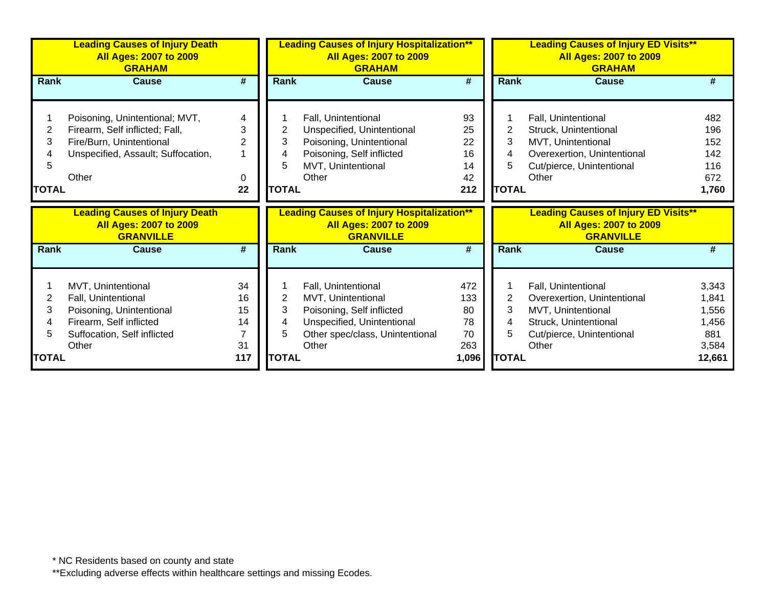|              | <b>Leading Causes of Injury Death</b><br><b>All Ages: 2007 to 2009</b><br><b>GRAHAM</b>    |           |              | <b>Leading Causes of Injury Hospitalization**</b><br><b>All Ages: 2007 to 2009</b><br><b>GRAHAM</b>    |                             |                | <b>Leading Causes of Injury ED Visits**</b><br><b>All Ages: 2007 to 2009</b><br><b>GRAHAM</b>    |                 |  |
|--------------|--------------------------------------------------------------------------------------------|-----------|--------------|--------------------------------------------------------------------------------------------------------|-----------------------------|----------------|--------------------------------------------------------------------------------------------------|-----------------|--|
| Rank         | <b>Cause</b>                                                                               | #         | Rank         | <b>Cause</b>                                                                                           | #                           | Rank           | <b>Cause</b>                                                                                     | #               |  |
|              |                                                                                            |           |              |                                                                                                        |                             |                |                                                                                                  |                 |  |
|              | Poisoning, Unintentional; MVT,                                                             | 4         |              | Fall, Unintentional                                                                                    | 93                          |                | Fall, Unintentional                                                                              | 482             |  |
| 2            | Firearm, Self inflicted; Fall,                                                             | 3         | 2            | Unspecified, Unintentional                                                                             | 25                          | $\overline{2}$ | Struck, Unintentional                                                                            | 196             |  |
| 3            | Fire/Burn, Unintentional                                                                   | 2         | 3            | Poisoning, Unintentional                                                                               | 22                          | 3              | MVT, Unintentional                                                                               | 152             |  |
|              | Unspecified, Assault; Suffocation,                                                         |           | 4            | Poisoning, Self inflicted                                                                              | 16                          | 4              | Overexertion, Unintentional                                                                      | 142             |  |
|              |                                                                                            |           | 5            | MVT, Unintentional                                                                                     | 14                          | 5              | Cut/pierce, Unintentional                                                                        | 116             |  |
|              | Other                                                                                      | 0         |              | Other                                                                                                  | 42                          |                | Other                                                                                            | 672             |  |
| <b>TOTAL</b> |                                                                                            | 22        | <b>TOTAL</b> |                                                                                                        | 212                         | <b>TOTAL</b>   |                                                                                                  | 1,760           |  |
|              |                                                                                            |           |              |                                                                                                        |                             |                |                                                                                                  |                 |  |
|              | <b>Leading Causes of Injury Death</b><br><b>All Ages: 2007 to 2009</b><br><b>GRANVILLE</b> |           |              | <b>Leading Causes of Injury Hospitalization**</b><br><b>All Ages: 2007 to 2009</b><br><b>GRANVILLE</b> |                             |                | <b>Leading Causes of Injury ED Visits**</b><br><b>All Ages: 2007 to 2009</b><br><b>GRANVILLE</b> |                 |  |
| Rank         | <b>Cause</b>                                                                               | #         | <b>Rank</b>  | <b>Cause</b>                                                                                           | $\overline{\boldsymbol{t}}$ | <b>Rank</b>    | <b>Cause</b>                                                                                     | #               |  |
|              |                                                                                            |           |              |                                                                                                        |                             |                |                                                                                                  |                 |  |
|              | MVT, Unintentional                                                                         | 34        |              | Fall, Unintentional                                                                                    | 472                         |                | Fall, Unintentional                                                                              | 3,343           |  |
| 2            | Fall, Unintentional                                                                        | 16        | 2            | MVT, Unintentional                                                                                     | 133                         | $\overline{2}$ | Overexertion, Unintentional                                                                      | 1,841           |  |
| 3            | Poisoning, Unintentional                                                                   | 15        | 3            | Poisoning, Self inflicted                                                                              | 80                          | 3              | MVT, Unintentional                                                                               | 1,556           |  |
|              | Firearm, Self inflicted                                                                    | 14        | 4            | Unspecified, Unintentional                                                                             | 78                          | 4              | Struck, Unintentional                                                                            | 1,456           |  |
|              | Suffocation, Self inflicted                                                                |           | 5            | Other spec/class, Unintentional                                                                        | 70                          | 5              | Cut/pierce, Unintentional                                                                        | 881             |  |
| <b>TOTAL</b> | Other                                                                                      | 31<br>117 | <b>TOTAL</b> | Other                                                                                                  | 263<br>1,096                | <b>TOTAL</b>   | Other                                                                                            | 3,584<br>12,661 |  |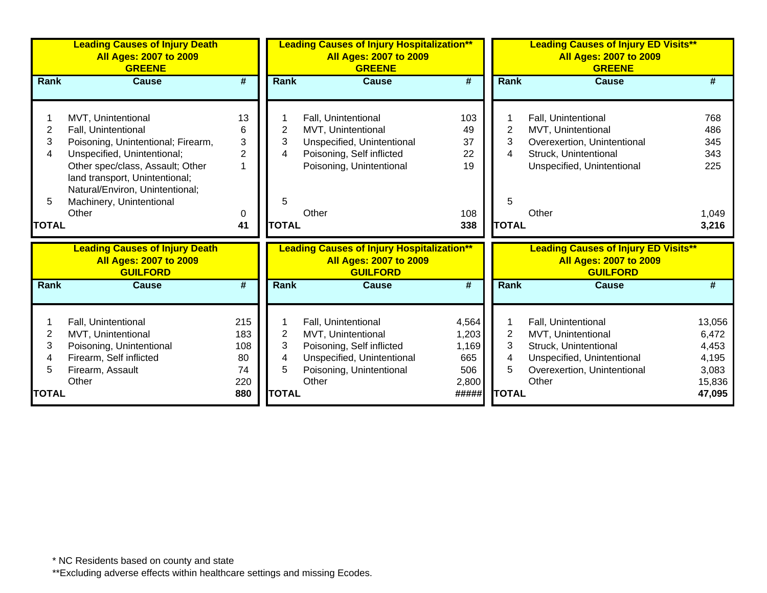|                                  | <b>Leading Causes of Injury Death</b><br><b>All Ages: 2007 to 2009</b><br><b>GREENE</b>                                                                                                                                                                      |                                                |                                  | <b>Leading Causes of Injury Hospitalization**</b><br><b>All Ages: 2007 to 2009</b><br><b>GREENE</b>                                       |                                                |                                  | <b>Leading Causes of Injury ED Visits**</b><br><b>All Ages: 2007 to 2009</b><br><b>GREENE</b>                                            |                                                      |
|----------------------------------|--------------------------------------------------------------------------------------------------------------------------------------------------------------------------------------------------------------------------------------------------------------|------------------------------------------------|----------------------------------|-------------------------------------------------------------------------------------------------------------------------------------------|------------------------------------------------|----------------------------------|------------------------------------------------------------------------------------------------------------------------------------------|------------------------------------------------------|
| Rank                             | Cause                                                                                                                                                                                                                                                        | #                                              | Rank                             | <b>Cause</b>                                                                                                                              | #                                              | <b>Rank</b>                      | Cause                                                                                                                                    | #                                                    |
| 2<br>3<br>4<br>5<br><b>TOTAL</b> | MVT, Unintentional<br>Fall, Unintentional<br>Poisoning, Unintentional; Firearm,<br>Unspecified, Unintentional;<br>Other spec/class, Assault; Other<br>land transport, Unintentional;<br>Natural/Environ, Unintentional;<br>Machinery, Unintentional<br>Other | 13<br>6<br>3<br>$\overline{2}$<br>1<br>0<br>41 | 2<br>3<br>4<br>5<br><b>TOTAL</b> | Fall, Unintentional<br>MVT, Unintentional<br>Unspecified, Unintentional<br>Poisoning, Self inflicted<br>Poisoning, Unintentional<br>Other | 103<br>49<br>37<br>22<br>19<br>108<br>338      | 2<br>3<br>4<br>5<br><b>TOTAL</b> | Fall, Unintentional<br>MVT, Unintentional<br>Overexertion, Unintentional<br>Struck, Unintentional<br>Unspecified, Unintentional<br>Other | 768<br>486<br>345<br>343<br>225<br>1,049<br>3,216    |
|                                  | <b>Leading Causes of Injury Death</b><br><b>All Ages: 2007 to 2009</b><br><b>GUILFORD</b>                                                                                                                                                                    |                                                |                                  | <b>Leading Causes of Injury Hospitalization**</b><br><b>All Ages: 2007 to 2009</b><br><b>GUILFORD</b>                                     |                                                |                                  | <b>Leading Causes of Injury ED Visits**</b><br><b>All Ages: 2007 to 2009</b><br><b>GUILFORD</b>                                          |                                                      |
| Rank                             | <b>Cause</b>                                                                                                                                                                                                                                                 | #                                              | <b>Rank</b>                      | <b>Cause</b>                                                                                                                              | #                                              | <b>Rank</b>                      | <b>Cause</b>                                                                                                                             | #                                                    |
| 2<br>3<br>4<br>5                 | Fall, Unintentional<br>MVT, Unintentional<br>Poisoning, Unintentional<br>Firearm, Self inflicted<br>Firearm, Assault                                                                                                                                         | 215<br>183<br>108<br>80<br>74<br>220           | 2<br>3<br>4<br>5                 | Fall, Unintentional<br>MVT, Unintentional<br>Poisoning, Self inflicted<br>Unspecified, Unintentional<br>Poisoning, Unintentional<br>Other | 4,564<br>1,203<br>1,169<br>665<br>506<br>2,800 | 2<br>3<br>4<br>5                 | Fall, Unintentional<br>MVT, Unintentional<br>Struck, Unintentional<br>Unspecified, Unintentional<br>Overexertion, Unintentional<br>Other | 13,056<br>6,472<br>4,453<br>4,195<br>3,083<br>15,836 |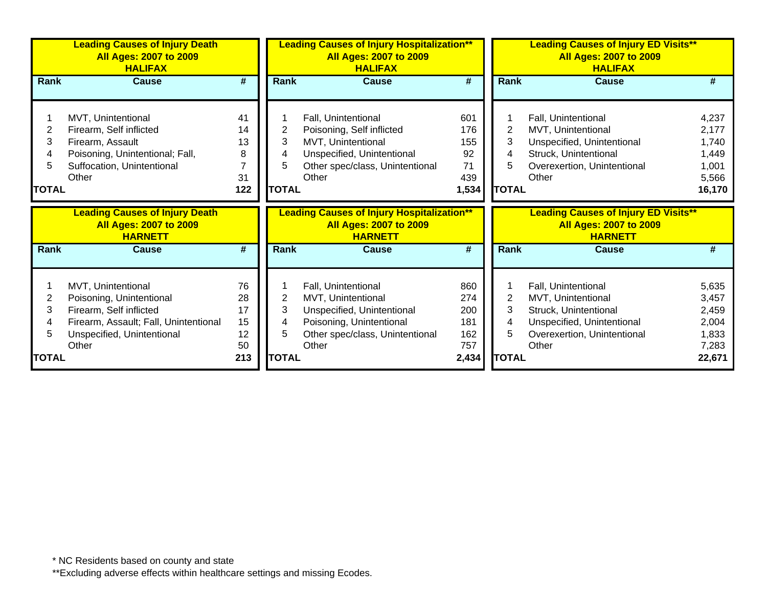|                                  | <b>Leading Causes of Injury Death</b><br><b>All Ages: 2007 to 2009</b><br><b>HALIFAX</b>                                                    |                                  |                             | <b>Leading Causes of Injury Hospitalization**</b><br><b>All Ages: 2007 to 2009</b><br><b>HALIFAX</b>                                             |                                               |                        | <b>Leading Causes of Injury ED Visits**</b><br><b>All Ages: 2007 to 2009</b><br><b>HALIFAX</b>                                           |                                                              |  |
|----------------------------------|---------------------------------------------------------------------------------------------------------------------------------------------|----------------------------------|-----------------------------|--------------------------------------------------------------------------------------------------------------------------------------------------|-----------------------------------------------|------------------------|------------------------------------------------------------------------------------------------------------------------------------------|--------------------------------------------------------------|--|
| Rank                             | <b>Cause</b>                                                                                                                                | #                                | Rank                        | <b>Cause</b>                                                                                                                                     | #                                             | Rank                   | <b>Cause</b>                                                                                                                             | #                                                            |  |
| 2<br>3<br>4<br>5<br><b>TOTAL</b> | MVT, Unintentional<br>Firearm, Self inflicted<br>Firearm, Assault<br>Poisoning, Unintentional; Fall,<br>Suffocation, Unintentional<br>Other | 41<br>14<br>13<br>8<br>31<br>122 | 2<br>3<br>5<br><b>TOTAL</b> | Fall, Unintentional<br>Poisoning, Self inflicted<br>MVT, Unintentional<br>Unspecified, Unintentional<br>Other spec/class, Unintentional<br>Other | 601<br>176<br>155<br>92<br>71<br>439<br>1,534 | 2<br>3<br><b>TOTAL</b> | Fall, Unintentional<br>MVT, Unintentional<br>Unspecified, Unintentional<br>Struck, Unintentional<br>Overexertion, Unintentional<br>Other | 4,237<br>2,177<br>1,740<br>1,449<br>1,001<br>5,566<br>16,170 |  |
|                                  |                                                                                                                                             |                                  |                             |                                                                                                                                                  |                                               |                        |                                                                                                                                          |                                                              |  |
|                                  | <b>Leading Causes of Injury Death</b><br><b>All Ages: 2007 to 2009</b><br><b>HARNETT</b>                                                    |                                  |                             | <b>Leading Causes of Injury Hospitalization**</b><br><b>All Ages: 2007 to 2009</b><br><b>HARNETT</b>                                             |                                               |                        | <b>Leading Causes of Injury ED Visits**</b><br><b>All Ages: 2007 to 2009</b><br><b>HARNETT</b>                                           |                                                              |  |
| <b>Rank</b>                      | <b>Cause</b>                                                                                                                                | #                                | <b>Rank</b>                 | <b>Cause</b>                                                                                                                                     | #                                             | Rank                   | <b>Cause</b>                                                                                                                             | #                                                            |  |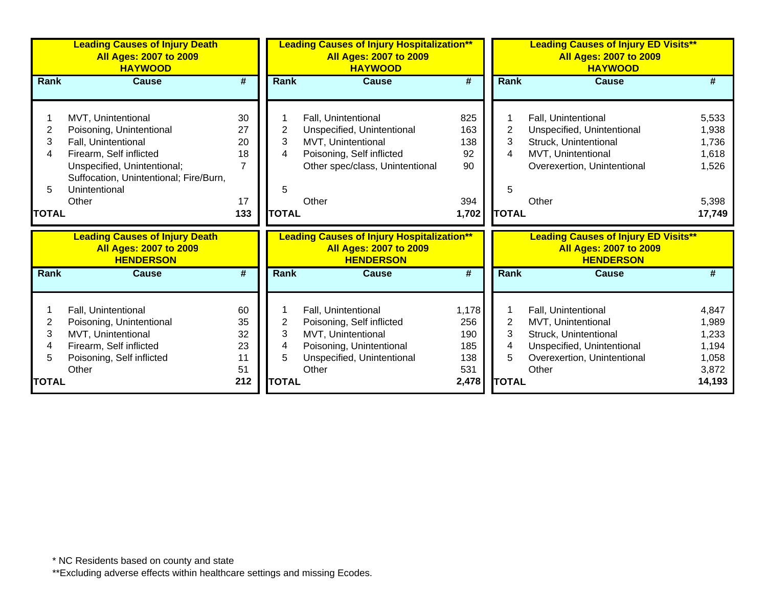|              | <b>Leading Causes of Injury Death</b><br><b>All Ages: 2007 to 2009</b><br><b>HAYWOOD</b>   |                             | <b>Leading Causes of Injury Hospitalization**</b><br><b>All Ages: 2007 to 2009</b><br><b>HAYWOOD</b> |                                                                                                        |                             | <b>Leading Causes of Injury ED Visits**</b><br><b>All Ages: 2007 to 2009</b><br><b>HAYWOOD</b> |                                                                                                  |                |  |
|--------------|--------------------------------------------------------------------------------------------|-----------------------------|------------------------------------------------------------------------------------------------------|--------------------------------------------------------------------------------------------------------|-----------------------------|------------------------------------------------------------------------------------------------|--------------------------------------------------------------------------------------------------|----------------|--|
| <b>Rank</b>  | <b>Cause</b>                                                                               | $\overline{\boldsymbol{t}}$ | Rank                                                                                                 | <b>Cause</b>                                                                                           | $\overline{\boldsymbol{t}}$ | Rank                                                                                           | <b>Cause</b>                                                                                     |                |  |
|              | MVT, Unintentional                                                                         | 30                          |                                                                                                      | Fall, Unintentional                                                                                    | 825                         |                                                                                                | Fall, Unintentional                                                                              | 5,533          |  |
| 2<br>3       | Poisoning, Unintentional<br>Fall, Unintentional                                            | 27<br>20                    | 2<br>3                                                                                               | Unspecified, Unintentional<br>MVT, Unintentional                                                       | 163<br>138                  | $\overline{2}$<br>3                                                                            | Unspecified, Unintentional<br>Struck, Unintentional                                              | 1,938          |  |
| 4            | Firearm, Self inflicted                                                                    | 18                          | 4                                                                                                    | Poisoning, Self inflicted                                                                              | 92                          | 4                                                                                              | MVT, Unintentional                                                                               | 1,736<br>1,618 |  |
|              | Unspecified, Unintentional;<br>Suffocation, Unintentional; Fire/Burn,                      | $\overline{7}$              |                                                                                                      | Other spec/class, Unintentional                                                                        | 90                          |                                                                                                | Overexertion, Unintentional                                                                      | 1,526          |  |
| 5            | Unintentional                                                                              |                             | 5                                                                                                    |                                                                                                        |                             | 5                                                                                              |                                                                                                  |                |  |
|              | Other                                                                                      | 17                          |                                                                                                      | Other                                                                                                  | 394                         |                                                                                                | Other                                                                                            | 5,398          |  |
| <b>TOTAL</b> |                                                                                            | 133                         | <b>TOTAL</b>                                                                                         |                                                                                                        | 1,702                       | <b>TOTAL</b>                                                                                   |                                                                                                  | 17,749         |  |
|              | <b>Leading Causes of Injury Death</b><br><b>All Ages: 2007 to 2009</b><br><b>HENDERSON</b> |                             |                                                                                                      | <b>Leading Causes of Injury Hospitalization**</b><br><b>All Ages: 2007 to 2009</b><br><b>HENDERSON</b> |                             |                                                                                                | <b>Leading Causes of Injury ED Visits**</b><br><b>All Ages: 2007 to 2009</b><br><b>HENDERSON</b> |                |  |
| <b>Rank</b>  | <b>Cause</b>                                                                               | #                           | Rank                                                                                                 | <b>Cause</b>                                                                                           | #                           | Rank                                                                                           | <b>Cause</b>                                                                                     | #              |  |
| 2            | Fall, Unintentional<br>Poisoning, Unintentional                                            | 60<br>35                    | 2                                                                                                    | Fall, Unintentional<br>Poisoning, Self inflicted                                                       | 1,178<br>256                | $\overline{2}$                                                                                 | Fall, Unintentional<br>MVT, Unintentional                                                        | 4,847<br>1,989 |  |
| 3            | MVT, Unintentional<br>Firearm, Self inflicted                                              | 32<br>23                    | 3<br>4                                                                                               | MVT, Unintentional<br>Poisoning, Unintentional                                                         | 190<br>185                  | 3<br>4                                                                                         | Struck, Unintentional<br>Unspecified, Unintentional                                              | 1,233<br>1,194 |  |
| 5            | Poisoning, Self inflicted                                                                  | 11                          | 5                                                                                                    | Unspecified, Unintentional                                                                             | 138                         | 5                                                                                              | Overexertion, Unintentional                                                                      | 1,058          |  |
|              | Other                                                                                      | 51                          |                                                                                                      | Other                                                                                                  | 531                         |                                                                                                | Other                                                                                            | 3,872          |  |
| <b>TOTAL</b> |                                                                                            | 212                         | <b>TOTAL</b>                                                                                         |                                                                                                        | 2,478                       | <b>TOTAL</b>                                                                                   |                                                                                                  | 14,193         |  |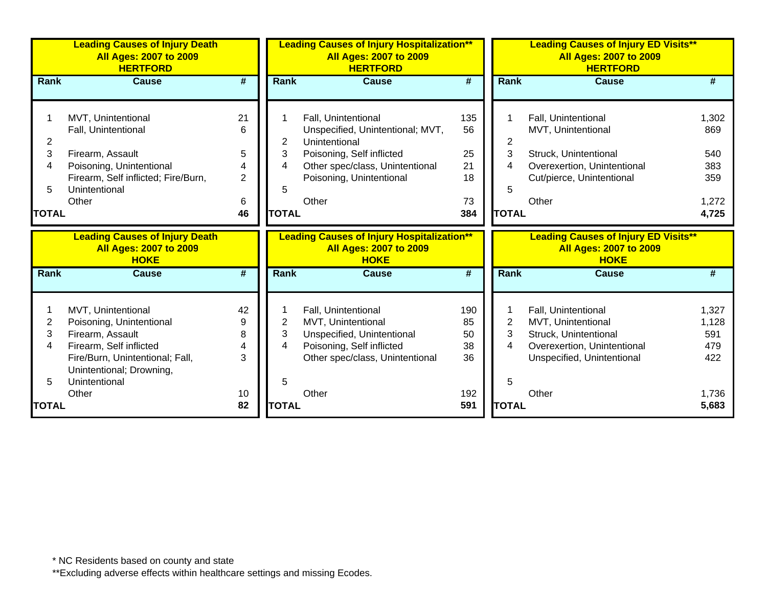|                | <b>Leading Causes of Injury Death</b><br><b>All Ages: 2007 to 2009</b><br><b>HERTFORD</b> |                             |              | <b>Leading Causes of Injury Hospitalization**</b><br><b>All Ages: 2007 to 2009</b><br><b>HERTFORD</b> |                             |                | <b>Leading Causes of Injury ED Visits**</b><br><b>All Ages: 2007 to 2009</b><br><b>HERTFORD</b> |                |
|----------------|-------------------------------------------------------------------------------------------|-----------------------------|--------------|-------------------------------------------------------------------------------------------------------|-----------------------------|----------------|-------------------------------------------------------------------------------------------------|----------------|
| <b>Rank</b>    | <b>Cause</b>                                                                              | $\overline{\boldsymbol{H}}$ | Rank         | <b>Cause</b>                                                                                          | $\overline{\boldsymbol{H}}$ | Rank           | <b>Cause</b>                                                                                    | #              |
|                |                                                                                           |                             |              |                                                                                                       |                             |                |                                                                                                 |                |
|                | MVT, Unintentional                                                                        | 21                          |              | Fall, Unintentional                                                                                   | 135                         |                | Fall, Unintentional                                                                             | 1,302          |
|                | Fall, Unintentional                                                                       | 6                           |              | Unspecified, Unintentional; MVT,                                                                      | 56                          |                | MVT, Unintentional                                                                              | 869            |
| $\overline{2}$ |                                                                                           |                             | 2            | Unintentional                                                                                         |                             | $\overline{2}$ |                                                                                                 |                |
| 3              | Firearm, Assault                                                                          | 5                           | 3            | Poisoning, Self inflicted                                                                             | 25                          | 3              | Struck, Unintentional                                                                           | 540            |
| 4              | Poisoning, Unintentional                                                                  |                             | 4            | Other spec/class, Unintentional                                                                       | 21                          | 4              | Overexertion, Unintentional                                                                     | 383            |
|                | Firearm, Self inflicted; Fire/Burn,                                                       | $\overline{2}$              |              | Poisoning, Unintentional                                                                              | 18                          |                | Cut/pierce, Unintentional                                                                       | 359            |
| 5              | Unintentional                                                                             |                             | 5            |                                                                                                       |                             | 5              |                                                                                                 |                |
|                | Other                                                                                     | 6                           |              | Other                                                                                                 | 73                          |                | Other                                                                                           | 1,272          |
| <b>TOTAL</b>   |                                                                                           | 46                          | <b>TOTAL</b> |                                                                                                       | 384                         | <b>TOTAL</b>   |                                                                                                 | 4,725          |
|                |                                                                                           |                             |              |                                                                                                       |                             |                |                                                                                                 |                |
|                | <b>Leading Causes of Injury Death</b><br><b>All Ages: 2007 to 2009</b>                    |                             |              | <b>Leading Causes of Injury Hospitalization**</b><br><b>All Ages: 2007 to 2009</b>                    |                             |                | <b>Leading Causes of Injury ED Visits**</b><br><b>All Ages: 2007 to 2009</b>                    |                |
|                | <b>HOKE</b>                                                                               |                             |              | <b>HOKE</b>                                                                                           |                             |                | <b>HOKE</b>                                                                                     |                |
| Rank           | <b>Cause</b>                                                                              | #                           | Rank         | <b>Cause</b>                                                                                          | #                           | Rank           | <b>Cause</b>                                                                                    | #              |
|                |                                                                                           |                             |              |                                                                                                       |                             |                |                                                                                                 |                |
|                | MVT, Unintentional                                                                        | 42                          |              | Fall, Unintentional                                                                                   | 190                         |                | Fall, Unintentional                                                                             | 1,327          |
| 2              | Poisoning, Unintentional                                                                  | 9                           | 2            | MVT, Unintentional                                                                                    | 85                          | $\overline{2}$ | MVT, Unintentional                                                                              | 1,128          |
| 3              | Firearm, Assault                                                                          | 8                           | 3            | Unspecified, Unintentional                                                                            | 50                          | 3              | Struck, Unintentional                                                                           | 591            |
| 4              | Firearm, Self inflicted                                                                   | 4                           | 4            | Poisoning, Self inflicted                                                                             | 38                          | 4              | Overexertion, Unintentional                                                                     | 479            |
|                | Fire/Burn, Unintentional; Fall,                                                           | 3                           |              | Other spec/class, Unintentional                                                                       | 36                          |                | Unspecified, Unintentional                                                                      | 422            |
|                | Unintentional; Drowning,                                                                  |                             |              |                                                                                                       |                             |                |                                                                                                 |                |
| 5              | Unintentional                                                                             |                             | 5            |                                                                                                       |                             | 5              |                                                                                                 |                |
| TOTAL          | Other                                                                                     | 10<br>82                    | <b>TOTAL</b> | Other                                                                                                 | 192<br>591                  | <b>TOTAL</b>   | Other                                                                                           | 1,736<br>5,683 |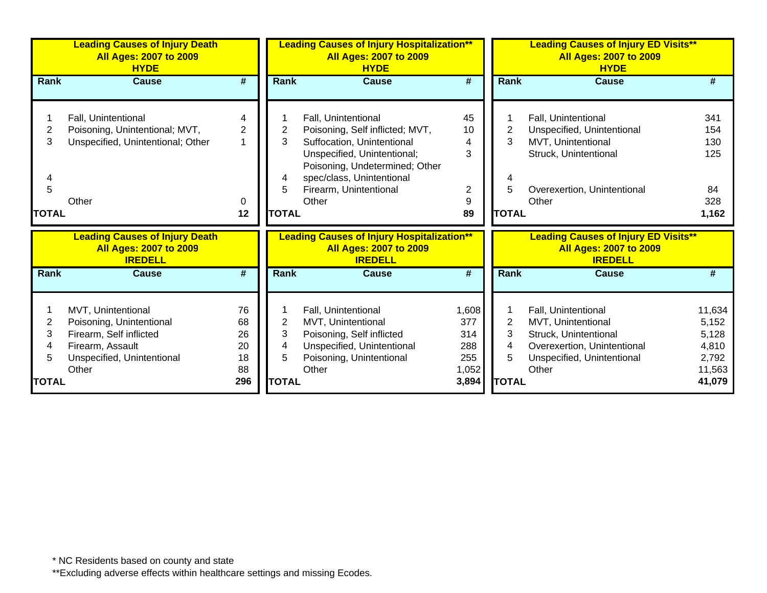|                           | <b>Leading Causes of Injury Death</b><br><b>All Ages: 2007 to 2009</b><br><b>HYDE</b>                                                |                                                  | <b>Leading Causes of Injury Hospitalization**</b><br><b>All Ages: 2007 to 2009</b><br><b>HYDE</b> |                                                                                                                                                                                                                       |                                                     |                                          | <b>Leading Causes of Injury ED Visits**</b><br><b>All Ages: 2007 to 2009</b><br><b>HYDE</b>                                              |                                                                |
|---------------------------|--------------------------------------------------------------------------------------------------------------------------------------|--------------------------------------------------|---------------------------------------------------------------------------------------------------|-----------------------------------------------------------------------------------------------------------------------------------------------------------------------------------------------------------------------|-----------------------------------------------------|------------------------------------------|------------------------------------------------------------------------------------------------------------------------------------------|----------------------------------------------------------------|
| <b>Rank</b>               | Cause                                                                                                                                | #                                                | <b>Rank</b>                                                                                       | <b>Cause</b>                                                                                                                                                                                                          | #                                                   | <b>Rank</b>                              | Cause                                                                                                                                    | #                                                              |
| 2<br>3<br>5<br>TOTAL      | Fall, Unintentional<br>Poisoning, Unintentional; MVT,<br>Unspecified, Unintentional; Other<br>Other                                  | 4<br>$\overline{2}$<br>$\overline{1}$<br>0<br>12 | 2<br>3<br>4<br>5<br><b>TOTAL</b>                                                                  | Fall, Unintentional<br>Poisoning, Self inflicted; MVT,<br>Suffocation, Unintentional<br>Unspecified, Unintentional;<br>Poisoning, Undetermined; Other<br>spec/class, Unintentional<br>Firearm, Unintentional<br>Other | 45<br>10<br>4<br>3<br>2<br>9<br>89                  | $\overline{2}$<br>3<br>5<br><b>TOTAL</b> | Fall, Unintentional<br>Unspecified, Unintentional<br>MVT, Unintentional<br>Struck, Unintentional<br>Overexertion, Unintentional<br>Other | 341<br>154<br>130<br>125<br>84<br>328<br>1,162                 |
|                           | <b>Leading Causes of Injury Death</b><br><b>All Ages: 2007 to 2009</b><br><b>IREDELL</b>                                             |                                                  |                                                                                                   | <b>Leading Causes of Injury Hospitalization**</b><br><b>All Ages: 2007 to 2009</b><br><b>IREDELL</b>                                                                                                                  |                                                     |                                          | <b>Leading Causes of Injury ED Visits**</b><br><b>All Ages: 2007 to 2009</b><br><b>IREDELL</b>                                           |                                                                |
| Rank                      | Cause                                                                                                                                | #                                                | <b>Rank</b>                                                                                       | <b>Cause</b>                                                                                                                                                                                                          | #                                                   | <b>Rank</b>                              | Cause                                                                                                                                    | #                                                              |
| 2<br>3<br>4<br>5<br>TOTAL | MVT, Unintentional<br>Poisoning, Unintentional<br>Firearm, Self inflicted<br>Firearm, Assault<br>Unspecified, Unintentional<br>Other | 76<br>68<br>26<br>20<br>18<br>88<br>296          | 2<br>3<br>4<br>5<br><b>TOTAL</b>                                                                  | Fall, Unintentional<br>MVT, Unintentional<br>Poisoning, Self inflicted<br>Unspecified, Unintentional<br>Poisoning, Unintentional<br>Other                                                                             | 1,608<br>377<br>314<br>288<br>255<br>1,052<br>3,894 | 2<br>3<br>4<br>5<br><b>TOTAL</b>         | Fall, Unintentional<br>MVT, Unintentional<br>Struck, Unintentional<br>Overexertion, Unintentional<br>Unspecified, Unintentional<br>Other | 11,634<br>5,152<br>5,128<br>4,810<br>2,792<br>11,563<br>41,079 |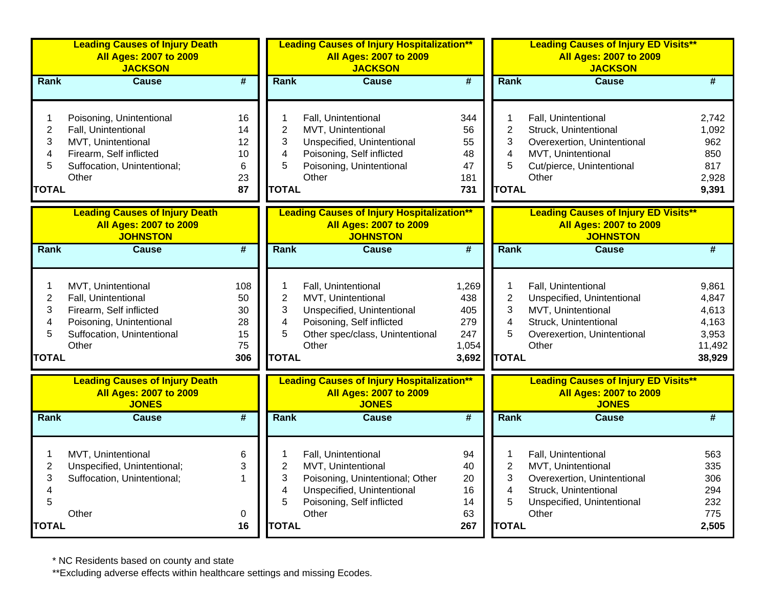|                                                                          | <b>Leading Causes of Injury Death</b><br><b>All Ages: 2007 to 2009</b><br><b>JACKSON</b>                                                 |                                          |                                                    | <b>Leading Causes of Injury Hospitalization**</b><br><b>All Ages: 2007 to 2009</b><br><b>JACKSON</b>                                             |                                                     |                                                    | <b>Leading Causes of Injury ED Visits**</b><br><b>All Ages: 2007 to 2009</b><br><b>JACKSON</b>                                           |                                                               |  |
|--------------------------------------------------------------------------|------------------------------------------------------------------------------------------------------------------------------------------|------------------------------------------|----------------------------------------------------|--------------------------------------------------------------------------------------------------------------------------------------------------|-----------------------------------------------------|----------------------------------------------------|------------------------------------------------------------------------------------------------------------------------------------------|---------------------------------------------------------------|--|
| Rank                                                                     | Cause                                                                                                                                    | #                                        | Rank                                               | Cause                                                                                                                                            | $\overline{\mathbf{H}}$                             | Rank                                               | Cause                                                                                                                                    | #                                                             |  |
| 1<br>$\overline{2}$<br>3<br>4<br>5<br><b>TOTAL</b>                       | Poisoning, Unintentional<br>Fall, Unintentional<br>MVT, Unintentional<br>Firearm, Self inflicted<br>Suffocation, Unintentional;<br>Other | 16<br>14<br>12<br>10<br>6<br>23<br>87    | 1<br>$\overline{2}$<br>3<br>4<br>5<br><b>TOTAL</b> | Fall, Unintentional<br>MVT, Unintentional<br>Unspecified, Unintentional<br>Poisoning, Self inflicted<br>Poisoning, Unintentional<br>Other        | 344<br>56<br>55<br>48<br>47<br>181<br>731           | 1<br>$\overline{2}$<br>3<br>4<br>5<br><b>TOTAL</b> | Fall, Unintentional<br>Struck, Unintentional<br>Overexertion, Unintentional<br>MVT, Unintentional<br>Cut/pierce, Unintentional<br>Other  | 2,742<br>1,092<br>962<br>850<br>817<br>2,928<br>9,391         |  |
|                                                                          | <b>Leading Causes of Injury Death</b><br><b>All Ages: 2007 to 2009</b><br><b>JOHNSTON</b>                                                |                                          |                                                    | <b>Leading Causes of Injury Hospitalization**</b><br><b>All Ages: 2007 to 2009</b><br><b>JOHNSTON</b>                                            |                                                     |                                                    | <b>Leading Causes of Injury ED Visits**</b><br><b>All Ages: 2007 to 2009</b><br><b>JOHNSTON</b>                                          |                                                               |  |
| Rank                                                                     | <b>Cause</b>                                                                                                                             | $\overline{\#}$                          | Rank                                               | <b>Cause</b>                                                                                                                                     | #                                                   | Rank                                               | <b>Cause</b>                                                                                                                             | $\overline{\boldsymbol{H}}$                                   |  |
| $\mathbf{1}$<br>$\overline{2}$<br>3<br>4<br>5<br><b>TOTAL</b>            | MVT, Unintentional<br>Fall, Unintentional<br>Firearm, Self inflicted<br>Poisoning, Unintentional<br>Suffocation, Unintentional<br>Other  | 108<br>50<br>30<br>28<br>15<br>75<br>306 | 1<br>$\overline{c}$<br>3<br>4<br>5<br><b>TOTAL</b> | Fall, Unintentional<br>MVT, Unintentional<br>Unspecified, Unintentional<br>Poisoning, Self inflicted<br>Other spec/class, Unintentional<br>Other | 1,269<br>438<br>405<br>279<br>247<br>1,054<br>3,692 | 1<br>$\overline{2}$<br>3<br>4<br>5<br><b>TOTAL</b> | Fall, Unintentional<br>Unspecified, Unintentional<br>MVT, Unintentional<br>Struck, Unintentional<br>Overexertion, Unintentional<br>Other | 9,861<br>4,847<br>4,613<br>4,163<br>3,953<br>11,492<br>38,929 |  |
|                                                                          | <b>Leading Causes of Injury Death</b><br><b>All Ages: 2007 to 2009</b><br><b>JONES</b>                                                   |                                          |                                                    | <b>Leading Causes of Injury Hospitalization**</b><br><b>All Ages: 2007 to 2009</b><br><b>JONES</b>                                               |                                                     |                                                    | <b>Leading Causes of Injury ED Visits**</b><br><b>All Ages: 2007 to 2009</b><br><b>JONES</b>                                             |                                                               |  |
| Rank                                                                     | <b>Cause</b>                                                                                                                             | $\overline{\#}$                          | Rank                                               | <b>Cause</b>                                                                                                                                     | $\overline{\#}$                                     | Rank                                               | <b>Cause</b>                                                                                                                             | $\overline{\#}$                                               |  |
| 1<br>$\overline{2}$<br>3<br>$\overline{\mathbf{4}}$<br>5<br><b>TOTAL</b> | MVT, Unintentional<br>Unspecified, Unintentional;<br>Suffocation, Unintentional;<br>Other                                                | 6<br>3<br>$\mathbf 1$<br>0<br>16         | 1<br>$\overline{2}$<br>3<br>4<br>5<br><b>TOTAL</b> | Fall, Unintentional<br>MVT, Unintentional<br>Poisoning, Unintentional; Other<br>Unspecified, Unintentional<br>Poisoning, Self inflicted<br>Other | 94<br>40<br>20<br>16<br>14<br>63<br>267             | 1<br>$\overline{c}$<br>3<br>4<br>5<br><b>TOTAL</b> | Fall, Unintentional<br>MVT, Unintentional<br>Overexertion, Unintentional<br>Struck, Unintentional<br>Unspecified, Unintentional<br>Other | 563<br>335<br>306<br>294<br>232<br>775<br>2,505               |  |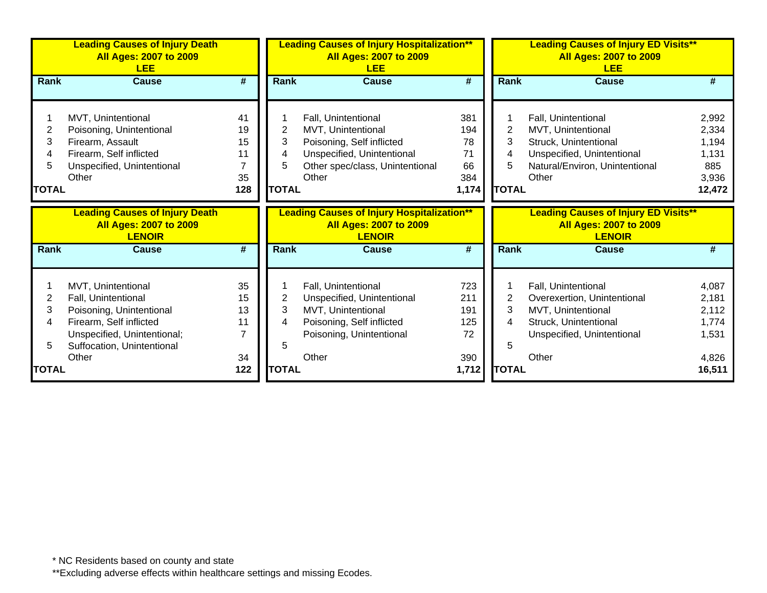|              | <b>Leading Causes of Injury Death</b><br><b>All Ages: 2007 to 2009</b><br><b>LEE</b>    |                             |                | <b>Leading Causes of Injury Hospitalization**</b><br><b>All Ages: 2007 to 2009</b><br><b>LEE</b>    |                             |                | <b>Leading Causes of Injury ED Visits**</b><br><b>All Ages: 2007 to 2009</b><br><b>LEE</b>    |        |  |
|--------------|-----------------------------------------------------------------------------------------|-----------------------------|----------------|-----------------------------------------------------------------------------------------------------|-----------------------------|----------------|-----------------------------------------------------------------------------------------------|--------|--|
| <b>Rank</b>  | <b>Cause</b>                                                                            | $\overline{\boldsymbol{r}}$ | <b>Rank</b>    | <b>Cause</b>                                                                                        | #                           | <b>Rank</b>    | <b>Cause</b>                                                                                  | #      |  |
|              |                                                                                         |                             |                |                                                                                                     |                             |                |                                                                                               |        |  |
|              | MVT, Unintentional                                                                      | 41                          |                | Fall, Unintentional                                                                                 | 381                         |                | Fall, Unintentional                                                                           | 2,992  |  |
| 2            | Poisoning, Unintentional                                                                | 19                          | 2              | MVT, Unintentional                                                                                  | 194                         | $\overline{2}$ | MVT, Unintentional                                                                            | 2,334  |  |
| 3            | Firearm, Assault                                                                        | 15                          | 3              | Poisoning, Self inflicted                                                                           | 78                          | 3              | Struck, Unintentional                                                                         | 1,194  |  |
|              | Firearm, Self inflicted                                                                 | 11                          | 4              | Unspecified, Unintentional                                                                          | 71                          | 4              | Unspecified, Unintentional                                                                    | 1,131  |  |
| 5            | Unspecified, Unintentional                                                              |                             | 5              | Other spec/class, Unintentional                                                                     | 66                          | 5              | Natural/Environ, Unintentional                                                                | 885    |  |
|              | Other                                                                                   | 35                          |                | Other                                                                                               | 384                         |                | Other                                                                                         | 3,936  |  |
| <b>TOTAL</b> |                                                                                         | 128                         | <b>TOTAL</b>   |                                                                                                     | 1,174                       | <b>TOTAL</b>   |                                                                                               | 12,472 |  |
|              | <b>Leading Causes of Injury Death</b><br><b>All Ages: 2007 to 2009</b><br><b>LENOIR</b> |                             |                | <b>Leading Causes of Injury Hospitalization**</b><br><b>All Ages: 2007 to 2009</b><br><b>LENOIR</b> |                             |                | <b>Leading Causes of Injury ED Visits**</b><br><b>All Ages: 2007 to 2009</b><br><b>LENOIR</b> |        |  |
| <b>Rank</b>  | <b>Cause</b>                                                                            | $\overline{\boldsymbol{t}}$ | <b>Rank</b>    | <b>Cause</b>                                                                                        | $\overline{\boldsymbol{t}}$ | <b>Rank</b>    | <b>Cause</b>                                                                                  | #      |  |
|              | MVT, Unintentional                                                                      | 35                          |                | Fall, Unintentional                                                                                 | 723                         |                | Fall, Unintentional                                                                           | 4,087  |  |
| 2            | Fall, Unintentional                                                                     | 15                          | $\overline{2}$ | Unspecified, Unintentional                                                                          | 211                         | $\overline{2}$ | Overexertion, Unintentional                                                                   | 2,181  |  |
| 3            | Poisoning, Unintentional                                                                | 13                          | 3              | MVT, Unintentional                                                                                  | 191                         | 3              | MVT, Unintentional                                                                            | 2,112  |  |
| 4            | Firearm, Self inflicted                                                                 | 11                          | 4              | Poisoning, Self inflicted                                                                           | 125                         | 4              | Struck, Unintentional                                                                         | 1,774  |  |
|              | Unspecified, Unintentional;                                                             | 7                           |                | Poisoning, Unintentional                                                                            | 72                          |                | Unspecified, Unintentional                                                                    | 1,531  |  |
| 5            | Suffocation, Unintentional                                                              |                             | 5              |                                                                                                     |                             | 5              |                                                                                               |        |  |
|              | Other                                                                                   | 34                          |                | Other                                                                                               | 390                         |                | Other                                                                                         | 4,826  |  |
| <b>TOTAL</b> |                                                                                         | 122                         | <b>TOTAL</b>   |                                                                                                     | 1,712                       | <b>TOTAL</b>   |                                                                                               | 16,511 |  |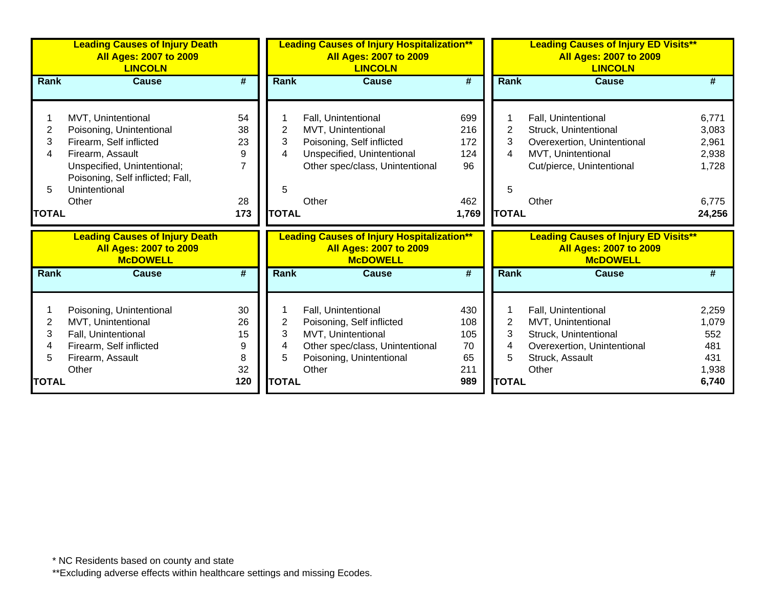|              | <b>Leading Causes of Injury Death</b><br><b>All Ages: 2007 to 2009</b><br><b>LINCOLN</b>  |                | <b>Leading Causes of Injury Hospitalization**</b><br><b>All Ages: 2007 to 2009</b><br><b>LINCOLN</b> |                                                                                                       |                             | <b>Leading Causes of Injury ED Visits**</b><br><b>All Ages: 2007 to 2009</b><br><b>LINCOLN</b> |                                                                                                 |        |  |
|--------------|-------------------------------------------------------------------------------------------|----------------|------------------------------------------------------------------------------------------------------|-------------------------------------------------------------------------------------------------------|-----------------------------|------------------------------------------------------------------------------------------------|-------------------------------------------------------------------------------------------------|--------|--|
| <b>Rank</b>  | <b>Cause</b>                                                                              | #              | Rank                                                                                                 | <b>Cause</b>                                                                                          | #                           |                                                                                                | Rank<br><b>Cause</b>                                                                            |        |  |
|              |                                                                                           |                |                                                                                                      |                                                                                                       |                             |                                                                                                |                                                                                                 |        |  |
|              | MVT, Unintentional                                                                        | 54             |                                                                                                      | Fall, Unintentional                                                                                   | 699                         |                                                                                                | Fall, Unintentional                                                                             | 6,771  |  |
| 2            | Poisoning, Unintentional                                                                  | 38             | 2                                                                                                    | MVT, Unintentional                                                                                    | 216                         |                                                                                                | $\overline{2}$<br>Struck, Unintentional                                                         | 3,083  |  |
| 3            | Firearm, Self inflicted                                                                   | 23             | 3                                                                                                    | Poisoning, Self inflicted                                                                             | 172                         |                                                                                                | 3<br>Overexertion, Unintentional                                                                | 2,961  |  |
| 4            | Firearm, Assault                                                                          | 9              | 4                                                                                                    | Unspecified, Unintentional                                                                            | 124                         |                                                                                                | 4<br>MVT, Unintentional                                                                         | 2,938  |  |
|              | Unspecified, Unintentional;                                                               | $\overline{7}$ |                                                                                                      | Other spec/class, Unintentional                                                                       | 96                          |                                                                                                | Cut/pierce, Unintentional                                                                       | 1,728  |  |
|              | Poisoning, Self inflicted; Fall,                                                          |                |                                                                                                      |                                                                                                       |                             |                                                                                                |                                                                                                 |        |  |
| 5            | Unintentional                                                                             |                | 5                                                                                                    |                                                                                                       |                             |                                                                                                | 5                                                                                               |        |  |
|              | Other                                                                                     | 28             |                                                                                                      | Other                                                                                                 | 462                         |                                                                                                | Other                                                                                           | 6,775  |  |
| <b>TOTAL</b> |                                                                                           | 173            | <b>TOTAL</b>                                                                                         |                                                                                                       | 1,769                       | <b>TOTAL</b>                                                                                   |                                                                                                 | 24,256 |  |
|              | <b>Leading Causes of Injury Death</b><br><b>All Ages: 2007 to 2009</b><br><b>McDOWELL</b> |                |                                                                                                      | <b>Leading Causes of Injury Hospitalization**</b><br><b>All Ages: 2007 to 2009</b><br><b>McDOWELL</b> |                             |                                                                                                | <b>Leading Causes of Injury ED Visits**</b><br><b>All Ages: 2007 to 2009</b><br><b>McDOWELL</b> |        |  |
| <b>Rank</b>  | <b>Cause</b>                                                                              | #              | Rank                                                                                                 | <b>Cause</b>                                                                                          | $\overline{\boldsymbol{H}}$ | Rank                                                                                           | <b>Cause</b>                                                                                    |        |  |
|              | Poisoning, Unintentional                                                                  | 30             |                                                                                                      | Fall, Unintentional                                                                                   | 430                         |                                                                                                | Fall, Unintentional                                                                             | 2,259  |  |
| 2            | MVT, Unintentional                                                                        | 26             | 2                                                                                                    | Poisoning, Self inflicted                                                                             | 108                         |                                                                                                | $\overline{2}$<br>MVT, Unintentional                                                            | 1,079  |  |
| 3            | Fall, Unintentional                                                                       | 15             | 3                                                                                                    | MVT, Unintentional                                                                                    | 105                         |                                                                                                | 3<br>Struck, Unintentional                                                                      | 552    |  |
| 4            | Firearm, Self inflicted                                                                   | 9              | 4                                                                                                    | Other spec/class, Unintentional                                                                       | 70                          |                                                                                                | Overexertion, Unintentional<br>4                                                                | 481    |  |
| 5            | Firearm, Assault                                                                          | 8              | 5                                                                                                    | Poisoning, Unintentional                                                                              | 65                          |                                                                                                | Struck, Assault<br>5                                                                            | 431    |  |
|              | Other                                                                                     | 32             |                                                                                                      | Other                                                                                                 | 211                         |                                                                                                | Other                                                                                           | 1,938  |  |
| TOTAL        |                                                                                           | 120            | <b>TOTAL</b>                                                                                         |                                                                                                       | 989                         | <b>TOTAL</b>                                                                                   |                                                                                                 | 6,740  |  |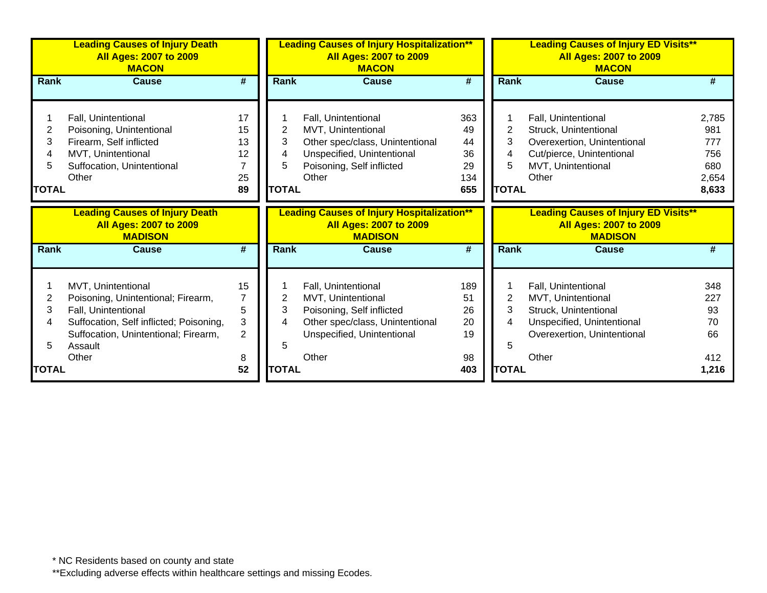|                                  | <b>Leading Causes of Injury Death</b><br><b>All Ages: 2007 to 2009</b><br><b>MACON</b>                                                                                                 |                                                  |                                  | <b>Leading Causes of Injury Hospitalization**</b><br><b>All Ages: 2007 to 2009</b><br><b>MACON</b>                                               |                                           |                                  | <b>Leading Causes of Injury ED Visits**</b><br><b>All Ages: 2007 to 2009</b><br><b>MACON</b>                                             |                                                     |
|----------------------------------|----------------------------------------------------------------------------------------------------------------------------------------------------------------------------------------|--------------------------------------------------|----------------------------------|--------------------------------------------------------------------------------------------------------------------------------------------------|-------------------------------------------|----------------------------------|------------------------------------------------------------------------------------------------------------------------------------------|-----------------------------------------------------|
| <b>Rank</b>                      | <b>Cause</b>                                                                                                                                                                           | #                                                | Rank                             | <b>Cause</b>                                                                                                                                     | $\overline{\boldsymbol{t}}$               | <b>Rank</b>                      | <b>Cause</b>                                                                                                                             |                                                     |
| 2<br>3<br>4<br>5<br><b>TOTAL</b> | Fall, Unintentional<br>Poisoning, Unintentional<br>Firearm, Self inflicted<br>MVT, Unintentional<br>Suffocation, Unintentional<br>Other                                                | 17<br>15<br>13<br>12<br>7<br>25<br>89            | 2<br>3<br>4<br>5<br><b>TOTAL</b> | Fall, Unintentional<br>MVT, Unintentional<br>Other spec/class, Unintentional<br>Unspecified, Unintentional<br>Poisoning, Self inflicted<br>Other | 363<br>49<br>44<br>36<br>29<br>134<br>655 | 2<br>3<br>4<br>5<br><b>TOTAL</b> | Fall, Unintentional<br>Struck, Unintentional<br>Overexertion, Unintentional<br>Cut/pierce, Unintentional<br>MVT, Unintentional<br>Other  | 2,785<br>981<br>777<br>756<br>680<br>2,654<br>8,633 |
|                                  | <b>Leading Causes of Injury Death</b><br><b>All Ages: 2007 to 2009</b><br><b>MADISON</b>                                                                                               |                                                  |                                  | <b>Leading Causes of Injury Hospitalization**</b><br><b>All Ages: 2007 to 2009</b><br><b>MADISON</b>                                             |                                           |                                  | <b>Leading Causes of Injury ED Visits**</b><br><b>All Ages: 2007 to 2009</b><br><b>MADISON</b>                                           |                                                     |
| Rank                             | <b>Cause</b>                                                                                                                                                                           | #                                                | <b>Rank</b>                      | <b>Cause</b>                                                                                                                                     | #                                         | <b>Rank</b>                      | <b>Cause</b>                                                                                                                             | #                                                   |
| 2<br>3<br>4<br>5                 | MVT, Unintentional<br>Poisoning, Unintentional; Firearm,<br>Fall, Unintentional<br>Suffocation, Self inflicted; Poisoning,<br>Suffocation, Unintentional; Firearm,<br>Assault<br>Other | 15<br>$\overline{7}$<br>5<br>3<br>$\overline{2}$ | 2<br>3<br>4<br>5                 | Fall, Unintentional<br>MVT, Unintentional<br>Poisoning, Self inflicted<br>Other spec/class, Unintentional<br>Unspecified, Unintentional<br>Other | 189<br>51<br>26<br>20<br>19               | 2<br>3<br>4<br>5                 | Fall, Unintentional<br>MVT, Unintentional<br>Struck, Unintentional<br>Unspecified, Unintentional<br>Overexertion, Unintentional<br>Other | 348<br>227<br>93<br>70<br>66<br>412                 |
| <b>TOTAL</b>                     |                                                                                                                                                                                        | 8<br>52                                          | <b>TOTAL</b>                     |                                                                                                                                                  | 98<br>403                                 | <b>TOTAL</b>                     |                                                                                                                                          | 1,216                                               |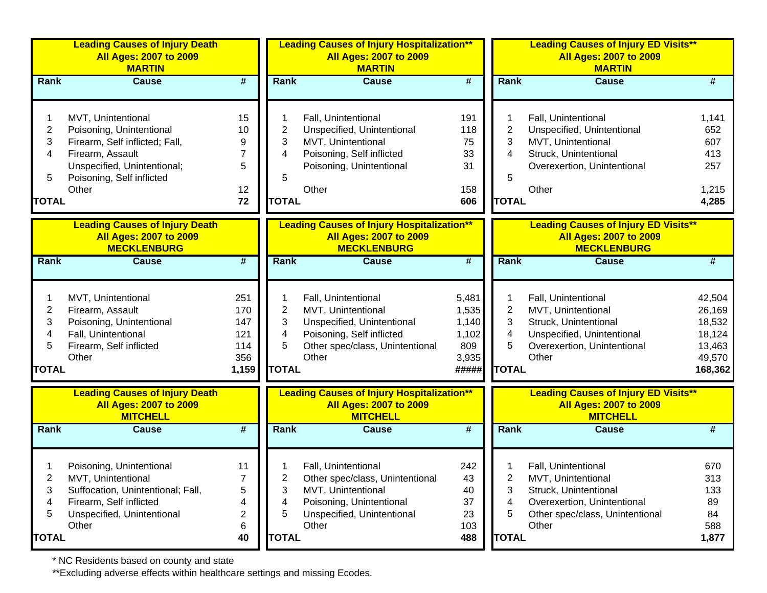|                | <b>Leading Causes of Injury Death</b><br><b>All Ages: 2007 to 2009</b><br><b>MARTIN</b>   |                             |                | <b>Leading Causes of Injury Hospitalization**</b><br><b>All Ages: 2007 to 2009</b><br><b>MARTIN</b>   |                             |                | <b>Leading Causes of Injury ED Visits**</b><br><b>All Ages: 2007 to 2009</b><br><b>MARTIN</b>   |         |
|----------------|-------------------------------------------------------------------------------------------|-----------------------------|----------------|-------------------------------------------------------------------------------------------------------|-----------------------------|----------------|-------------------------------------------------------------------------------------------------|---------|
| Rank           | <b>Cause</b>                                                                              | #                           | Rank           | <b>Cause</b>                                                                                          | $\overline{\boldsymbol{H}}$ | Rank           | <b>Cause</b>                                                                                    | #       |
|                | MVT, Unintentional                                                                        | 15                          |                | Fall, Unintentional                                                                                   | 191                         |                | Fall, Unintentional                                                                             | 1,141   |
| $\overline{c}$ | Poisoning, Unintentional                                                                  | 10                          | 2              | Unspecified, Unintentional                                                                            | 118                         | 2              | Unspecified, Unintentional                                                                      | 652     |
| 3              | Firearm, Self inflicted; Fall,                                                            | 9                           | 3              | MVT, Unintentional                                                                                    | 75                          | 3              | MVT, Unintentional                                                                              | 607     |
| 4              | Firearm, Assault                                                                          | 7                           | 4              | Poisoning, Self inflicted                                                                             | 33                          | 4              | Struck, Unintentional                                                                           | 413     |
|                | Unspecified, Unintentional;                                                               | 5                           |                | Poisoning, Unintentional                                                                              | 31                          |                | Overexertion, Unintentional                                                                     | 257     |
| 5              | Poisoning, Self inflicted                                                                 |                             | 5              |                                                                                                       |                             | 5              |                                                                                                 |         |
|                | Other                                                                                     | 12                          |                | Other                                                                                                 | 158                         |                | Other                                                                                           | 1,215   |
| <b>TOTAL</b>   |                                                                                           | 72                          | <b>TOTAL</b>   |                                                                                                       | 606                         | <b>TOTAL</b>   |                                                                                                 | 4,285   |
|                | <b>Leading Causes of Injury Death</b>                                                     |                             |                | <b>Leading Causes of Injury Hospitalization**</b>                                                     |                             |                | <b>Leading Causes of Injury ED Visits**</b>                                                     |         |
|                | <b>All Ages: 2007 to 2009</b><br><b>MECKLENBURG</b>                                       |                             |                | All Ages: 2007 to 2009<br><b>MECKLENBURG</b>                                                          |                             |                | <b>All Ages: 2007 to 2009</b><br><b>MECKLENBURG</b>                                             |         |
| Rank           | <b>Cause</b>                                                                              | $\overline{\boldsymbol{t}}$ | <b>Rank</b>    | <b>Cause</b>                                                                                          | $\overline{\boldsymbol{H}}$ | Rank           | <b>Cause</b>                                                                                    | #       |
|                | MVT, Unintentional                                                                        | 251                         |                | Fall, Unintentional                                                                                   | 5,481                       | 1              | Fall, Unintentional                                                                             | 42,504  |
| $\overline{c}$ | Firearm, Assault                                                                          | 170                         | $\overline{2}$ | MVT, Unintentional                                                                                    | 1,535                       | $\overline{2}$ | MVT, Unintentional                                                                              | 26,169  |
| 3              | Poisoning, Unintentional                                                                  | 147                         | 3              | Unspecified, Unintentional                                                                            | 1,140                       | 3              | Struck, Unintentional                                                                           | 18,532  |
| 4              | Fall, Unintentional                                                                       | 121                         | 4              | Poisoning, Self inflicted                                                                             | 1,102                       | 4              | Unspecified, Unintentional                                                                      | 18,124  |
| 5              | Firearm, Self inflicted                                                                   | 114                         | 5              | Other spec/class, Unintentional                                                                       | 809                         | 5              | Overexertion, Unintentional                                                                     | 13,463  |
|                | Other                                                                                     | 356                         |                | Other                                                                                                 | 3,935                       |                | Other                                                                                           | 49,570  |
| <b>TOTAL</b>   |                                                                                           | 1,159                       | <b>TOTAL</b>   |                                                                                                       | #####                       | <b>TOTAL</b>   |                                                                                                 | 168,362 |
|                | <b>Leading Causes of Injury Death</b><br><b>All Ages: 2007 to 2009</b><br><b>MITCHELL</b> |                             |                | <b>Leading Causes of Injury Hospitalization**</b><br><b>All Ages: 2007 to 2009</b><br><b>MITCHELL</b> |                             |                | <b>Leading Causes of Injury ED Visits**</b><br><b>All Ages: 2007 to 2009</b><br><b>MITCHELL</b> |         |
| Rank           | <b>Cause</b>                                                                              | #                           | Rank           | <b>Cause</b>                                                                                          | $\overline{\boldsymbol{H}}$ | Rank           | <b>Cause</b>                                                                                    | #       |
|                |                                                                                           |                             |                |                                                                                                       |                             |                |                                                                                                 |         |
|                | Poisoning, Unintentional                                                                  | 11                          |                | Fall, Unintentional                                                                                   | 242                         |                | Fall, Unintentional                                                                             | 670     |
| 2              | MVT, Unintentional                                                                        | 7                           | 2              | Other spec/class, Unintentional                                                                       | 43                          | 2              | MVT, Unintentional                                                                              | 313     |
| 3              | Suffocation, Unintentional; Fall,                                                         | 5                           | 3              | MVT, Unintentional                                                                                    | 40                          | 3              | Struck, Unintentional                                                                           | 133     |
| 4              | Firearm, Self inflicted                                                                   | 4                           | 4              | Poisoning, Unintentional                                                                              | 37                          | 4              | Overexertion, Unintentional                                                                     | 89      |
| 5              | Unspecified, Unintentional                                                                | 2                           | 5              | Unspecified, Unintentional                                                                            | 23                          | 5              | Other spec/class, Unintentional                                                                 | 84      |
|                | Other                                                                                     | 6                           |                | Other                                                                                                 | 103                         |                | Other                                                                                           | 588     |
| <b>TOTAL</b>   |                                                                                           | 40                          | <b>TOTAL</b>   |                                                                                                       | 488                         | <b>TOTAL</b>   |                                                                                                 | 1,877   |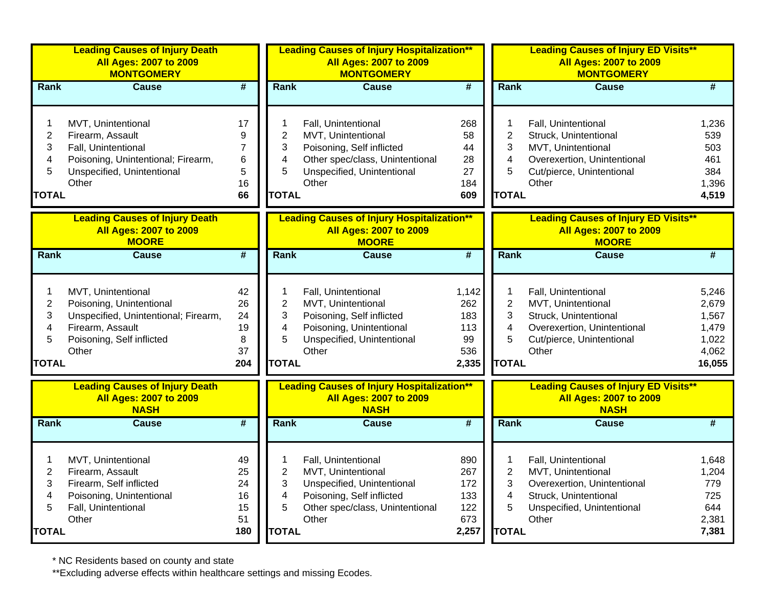|                                                      | <b>Leading Causes of Injury Death</b><br><b>All Ages: 2007 to 2009</b><br><b>MONTGOMERY</b>                                                      |                                                 |                                                    | <b>Leading Causes of Injury Hospitalization**</b><br><b>All Ages: 2007 to 2009</b><br><b>MONTGOMERY</b>                                          |                                                  |                                                                          | <b>Leading Causes of Injury ED Visits**</b><br><b>All Ages: 2007 to 2009</b><br><b>MONTGOMERY</b>                                        |                                                              |
|------------------------------------------------------|--------------------------------------------------------------------------------------------------------------------------------------------------|-------------------------------------------------|----------------------------------------------------|--------------------------------------------------------------------------------------------------------------------------------------------------|--------------------------------------------------|--------------------------------------------------------------------------|------------------------------------------------------------------------------------------------------------------------------------------|--------------------------------------------------------------|
| Rank                                                 | <b>Cause</b>                                                                                                                                     | #                                               | Rank                                               | <b>Cause</b>                                                                                                                                     | #                                                | Rank                                                                     | <b>Cause</b>                                                                                                                             | #                                                            |
| 1<br>$\boldsymbol{2}$<br>3<br>4<br>5<br><b>TOTAL</b> | MVT, Unintentional<br>Firearm, Assault<br>Fall, Unintentional<br>Poisoning, Unintentional; Firearm,<br>Unspecified, Unintentional<br>Other       | 17<br>9<br>$\overline{7}$<br>6<br>5<br>16<br>66 | 1<br>$\overline{c}$<br>3<br>4<br>5<br><b>TOTAL</b> | Fall, Unintentional<br>MVT, Unintentional<br>Poisoning, Self inflicted<br>Other spec/class, Unintentional<br>Unspecified, Unintentional<br>Other | 268<br>58<br>44<br>28<br>27<br>184<br>609        | 1<br>$\overline{2}$<br>3<br>4<br>5<br><b>TOTAL</b>                       | Fall, Unintentional<br>Struck, Unintentional<br>MVT, Unintentional<br>Overexertion, Unintentional<br>Cut/pierce, Unintentional<br>Other  | 1,236<br>539<br>503<br>461<br>384<br>1,396<br>4,519          |
|                                                      | <b>Leading Causes of Injury Death</b><br><b>All Ages: 2007 to 2009</b><br><b>MOORE</b>                                                           |                                                 |                                                    | <b>Leading Causes of Injury Hospitalization**</b><br><b>All Ages: 2007 to 2009</b><br><b>MOORE</b>                                               |                                                  |                                                                          | <b>Leading Causes of Injury ED Visits**</b><br><b>All Ages: 2007 to 2009</b><br><b>MOORE</b>                                             |                                                              |
| Rank                                                 | <b>Cause</b>                                                                                                                                     | $\overline{\boldsymbol{r}}$                     | <b>Rank</b>                                        | <b>Cause</b>                                                                                                                                     | $\overline{\boldsymbol{r}}$                      | Rank                                                                     | <b>Cause</b>                                                                                                                             | #                                                            |
| 1<br>$\overline{c}$<br>3<br>4<br>5<br><b>TOTAL</b>   | MVT, Unintentional<br>Poisoning, Unintentional<br>Unspecified, Unintentional; Firearm,<br>Firearm, Assault<br>Poisoning, Self inflicted<br>Other | 42<br>26<br>24<br>19<br>8<br>37<br>204          | 1<br>$\overline{2}$<br>3<br>4<br>5<br><b>TOTAL</b> | Fall, Unintentional<br>MVT, Unintentional<br>Poisoning, Self inflicted<br>Poisoning, Unintentional<br>Unspecified, Unintentional<br>Other        | 1,142<br>262<br>183<br>113<br>99<br>536<br>2,335 | 1<br>$\overline{2}$<br>3<br>$\overline{\mathbf{4}}$<br>5<br><b>TOTAL</b> | Fall, Unintentional<br>MVT, Unintentional<br>Struck, Unintentional<br>Overexertion, Unintentional<br>Cut/pierce, Unintentional<br>Other  | 5,246<br>2,679<br>1,567<br>1,479<br>1,022<br>4,062<br>16,055 |
|                                                      | <b>Leading Causes of Injury Death</b><br><b>All Ages: 2007 to 2009</b><br><b>NASH</b>                                                            |                                                 |                                                    | <b>Leading Causes of Injury Hospitalization**</b><br><b>All Ages: 2007 to 2009</b><br><b>NASH</b>                                                |                                                  |                                                                          | <b>Leading Causes of Injury ED Visits**</b><br><b>All Ages: 2007 to 2009</b><br><b>NASH</b>                                              |                                                              |
| Rank                                                 | <b>Cause</b>                                                                                                                                     | #                                               | <b>Rank</b>                                        | <b>Cause</b>                                                                                                                                     | #                                                | Rank                                                                     | <b>Cause</b>                                                                                                                             | #                                                            |
| 1<br>$\overline{2}$<br>3<br>4<br>5<br><b>TOTAL</b>   | MVT, Unintentional<br>Firearm, Assault<br>Firearm, Self inflicted<br>Poisoning, Unintentional<br>Fall, Unintentional<br>Other                    | 49<br>25<br>24<br>16<br>15<br>51<br>180         | 1<br>$\overline{2}$<br>3<br>4<br>5<br><b>TOTAL</b> | Fall, Unintentional<br>MVT, Unintentional<br>Unspecified, Unintentional<br>Poisoning, Self inflicted<br>Other spec/class, Unintentional<br>Other | 890<br>267<br>172<br>133<br>122<br>673<br>2,257  | 1<br>$\overline{2}$<br>3<br>4<br>5<br><b>TOTAL</b>                       | Fall, Unintentional<br>MVT, Unintentional<br>Overexertion, Unintentional<br>Struck, Unintentional<br>Unspecified, Unintentional<br>Other | 1,648<br>1,204<br>779<br>725<br>644<br>2,381<br>7,381        |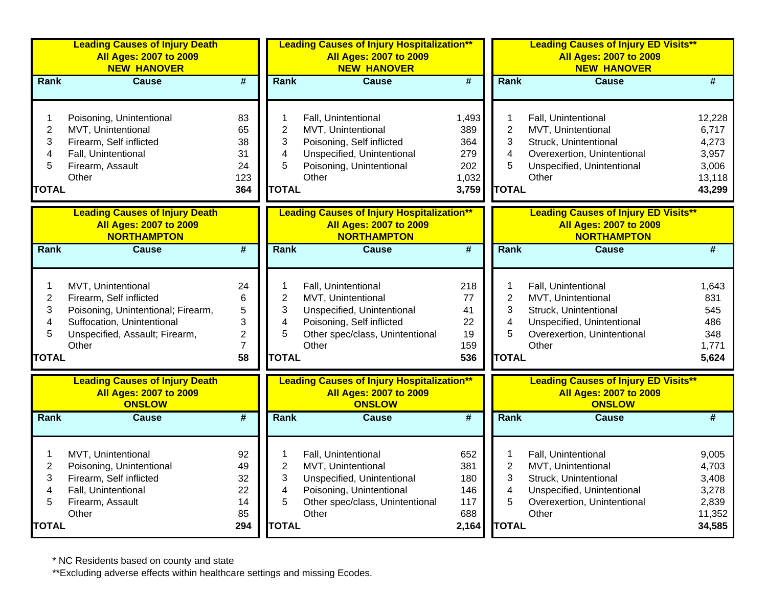|                                                               | <b>Leading Causes of Injury Death</b><br><b>All Ages: 2007 to 2009</b><br><b>NEW HANOVER</b>                                                                 |                                                             |                                                    | <b>Leading Causes of Injury Hospitalization**</b><br><b>All Ages: 2007 to 2009</b><br><b>NEW HANOVER</b>                                         |                                                     |                                                                          | <b>Leading Causes of Injury ED Visits**</b><br><b>All Ages: 2007 to 2009</b><br><b>NEW HANOVER</b>                                       |                                                                |
|---------------------------------------------------------------|--------------------------------------------------------------------------------------------------------------------------------------------------------------|-------------------------------------------------------------|----------------------------------------------------|--------------------------------------------------------------------------------------------------------------------------------------------------|-----------------------------------------------------|--------------------------------------------------------------------------|------------------------------------------------------------------------------------------------------------------------------------------|----------------------------------------------------------------|
| Rank                                                          | <b>Cause</b>                                                                                                                                                 | #                                                           | <b>Rank</b>                                        | <b>Cause</b>                                                                                                                                     | $\overline{\mathbf{H}}$                             | Rank                                                                     | <b>Cause</b>                                                                                                                             | #                                                              |
| 1<br>$\overline{2}$<br>3<br>4<br>5<br><b>TOTAL</b>            | Poisoning, Unintentional<br>MVT, Unintentional<br>Firearm, Self inflicted<br>Fall, Unintentional<br>Firearm, Assault<br>Other                                | 83<br>65<br>38<br>31<br>24<br>123<br>364                    | 1<br>$\overline{2}$<br>3<br>4<br>5<br><b>TOTAL</b> | Fall, Unintentional<br>MVT, Unintentional<br>Poisoning, Self inflicted<br>Unspecified, Unintentional<br>Poisoning, Unintentional<br>Other        | 1,493<br>389<br>364<br>279<br>202<br>1,032<br>3,759 | 1<br>$\overline{2}$<br>3<br>4<br>5<br><b>TOTAL</b>                       | Fall, Unintentional<br>MVT, Unintentional<br>Struck, Unintentional<br>Overexertion, Unintentional<br>Unspecified, Unintentional<br>Other | 12,228<br>6,717<br>4,273<br>3,957<br>3,006<br>13,118<br>43,299 |
|                                                               | <b>Leading Causes of Injury Death</b><br><b>All Ages: 2007 to 2009</b><br><b>NORTHAMPTON</b>                                                                 |                                                             |                                                    | <b>Leading Causes of Injury Hospitalization**</b><br><b>All Ages: 2007 to 2009</b><br><b>NORTHAMPTON</b>                                         |                                                     |                                                                          | <b>Leading Causes of Injury ED Visits**</b><br><b>All Ages: 2007 to 2009</b><br><b>NORTHAMPTON</b>                                       |                                                                |
| Rank                                                          | <b>Cause</b>                                                                                                                                                 | $\overline{\#}$                                             | <b>Rank</b>                                        | <b>Cause</b>                                                                                                                                     | #                                                   | Rank                                                                     | <b>Cause</b>                                                                                                                             | #                                                              |
| $\mathbf{1}$<br>$\overline{c}$<br>3<br>4<br>5<br><b>TOTAL</b> | MVT, Unintentional<br>Firearm, Self inflicted<br>Poisoning, Unintentional; Firearm,<br>Suffocation, Unintentional<br>Unspecified, Assault; Firearm,<br>Other | 24<br>6<br>5<br>3<br>$\overline{c}$<br>$\overline{7}$<br>58 | 1<br>$\mathbf{2}$<br>3<br>4<br>5<br><b>TOTAL</b>   | Fall, Unintentional<br>MVT, Unintentional<br>Unspecified, Unintentional<br>Poisoning, Self inflicted<br>Other spec/class, Unintentional<br>Other | 218<br>77<br>41<br>22<br>19<br>159<br>536           | 1<br>$\overline{2}$<br>3<br>4<br>5<br><b>TOTAL</b>                       | Fall, Unintentional<br>MVT, Unintentional<br>Struck, Unintentional<br>Unspecified, Unintentional<br>Overexertion, Unintentional<br>Other | 1,643<br>831<br>545<br>486<br>348<br>1,771<br>5,624            |
|                                                               | <b>Leading Causes of Injury Death</b><br><b>All Ages: 2007 to 2009</b><br><b>ONSLOW</b>                                                                      |                                                             |                                                    | <b>Leading Causes of Injury Hospitalization**</b><br><b>All Ages: 2007 to 2009</b><br><b>ONSLOW</b>                                              |                                                     |                                                                          | <b>Leading Causes of Injury ED Visits**</b><br><b>All Ages: 2007 to 2009</b><br><b>ONSLOW</b>                                            |                                                                |
| Rank                                                          | Cause                                                                                                                                                        | $\overline{\#}$                                             | <b>Rank</b>                                        | <b>Cause</b>                                                                                                                                     | #                                                   | Rank                                                                     | <b>Cause</b>                                                                                                                             | #                                                              |
| $\mathbf{1}$<br>$\overline{c}$<br>3<br>4<br>5<br><b>TOTAL</b> | MVT, Unintentional<br>Poisoning, Unintentional<br>Firearm, Self inflicted<br>Fall, Unintentional<br>Firearm, Assault<br>Other                                | 92<br>49<br>32<br>22<br>14<br>85<br>294                     | 1<br>$\overline{2}$<br>3<br>4<br>5<br><b>TOTAL</b> | Fall, Unintentional<br>MVT, Unintentional<br>Unspecified, Unintentional<br>Poisoning, Unintentional<br>Other spec/class, Unintentional<br>Other  | 652<br>381<br>180<br>146<br>117<br>688<br>2,164     | 1<br>$\overline{2}$<br>3<br>$\overline{\mathbf{4}}$<br>5<br><b>TOTAL</b> | Fall, Unintentional<br>MVT, Unintentional<br>Struck, Unintentional<br>Unspecified, Unintentional<br>Overexertion, Unintentional<br>Other | 9,005<br>4,703<br>3,408<br>3,278<br>2,839<br>11,352<br>34,585  |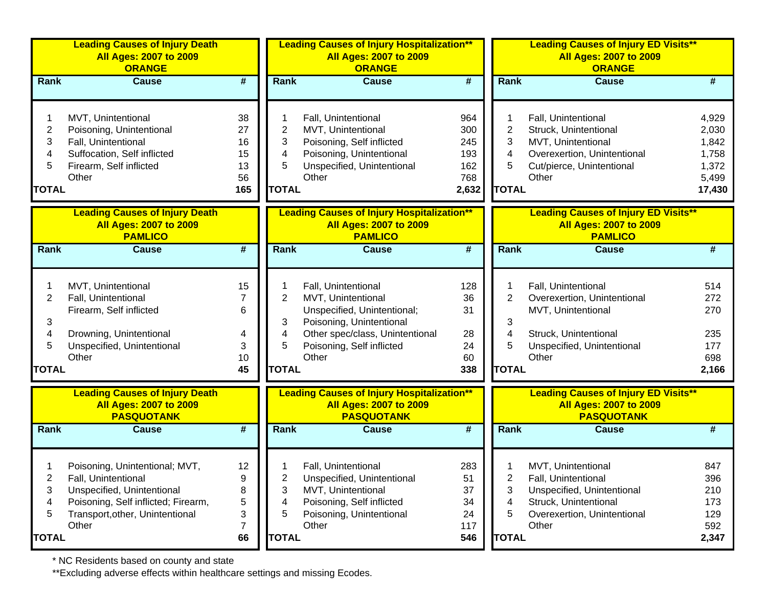|                                  | <b>Leading Causes of Injury Death</b><br><b>All Ages: 2007 to 2009</b><br><b>ORANGE</b>                                                                                |                                         |                                  | <b>Leading Causes of Injury Hospitalization**</b><br><b>All Ages: 2007 to 2009</b><br><b>ORANGE</b>                                                                           |                                                 |                                               | <b>Leading Causes of Injury ED Visits**</b><br><b>All Ages: 2007 to 2009</b><br><b>ORANGE</b>                                            |                                                              |
|----------------------------------|------------------------------------------------------------------------------------------------------------------------------------------------------------------------|-----------------------------------------|----------------------------------|-------------------------------------------------------------------------------------------------------------------------------------------------------------------------------|-------------------------------------------------|-----------------------------------------------|------------------------------------------------------------------------------------------------------------------------------------------|--------------------------------------------------------------|
| <b>Rank</b>                      | <b>Cause</b>                                                                                                                                                           | $\overline{\boldsymbol{H}}$             | <b>Rank</b>                      | <b>Cause</b>                                                                                                                                                                  | #                                               | Rank                                          | <b>Cause</b>                                                                                                                             | #                                                            |
| 2<br>3<br>4<br>5<br><b>TOTAL</b> | MVT, Unintentional<br>Poisoning, Unintentional<br>Fall, Unintentional<br>Suffocation, Self inflicted<br>Firearm, Self inflicted<br>Other                               | 38<br>27<br>16<br>15<br>13<br>56<br>165 | 2<br>3<br>4<br>5<br><b>TOTAL</b> | Fall, Unintentional<br>MVT, Unintentional<br>Poisoning, Self inflicted<br>Poisoning, Unintentional<br>Unspecified, Unintentional<br>Other                                     | 964<br>300<br>245<br>193<br>162<br>768<br>2,632 | $\overline{2}$<br>3<br>4<br>5<br><b>TOTAL</b> | Fall, Unintentional<br>Struck, Unintentional<br>MVT, Unintentional<br>Overexertion, Unintentional<br>Cut/pierce, Unintentional<br>Other  | 4,929<br>2,030<br>1,842<br>1,758<br>1,372<br>5,499<br>17,430 |
|                                  | <b>Leading Causes of Injury Death</b><br><b>All Ages: 2007 to 2009</b><br><b>PAMLICO</b>                                                                               |                                         |                                  | <b>Leading Causes of Injury Hospitalization**</b><br><b>All Ages: 2007 to 2009</b><br><b>PAMLICO</b>                                                                          |                                                 |                                               | <b>Leading Causes of Injury ED Visits**</b><br><b>All Ages: 2007 to 2009</b><br><b>PAMLICO</b>                                           |                                                              |
| <b>Rank</b>                      | <b>Cause</b>                                                                                                                                                           | $\overline{\boldsymbol{H}}$             | Rank                             | <b>Cause</b>                                                                                                                                                                  | $\overline{\boldsymbol{t}}$                     | Rank                                          | <b>Cause</b>                                                                                                                             | #                                                            |
| 2<br>3<br>4<br>5<br><b>TOTAL</b> | MVT, Unintentional<br>Fall, Unintentional<br>Firearm, Self inflicted<br>Drowning, Unintentional<br>Unspecified, Unintentional<br>Other                                 | 15<br>7<br>6<br>4<br>3<br>10<br>45      | 2<br>3<br>4<br>5<br><b>TOTAL</b> | Fall, Unintentional<br>MVT, Unintentional<br>Unspecified, Unintentional;<br>Poisoning, Unintentional<br>Other spec/class, Unintentional<br>Poisoning, Self inflicted<br>Other | 128<br>36<br>31<br>28<br>24<br>60<br>338        | $\overline{2}$<br>3<br>4<br>5<br><b>TOTAL</b> | Fall, Unintentional<br>Overexertion, Unintentional<br>MVT, Unintentional<br>Struck, Unintentional<br>Unspecified, Unintentional<br>Other | 514<br>272<br>270<br>235<br>177<br>698<br>2,166              |
|                                  | <b>Leading Causes of Injury Death</b><br><b>All Ages: 2007 to 2009</b><br><b>PASQUOTANK</b>                                                                            |                                         |                                  | <b>Leading Causes of Injury Hospitalization**</b><br><b>All Ages: 2007 to 2009</b><br><b>PASQUOTANK</b>                                                                       |                                                 |                                               | <b>Leading Causes of Injury ED Visits**</b><br><b>All Ages: 2007 to 2009</b><br><b>PASQUOTANK</b>                                        |                                                              |
| Rank                             | <b>Cause</b>                                                                                                                                                           | #                                       | Rank                             | <b>Cause</b>                                                                                                                                                                  | $\overline{\boldsymbol{t}}$                     | Rank                                          | <b>Cause</b>                                                                                                                             | #                                                            |
| 2<br>3<br>4<br>5<br><b>TOTAL</b> | Poisoning, Unintentional; MVT,<br>Fall, Unintentional<br>Unspecified, Unintentional<br>Poisoning, Self inflicted; Firearm,<br>Transport, other, Unintentional<br>Other | 12<br>9<br>8<br>5<br>3<br>7<br>66       | 2<br>3<br>4<br>5<br><b>TOTAL</b> | Fall, Unintentional<br>Unspecified, Unintentional<br>MVT, Unintentional<br>Poisoning, Self inflicted<br>Poisoning, Unintentional<br>Other                                     | 283<br>51<br>37<br>34<br>24<br>117<br>546       | 2<br>3<br>4<br>5<br><b>TOTAL</b>              | MVT, Unintentional<br>Fall, Unintentional<br>Unspecified, Unintentional<br>Struck, Unintentional<br>Overexertion, Unintentional<br>Other | 847<br>396<br>210<br>173<br>129<br>592<br>2,347              |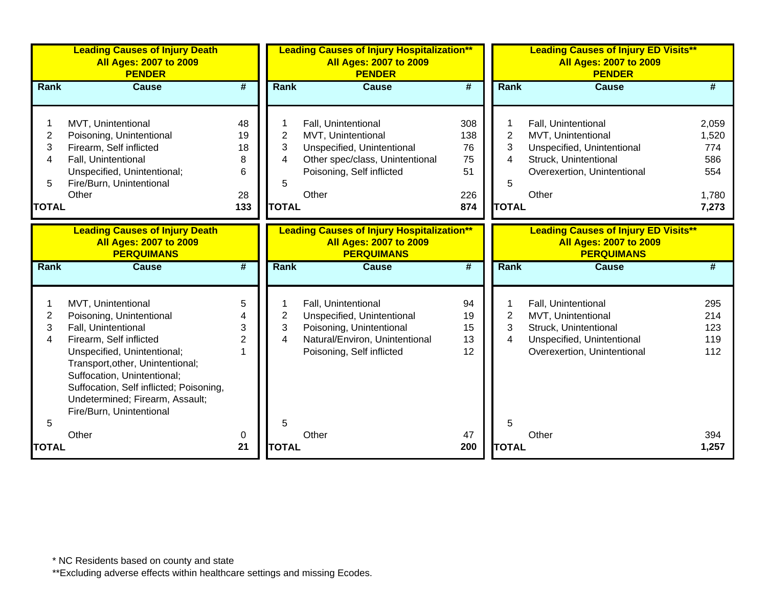|                                  | <b>Leading Causes of Injury Death</b><br><b>All Ages: 2007 to 2009</b><br><b>PENDER</b>                                                                                                                                                                                                                      |                                       |                                  | <b>Leading Causes of Injury Hospitalization**</b><br><b>All Ages: 2007 to 2009</b><br><b>PENDER</b>                                              |                                            |                                               | <b>Leading Causes of Injury ED Visits**</b><br><b>All Ages: 2007 to 2009</b><br><b>PENDER</b>                                            |                                                       |
|----------------------------------|--------------------------------------------------------------------------------------------------------------------------------------------------------------------------------------------------------------------------------------------------------------------------------------------------------------|---------------------------------------|----------------------------------|--------------------------------------------------------------------------------------------------------------------------------------------------|--------------------------------------------|-----------------------------------------------|------------------------------------------------------------------------------------------------------------------------------------------|-------------------------------------------------------|
| <b>Rank</b>                      | <b>Cause</b>                                                                                                                                                                                                                                                                                                 | #                                     | Rank                             | <b>Cause</b>                                                                                                                                     | $\overline{\boldsymbol{r}}$                | Rank                                          | <b>Cause</b>                                                                                                                             | #                                                     |
| 2<br>3<br>4<br>5<br><b>TOTAL</b> | MVT, Unintentional<br>Poisoning, Unintentional<br>Firearm, Self inflicted<br>Fall, Unintentional<br>Unspecified, Unintentional;<br>Fire/Burn, Unintentional<br>Other                                                                                                                                         | 48<br>19<br>18<br>8<br>6<br>28<br>133 | 2<br>3<br>4<br>5<br><b>TOTAL</b> | Fall, Unintentional<br>MVT, Unintentional<br>Unspecified, Unintentional<br>Other spec/class, Unintentional<br>Poisoning, Self inflicted<br>Other | 308<br>138<br>76<br>75<br>51<br>226<br>874 | $\overline{2}$<br>3<br>4<br>5<br><b>TOTAL</b> | Fall, Unintentional<br>MVT, Unintentional<br>Unspecified, Unintentional<br>Struck, Unintentional<br>Overexertion, Unintentional<br>Other | 2,059<br>1,520<br>774<br>586<br>554<br>1,780<br>7,273 |
|                                  | <b>Leading Causes of Injury Death</b><br><b>All Ages: 2007 to 2009</b><br><b>PERQUIMANS</b>                                                                                                                                                                                                                  |                                       |                                  | <b>Leading Causes of Injury Hospitalization**</b><br><b>All Ages: 2007 to 2009</b><br><b>PERQUIMANS</b>                                          |                                            |                                               | <b>Leading Causes of Injury ED Visits**</b><br><b>All Ages: 2007 to 2009</b><br><b>PERQUIMANS</b>                                        |                                                       |
| <b>Rank</b>                      | <b>Cause</b>                                                                                                                                                                                                                                                                                                 | $\overline{\#}$                       | Rank                             | <b>Cause</b>                                                                                                                                     | $\overline{\boldsymbol{H}}$                | <b>Rank</b>                                   | <b>Cause</b>                                                                                                                             | #                                                     |
| $\overline{c}$<br>3<br>4         | MVT, Unintentional<br>Poisoning, Unintentional<br>Fall, Unintentional<br>Firearm, Self inflicted<br>Unspecified, Unintentional;<br>Transport, other, Unintentional;<br>Suffocation, Unintentional;<br>Suffocation, Self inflicted; Poisoning,<br>Undetermined; Firearm, Assault;<br>Fire/Burn, Unintentional | 5<br>3<br>$\overline{2}$              | 2<br>3<br>4                      | Fall, Unintentional<br>Unspecified, Unintentional<br>Poisoning, Unintentional<br>Natural/Environ, Unintentional<br>Poisoning, Self inflicted     | 94<br>19<br>15<br>13<br>12                 | $\overline{2}$<br>3<br>4                      | Fall, Unintentional<br>MVT, Unintentional<br>Struck, Unintentional<br>Unspecified, Unintentional<br>Overexertion, Unintentional          | 295<br>214<br>123<br>119<br>112                       |
| 5<br><b>TOTAL</b>                | Other                                                                                                                                                                                                                                                                                                        | 0<br>21                               | 5<br><b>TOTAL</b>                | Other                                                                                                                                            | 47<br>200                                  | 5<br><b>TOTAL</b>                             | Other                                                                                                                                    | 394<br>1,257                                          |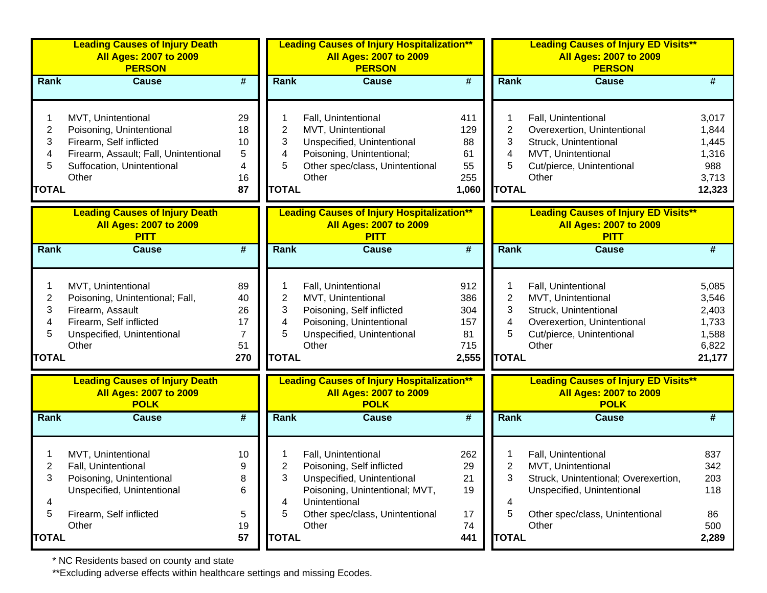| <b>Leading Causes of Injury Death</b><br><b>All Ages: 2007 to 2009</b><br><b>PERSON</b> |                                                                                                                                                                                                                                                                                                                     |                  | <b>All Ages: 2007 to 2009</b><br><b>PERSON</b>                                                                                                                                |                                                |                                                                                                                                                                    | <b>All Ages: 2007 to 2009</b><br><b>PERSON</b>                                                                                                              |                                                                                                                                                                                                                   |
|-----------------------------------------------------------------------------------------|---------------------------------------------------------------------------------------------------------------------------------------------------------------------------------------------------------------------------------------------------------------------------------------------------------------------|------------------|-------------------------------------------------------------------------------------------------------------------------------------------------------------------------------|------------------------------------------------|--------------------------------------------------------------------------------------------------------------------------------------------------------------------|-------------------------------------------------------------------------------------------------------------------------------------------------------------|-------------------------------------------------------------------------------------------------------------------------------------------------------------------------------------------------------------------|
| <b>Cause</b>                                                                            | $\overline{\boldsymbol{t}}$                                                                                                                                                                                                                                                                                         | Rank             | <b>Cause</b>                                                                                                                                                                  | $\overline{\boldsymbol{H}}$                    |                                                                                                                                                                    | <b>Cause</b>                                                                                                                                                | #                                                                                                                                                                                                                 |
| Poisoning, Unintentional<br>Firearm, Self inflicted                                     | 29<br>18<br>10<br>5<br>4<br>16<br>87                                                                                                                                                                                                                                                                                | 2<br>3<br>4<br>5 | Fall, Unintentional<br>MVT, Unintentional<br>Unspecified, Unintentional<br>Poisoning, Unintentional;<br>Other spec/class, Unintentional<br>Other                              | 411<br>129<br>88<br>61<br>55<br>255<br>1,060   | 2<br>3<br>4<br>5                                                                                                                                                   | Fall, Unintentional<br>Overexertion, Unintentional<br>Struck, Unintentional<br>MVT, Unintentional<br>Cut/pierce, Unintentional<br>Other                     | 3,017<br>1,844<br>1,445<br>1,316<br>988<br>3,713<br>12,323                                                                                                                                                        |
| <b>Leading Causes of Injury Death</b><br><b>All Ages: 2007 to 2009</b><br><b>PITT</b>   |                                                                                                                                                                                                                                                                                                                     |                  | <b>All Ages: 2007 to 2009</b><br><b>PITT</b>                                                                                                                                  |                                                |                                                                                                                                                                    | <b>All Ages: 2007 to 2009</b><br><b>PITT</b>                                                                                                                |                                                                                                                                                                                                                   |
| <b>Cause</b>                                                                            | $\overline{\boldsymbol{r}}$                                                                                                                                                                                                                                                                                         | Rank             | Cause                                                                                                                                                                         | $\overline{\boldsymbol{t}}$                    |                                                                                                                                                                    | <b>Cause</b>                                                                                                                                                | #                                                                                                                                                                                                                 |
| Firearm, Assault                                                                        | 89<br>40<br>26<br>17<br>7<br>51<br>270                                                                                                                                                                                                                                                                              | 2<br>3<br>4<br>5 | Fall, Unintentional<br>MVT, Unintentional<br>Poisoning, Self inflicted<br>Poisoning, Unintentional<br>Unspecified, Unintentional<br>Other                                     | 912<br>386<br>304<br>157<br>81<br>715<br>2,555 | $\overline{2}$<br>3<br>4<br>5                                                                                                                                      | Fall, Unintentional<br>MVT, Unintentional<br>Struck, Unintentional<br>Overexertion, Unintentional<br>Cut/pierce, Unintentional<br>Other                     | 5,085<br>3,546<br>2,403<br>1,733<br>1,588<br>6,822<br>21,177                                                                                                                                                      |
| <b>Leading Causes of Injury Death</b><br><b>All Ages: 2007 to 2009</b><br><b>POLK</b>   |                                                                                                                                                                                                                                                                                                                     |                  | <b>All Ages: 2007 to 2009</b><br><b>POLK</b>                                                                                                                                  |                                                |                                                                                                                                                                    | <b>All Ages: 2007 to 2009</b><br><b>POLK</b>                                                                                                                |                                                                                                                                                                                                                   |
| <b>Cause</b>                                                                            | $\overline{\boldsymbol{r}}$                                                                                                                                                                                                                                                                                         | Rank             | <b>Cause</b>                                                                                                                                                                  | $\overline{\boldsymbol{t}}$                    |                                                                                                                                                                    | <b>Cause</b>                                                                                                                                                | #                                                                                                                                                                                                                 |
| Fall, Unintentional<br>Unspecified, Unintentional                                       | 10<br>9<br>8<br>6<br>5<br>19                                                                                                                                                                                                                                                                                        | 2<br>3<br>4<br>5 | Fall, Unintentional<br>Poisoning, Self inflicted<br>Unspecified, Unintentional<br>Poisoning, Unintentional; MVT,<br>Unintentional<br>Other spec/class, Unintentional<br>Other | 262<br>29<br>21<br>19<br>17<br>74              | 2<br>3<br>4<br>5                                                                                                                                                   | Fall, Unintentional<br>MVT, Unintentional<br>Struck, Unintentional; Overexertion,<br>Unspecified, Unintentional<br>Other spec/class, Unintentional<br>Other | 837<br>342<br>203<br>118<br>86<br>500<br>2,289                                                                                                                                                                    |
| <b>TOTAL</b><br><b>TOTAL</b><br><b>TOTAL</b>                                            | MVT, Unintentional<br>Firearm, Assault; Fall, Unintentional<br>Suffocation, Unintentional<br>Other<br>MVT, Unintentional<br>Poisoning, Unintentional; Fall,<br>Firearm, Self inflicted<br>Unspecified, Unintentional<br>Other<br>MVT, Unintentional<br>Poisoning, Unintentional<br>Firearm, Self inflicted<br>Other | 57               |                                                                                                                                                                               | <b>TOTAL</b><br><b>TOTAL</b><br><b>TOTAL</b>   | <b>Leading Causes of Injury Hospitalization**</b><br><b>Leading Causes of Injury Hospitalization**</b><br><b>Leading Causes of Injury Hospitalization**</b><br>441 |                                                                                                                                                             | <b>Leading Causes of Injury ED Visits**</b><br>Rank<br><b>TOTAL</b><br><b>Leading Causes of Injury ED Visits**</b><br>Rank<br><b>TOTAL</b><br><b>Leading Causes of Injury ED Visits**</b><br>Rank<br><b>TOTAL</b> |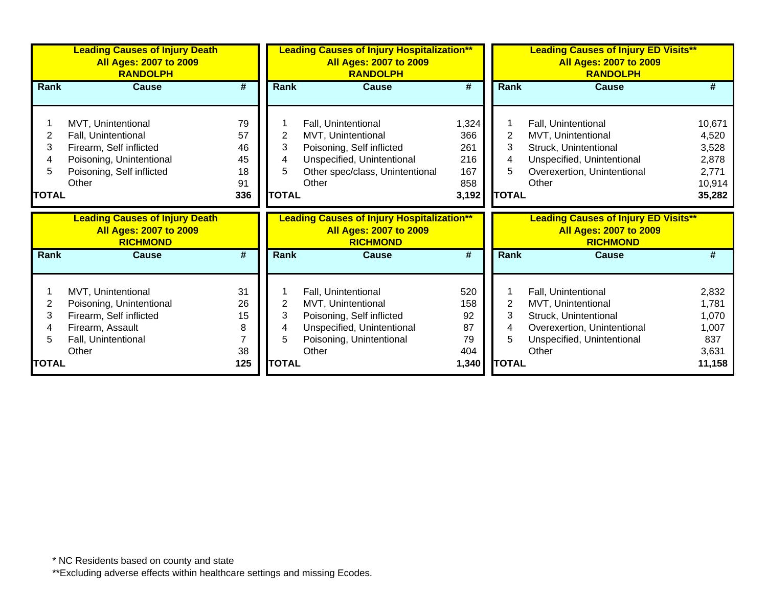|              | <b>Leading Causes of Injury Death</b><br><b>All Ages: 2007 to 2009</b><br><b>RANDOLPH</b> |                             |                | <b>Leading Causes of Injury Hospitalization**</b><br><b>All Ages: 2007 to 2009</b><br><b>RANDOLPH</b> |                             | <b>Leading Causes of Injury ED Visits**</b><br><b>All Ages: 2007 to 2009</b><br><b>RANDOLPH</b> |                                                                                                 |                 |  |
|--------------|-------------------------------------------------------------------------------------------|-----------------------------|----------------|-------------------------------------------------------------------------------------------------------|-----------------------------|-------------------------------------------------------------------------------------------------|-------------------------------------------------------------------------------------------------|-----------------|--|
| Rank         | <b>Cause</b>                                                                              | #                           | Rank           | Cause                                                                                                 | $\overline{\boldsymbol{t}}$ | Rank                                                                                            | <b>Cause</b>                                                                                    | #               |  |
|              |                                                                                           |                             |                |                                                                                                       |                             |                                                                                                 |                                                                                                 |                 |  |
|              | MVT, Unintentional                                                                        | 79                          |                | Fall, Unintentional                                                                                   | 1,324                       |                                                                                                 | Fall, Unintentional                                                                             | 10,671          |  |
| 2            | Fall, Unintentional                                                                       | 57                          | $\overline{2}$ | MVT, Unintentional                                                                                    | 366                         | $\overline{2}$                                                                                  | MVT, Unintentional                                                                              | 4,520           |  |
| 3            | Firearm, Self inflicted                                                                   | 46                          | 3              | Poisoning, Self inflicted                                                                             | 261                         | 3                                                                                               | Struck, Unintentional                                                                           | 3,528           |  |
|              | Poisoning, Unintentional                                                                  | 45                          | 4              | Unspecified, Unintentional                                                                            | 216                         | 4                                                                                               | Unspecified, Unintentional                                                                      | 2,878           |  |
|              | Poisoning, Self inflicted                                                                 | 18                          | 5              | Other spec/class, Unintentional                                                                       | 167                         | 5                                                                                               | Overexertion, Unintentional                                                                     | 2,771           |  |
|              | Other                                                                                     | 91                          |                | Other                                                                                                 | 858                         |                                                                                                 | Other                                                                                           | 10,914          |  |
| <b>TOTAL</b> |                                                                                           | 336                         | <b>TOTAL</b>   |                                                                                                       | 3,192                       | <b>TOTAL</b>                                                                                    |                                                                                                 | 35,282          |  |
|              |                                                                                           |                             |                |                                                                                                       |                             |                                                                                                 |                                                                                                 |                 |  |
|              | <b>Leading Causes of Injury Death</b><br><b>All Ages: 2007 to 2009</b><br><b>RICHMOND</b> |                             |                | <b>Leading Causes of Injury Hospitalization**</b><br><b>All Ages: 2007 to 2009</b><br><b>RICHMOND</b> |                             |                                                                                                 | <b>Leading Causes of Injury ED Visits**</b><br><b>All Ages: 2007 to 2009</b><br><b>RICHMOND</b> |                 |  |
| <b>Rank</b>  | <b>Cause</b>                                                                              | $\overline{\boldsymbol{t}}$ | Rank           | <b>Cause</b>                                                                                          | $\overline{\boldsymbol{t}}$ | Rank                                                                                            | <b>Cause</b>                                                                                    | #               |  |
|              |                                                                                           |                             |                |                                                                                                       |                             |                                                                                                 |                                                                                                 |                 |  |
|              | MVT, Unintentional                                                                        | 31                          |                | Fall, Unintentional                                                                                   | 520                         |                                                                                                 | Fall, Unintentional                                                                             | 2,832           |  |
| 2            | Poisoning, Unintentional                                                                  | 26                          | $\overline{2}$ | MVT, Unintentional                                                                                    | 158                         | $\overline{2}$                                                                                  | MVT, Unintentional                                                                              | 1,781           |  |
| 3            | Firearm, Self inflicted                                                                   | 15                          | 3              | Poisoning, Self inflicted                                                                             | 92                          | 3                                                                                               | Struck, Unintentional                                                                           | 1,070           |  |
|              | Firearm, Assault                                                                          | 8                           | 4              | Unspecified, Unintentional                                                                            | 87                          | 4                                                                                               | Overexertion, Unintentional                                                                     | 1,007           |  |
|              | Fall, Unintentional                                                                       |                             | 5              | Poisoning, Unintentional                                                                              | 79                          | 5                                                                                               | Unspecified, Unintentional                                                                      | 837             |  |
| <b>TOTAL</b> | Other                                                                                     | 38<br>125                   | <b>TOTAL</b>   | Other                                                                                                 | 404<br>1,340                | <b>TOTAL</b>                                                                                    | Other                                                                                           | 3,631<br>11,158 |  |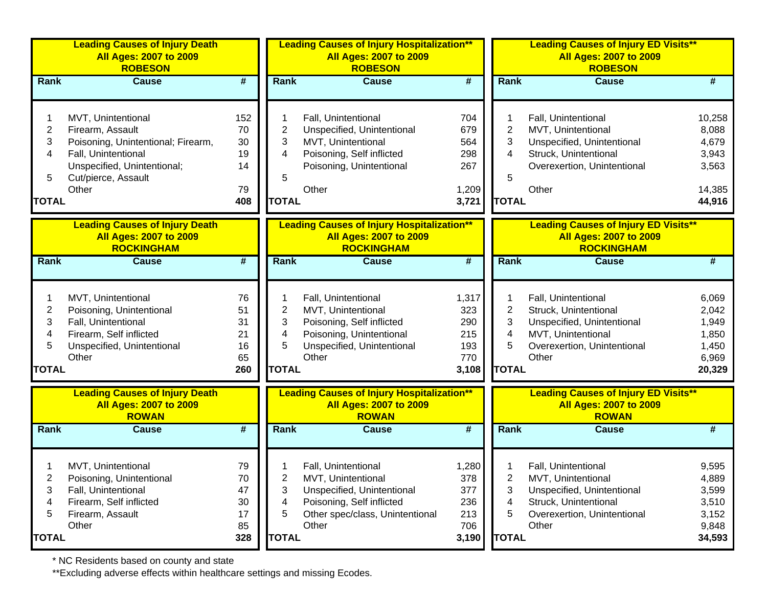|              | <b>Leading Causes of Injury Death</b><br><b>All Ages: 2007 to 2009</b><br><b>ROBESON</b>    |                             |              | <b>Leading Causes of Injury Hospitalization**</b><br><b>All Ages: 2007 to 2009</b><br><b>ROBESON</b>    |                             |              | <b>Leading Causes of Injury ED Visits**</b><br><b>All Ages: 2007 to 2009</b><br><b>ROBESON</b>    |                |
|--------------|---------------------------------------------------------------------------------------------|-----------------------------|--------------|---------------------------------------------------------------------------------------------------------|-----------------------------|--------------|---------------------------------------------------------------------------------------------------|----------------|
| Rank         | <b>Cause</b>                                                                                | $\overline{\boldsymbol{t}}$ | <b>Rank</b>  | <b>Cause</b>                                                                                            | $\overline{\boldsymbol{H}}$ | Rank         | <b>Cause</b>                                                                                      | #              |
|              | MVT, Unintentional                                                                          | 152                         |              | Fall, Unintentional                                                                                     | 704                         |              | Fall, Unintentional                                                                               | 10,258         |
| 2            | Firearm, Assault                                                                            | 70                          | 2            | Unspecified, Unintentional                                                                              | 679                         | 2            | MVT, Unintentional                                                                                | 8,088          |
| 3            | Poisoning, Unintentional; Firearm,                                                          | 30                          | 3            | MVT, Unintentional                                                                                      | 564                         | 3            | Unspecified, Unintentional                                                                        | 4,679          |
| 4            | Fall, Unintentional                                                                         | 19                          | 4            | Poisoning, Self inflicted                                                                               | 298                         | 4            | Struck, Unintentional                                                                             | 3,943          |
|              | Unspecified, Unintentional;                                                                 | 14                          |              | Poisoning, Unintentional                                                                                | 267                         |              | Overexertion, Unintentional                                                                       | 3,563          |
| 5            | Cut/pierce, Assault                                                                         |                             | 5            |                                                                                                         |                             | 5            |                                                                                                   |                |
|              | Other                                                                                       | 79                          |              | Other                                                                                                   | 1,209                       |              | Other                                                                                             | 14,385         |
| <b>TOTAL</b> |                                                                                             | 408                         | <b>TOTAL</b> |                                                                                                         | 3,721                       | <b>TOTAL</b> |                                                                                                   | 44,916         |
|              | <b>Leading Causes of Injury Death</b><br><b>All Ages: 2007 to 2009</b><br><b>ROCKINGHAM</b> |                             |              | <b>Leading Causes of Injury Hospitalization**</b><br><b>All Ages: 2007 to 2009</b><br><b>ROCKINGHAM</b> |                             |              | <b>Leading Causes of Injury ED Visits**</b><br><b>All Ages: 2007 to 2009</b><br><b>ROCKINGHAM</b> |                |
| Rank         | <b>Cause</b>                                                                                | $\overline{\boldsymbol{t}}$ | <b>Rank</b>  | <b>Cause</b>                                                                                            | $\overline{\boldsymbol{t}}$ | Rank         | <b>Cause</b>                                                                                      | #              |
|              |                                                                                             |                             |              |                                                                                                         |                             |              |                                                                                                   |                |
|              | MVT, Unintentional                                                                          | 76                          |              | Fall, Unintentional                                                                                     | 1,317                       |              | Fall, Unintentional                                                                               | 6,069          |
| 2            | Poisoning, Unintentional                                                                    | 51                          | 2            | MVT, Unintentional                                                                                      | 323                         | 2            | Struck, Unintentional                                                                             | 2,042          |
| 3            | Fall, Unintentional                                                                         | 31                          | 3            | Poisoning, Self inflicted                                                                               | 290                         | 3            | Unspecified, Unintentional                                                                        | 1,949          |
| 4            | Firearm, Self inflicted                                                                     | 21                          | 4            | Poisoning, Unintentional                                                                                | 215                         | 4            | MVT, Unintentional                                                                                | 1,850          |
| 5            | Unspecified, Unintentional                                                                  | 16                          | 5            | Unspecified, Unintentional                                                                              | 193                         | 5            | Overexertion, Unintentional                                                                       | 1,450          |
|              | Other                                                                                       | 65                          |              | Other                                                                                                   | 770                         |              | Other                                                                                             | 6,969          |
| <b>TOTAL</b> |                                                                                             | 260                         | <b>TOTAL</b> |                                                                                                         | 3,108                       | <b>TOTAL</b> |                                                                                                   | 20,329         |
|              | <b>Leading Causes of Injury Death</b><br><b>All Ages: 2007 to 2009</b><br><b>ROWAN</b>      |                             |              | <b>Leading Causes of Injury Hospitalization**</b><br><b>All Ages: 2007 to 2009</b><br><b>ROWAN</b>      |                             |              | <b>Leading Causes of Injury ED Visits**</b><br><b>All Ages: 2007 to 2009</b><br><b>ROWAN</b>      |                |
| <b>Rank</b>  | <b>Cause</b>                                                                                | $\overline{\boldsymbol{t}}$ | <b>Rank</b>  | <b>Cause</b>                                                                                            | $\overline{\boldsymbol{H}}$ | Rank         | <b>Cause</b>                                                                                      | #              |
|              |                                                                                             |                             |              |                                                                                                         |                             |              |                                                                                                   |                |
|              | MVT, Unintentional                                                                          | 79                          |              | Fall, Unintentional                                                                                     | 1,280                       |              | Fall, Unintentional                                                                               | 9,595          |
| 2            | Poisoning, Unintentional                                                                    | 70                          | 2            | MVT, Unintentional                                                                                      | 378                         | 2            | MVT, Unintentional                                                                                | 4,889          |
| 3            | Fall, Unintentional                                                                         | 47                          | 3            | Unspecified, Unintentional                                                                              | 377                         | 3            | Unspecified, Unintentional                                                                        | 3,599          |
| 4            | Firearm, Self inflicted                                                                     | 30                          | 4            | Poisoning, Self inflicted<br>Other spec/class, Unintentional                                            | 236                         | 4            | Struck, Unintentional                                                                             | 3,510          |
| 5            | Firearm, Assault<br>Other                                                                   | 17<br>85                    | 5            | Other                                                                                                   | 213<br>706                  | 5            | Overexertion, Unintentional<br>Other                                                              | 3,152<br>9,848 |
| <b>TOTAL</b> |                                                                                             | 328                         | <b>TOTAL</b> |                                                                                                         | 3,190                       | <b>TOTAL</b> |                                                                                                   | 34,593         |
|              |                                                                                             |                             |              |                                                                                                         |                             |              |                                                                                                   |                |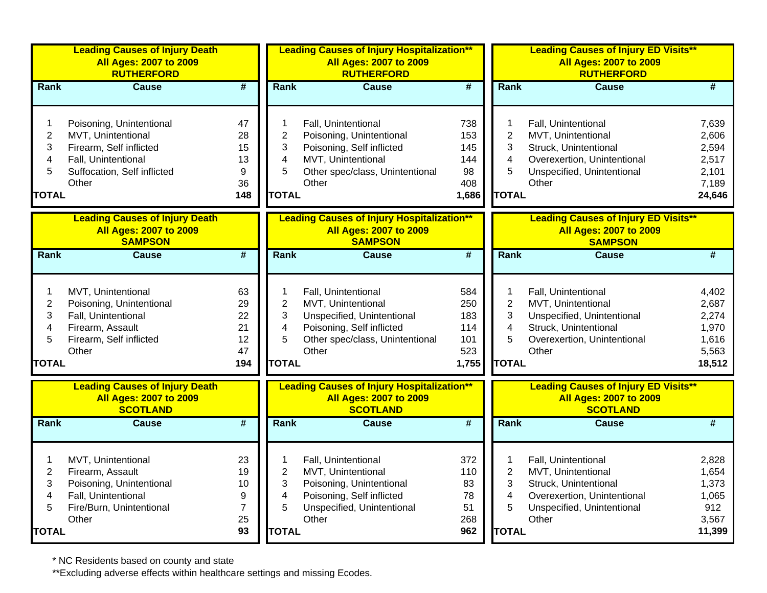|                                                      | <b>Leading Causes of Injury Death</b><br><b>All Ages: 2007 to 2009</b><br><b>RUTHERFORD</b>                                              |                                         |                                                    | <b>Leading Causes of Injury Hospitalization**</b><br><b>All Ages: 2007 to 2009</b><br><b>RUTHERFORD</b>                                          |                                                 |                                                    | <b>Leading Causes of Injury ED Visits**</b><br><b>All Ages: 2007 to 2009</b><br><b>RUTHERFORD</b>                                        |                                                              |
|------------------------------------------------------|------------------------------------------------------------------------------------------------------------------------------------------|-----------------------------------------|----------------------------------------------------|--------------------------------------------------------------------------------------------------------------------------------------------------|-------------------------------------------------|----------------------------------------------------|------------------------------------------------------------------------------------------------------------------------------------------|--------------------------------------------------------------|
| Rank                                                 | <b>Cause</b>                                                                                                                             | $\overline{\boldsymbol{t}}$             | Rank                                               | <b>Cause</b>                                                                                                                                     | $\overline{\#}$                                 | Rank                                               | <b>Cause</b>                                                                                                                             | #                                                            |
| 1<br>$\boldsymbol{2}$<br>3<br>4<br>5<br><b>TOTAL</b> | Poisoning, Unintentional<br>MVT, Unintentional<br>Firearm, Self inflicted<br>Fall, Unintentional<br>Suffocation, Self inflicted<br>Other | 47<br>28<br>15<br>13<br>9<br>36<br>148  | 1<br>$\overline{c}$<br>3<br>4<br>5<br><b>TOTAL</b> | Fall, Unintentional<br>Poisoning, Unintentional<br>Poisoning, Self inflicted<br>MVT, Unintentional<br>Other spec/class, Unintentional<br>Other   | 738<br>153<br>145<br>144<br>98<br>408<br>1,686  | 1<br>$\overline{2}$<br>3<br>4<br>5<br><b>TOTAL</b> | Fall, Unintentional<br>MVT, Unintentional<br>Struck, Unintentional<br>Overexertion, Unintentional<br>Unspecified, Unintentional<br>Other | 7,639<br>2,606<br>2,594<br>2,517<br>2,101<br>7,189<br>24,646 |
|                                                      | <b>Leading Causes of Injury Death</b><br><b>All Ages: 2007 to 2009</b><br><b>SAMPSON</b>                                                 |                                         |                                                    | <b>Leading Causes of Injury Hospitalization**</b><br><b>All Ages: 2007 to 2009</b><br><b>SAMPSON</b>                                             |                                                 |                                                    | <b>Leading Causes of Injury ED Visits**</b><br><b>All Ages: 2007 to 2009</b><br><b>SAMPSON</b>                                           |                                                              |
| Rank                                                 | Cause                                                                                                                                    | $\overline{\boldsymbol{t}}$             | Rank                                               | Cause                                                                                                                                            | $\overline{\boldsymbol{t}}$                     | Rank                                               | <b>Cause</b>                                                                                                                             | $\overline{\#}$                                              |
| 1<br>$\overline{c}$<br>3<br>4<br>5<br><b>TOTAL</b>   | MVT, Unintentional<br>Poisoning, Unintentional<br>Fall, Unintentional<br>Firearm, Assault<br>Firearm, Self inflicted<br>Other            | 63<br>29<br>22<br>21<br>12<br>47<br>194 | 1<br>$\overline{c}$<br>3<br>4<br>5<br><b>TOTAL</b> | Fall, Unintentional<br>MVT, Unintentional<br>Unspecified, Unintentional<br>Poisoning, Self inflicted<br>Other spec/class, Unintentional<br>Other | 584<br>250<br>183<br>114<br>101<br>523<br>1,755 | 1<br>$\overline{2}$<br>3<br>4<br>5<br><b>TOTAL</b> | Fall, Unintentional<br>MVT, Unintentional<br>Unspecified, Unintentional<br>Struck, Unintentional<br>Overexertion, Unintentional<br>Other | 4,402<br>2,687<br>2,274<br>1,970<br>1,616<br>5,563<br>18,512 |
|                                                      | <b>Leading Causes of Injury Death</b><br><b>All Ages: 2007 to 2009</b><br><b>SCOTLAND</b>                                                |                                         |                                                    | <b>Leading Causes of Injury Hospitalization**</b><br><b>All Ages: 2007 to 2009</b><br><b>SCOTLAND</b>                                            |                                                 |                                                    | <b>Leading Causes of Injury ED Visits**</b><br><b>All Ages: 2007 to 2009</b><br><b>SCOTLAND</b>                                          |                                                              |
| Rank                                                 | <b>Cause</b>                                                                                                                             | $\overline{\boldsymbol{t}}$             | Rank                                               | <b>Cause</b>                                                                                                                                     | $\overline{\boldsymbol{t}}$                     | Rank                                               | Cause                                                                                                                                    | #                                                            |
| 1<br>$\overline{2}$<br>3<br>4<br>5<br><b>TOTAL</b>   | MVT, Unintentional<br>Firearm, Assault<br>Poisoning, Unintentional<br>Fall, Unintentional<br>Fire/Burn, Unintentional<br>Other           | 23<br>19<br>10<br>9<br>7<br>25<br>93    | 1<br>$\overline{c}$<br>3<br>4<br>5<br><b>TOTAL</b> | Fall, Unintentional<br>MVT, Unintentional<br>Poisoning, Unintentional<br>Poisoning, Self inflicted<br>Unspecified, Unintentional<br>Other        | 372<br>110<br>83<br>78<br>51<br>268<br>962      | 1<br>$\overline{2}$<br>3<br>4<br>5<br><b>TOTAL</b> | Fall, Unintentional<br>MVT, Unintentional<br>Struck, Unintentional<br>Overexertion, Unintentional<br>Unspecified, Unintentional<br>Other | 2,828<br>1,654<br>1,373<br>1,065<br>912<br>3,567<br>11,399   |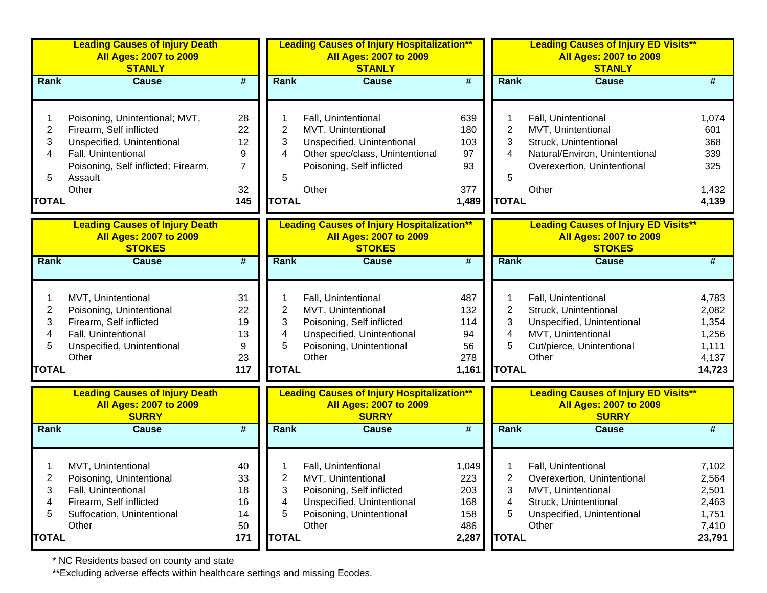|                | <b>Leading Causes of Injury Death</b><br><b>All Ages: 2007 to 2009</b><br><b>STANLY</b> |                             |              | <b>Leading Causes of Injury Hospitalization**</b><br><b>All Ages: 2007 to 2009</b><br><b>STANLY</b> |                             |                | <b>Leading Causes of Injury ED Visits**</b><br>All Ages: 2007 to 2009<br><b>STANLY</b>       |        |
|----------------|-----------------------------------------------------------------------------------------|-----------------------------|--------------|-----------------------------------------------------------------------------------------------------|-----------------------------|----------------|----------------------------------------------------------------------------------------------|--------|
| Rank           | <b>Cause</b>                                                                            | $\overline{\boldsymbol{t}}$ | Rank         | <b>Cause</b>                                                                                        | #                           | Rank           | <b>Cause</b>                                                                                 | #      |
|                | Poisoning, Unintentional; MVT,                                                          | 28                          |              | Fall, Unintentional                                                                                 | 639                         |                | Fall, Unintentional                                                                          | 1,074  |
| $\overline{c}$ | Firearm, Self inflicted                                                                 | 22                          | 2            | MVT, Unintentional                                                                                  | 180                         | $\overline{2}$ | MVT, Unintentional                                                                           | 601    |
| 3              | Unspecified, Unintentional                                                              | 12                          | 3            | Unspecified, Unintentional                                                                          | 103                         | 3              | Struck, Unintentional                                                                        | 368    |
| 4              | Fall, Unintentional                                                                     | 9                           | 4            | Other spec/class, Unintentional                                                                     | 97                          | 4              | Natural/Environ, Unintentional                                                               | 339    |
|                | Poisoning, Self inflicted; Firearm,                                                     | $\overline{7}$              |              | Poisoning, Self inflicted                                                                           | 93                          |                | Overexertion, Unintentional                                                                  | 325    |
| 5              | Assault                                                                                 |                             | 5            |                                                                                                     |                             | 5              |                                                                                              |        |
|                | Other                                                                                   | 32                          |              | Other                                                                                               | 377                         |                | Other                                                                                        | 1,432  |
| <b>TOTAL</b>   |                                                                                         | 145                         | <b>TOTAL</b> |                                                                                                     | 1,489                       | <b>TOTAL</b>   |                                                                                              | 4,139  |
|                | <b>Leading Causes of Injury Death</b>                                                   |                             |              | <b>Leading Causes of Injury Hospitalization**</b>                                                   |                             |                | <b>Leading Causes of Injury ED Visits**</b>                                                  |        |
|                | <b>All Ages: 2007 to 2009</b><br><b>STOKES</b>                                          |                             |              | <b>All Ages: 2007 to 2009</b><br><b>STOKES</b>                                                      |                             |                | <b>All Ages: 2007 to 2009</b><br><b>STOKES</b>                                               |        |
| <b>Rank</b>    | <b>Cause</b>                                                                            | $\overline{\boldsymbol{t}}$ | Rank         | <b>Cause</b>                                                                                        | $\overline{\boldsymbol{t}}$ | Rank           | <b>Cause</b>                                                                                 | #      |
|                | MVT, Unintentional                                                                      | 31                          |              | Fall, Unintentional                                                                                 | 487                         |                | Fall, Unintentional                                                                          | 4,783  |
| 2              | Poisoning, Unintentional                                                                | 22                          | 2            | MVT, Unintentional                                                                                  | 132                         | $\overline{2}$ | Struck, Unintentional                                                                        | 2,082  |
| 3              | Firearm, Self inflicted                                                                 | 19                          | 3            | Poisoning, Self inflicted                                                                           | 114                         | 3              | Unspecified, Unintentional                                                                   | 1,354  |
| 4              | Fall, Unintentional                                                                     | 13                          | 4            | Unspecified, Unintentional                                                                          | 94                          | 4              | MVT, Unintentional                                                                           | 1,256  |
| 5              | Unspecified, Unintentional                                                              | 9                           | 5            | Poisoning, Unintentional                                                                            | 56                          | 5              | Cut/pierce, Unintentional                                                                    | 1,111  |
|                | Other                                                                                   | 23                          |              | Other                                                                                               | 278                         |                | Other                                                                                        | 4,137  |
| <b>TOTAL</b>   |                                                                                         | 117                         | <b>TOTAL</b> |                                                                                                     | 1,161                       | <b>TOTAL</b>   |                                                                                              | 14,723 |
|                | <b>Leading Causes of Injury Death</b><br><b>All Ages: 2007 to 2009</b><br><b>SURRY</b>  |                             |              | <b>Leading Causes of Injury Hospitalization**</b><br><b>All Ages: 2007 to 2009</b><br><b>SURRY</b>  |                             |                | <b>Leading Causes of Injury ED Visits**</b><br><b>All Ages: 2007 to 2009</b><br><b>SURRY</b> |        |
| Rank           | <b>Cause</b>                                                                            | #                           | Rank         | <b>Cause</b>                                                                                        | #                           | Rank           | <b>Cause</b>                                                                                 | #      |
|                |                                                                                         |                             |              |                                                                                                     |                             |                |                                                                                              |        |
|                | MVT, Unintentional                                                                      | 40                          |              | Fall, Unintentional                                                                                 | 1,049                       |                | Fall, Unintentional                                                                          | 7,102  |
| 2              | Poisoning, Unintentional                                                                | 33                          | 2            | MVT, Unintentional                                                                                  | 223                         | 2              | Overexertion, Unintentional                                                                  | 2,564  |
| 3              | Fall, Unintentional                                                                     | 18                          | 3            | Poisoning, Self inflicted                                                                           | 203                         | 3              | MVT, Unintentional                                                                           | 2,501  |
| 4              | Firearm, Self inflicted                                                                 | 16                          | 4            | Unspecified, Unintentional                                                                          | 168                         | 4              | Struck, Unintentional                                                                        | 2,463  |
| 5              | Suffocation, Unintentional                                                              | 14                          | 5            | Poisoning, Unintentional                                                                            | 158                         | 5              | Unspecified, Unintentional                                                                   | 1,751  |
|                | Other                                                                                   | 50                          |              | Other                                                                                               | 486                         |                | Other                                                                                        | 7,410  |
| <b>TOTAL</b>   |                                                                                         | 171                         | <b>TOTAL</b> |                                                                                                     | 2,287                       | <b>TOTAL</b>   |                                                                                              | 23,791 |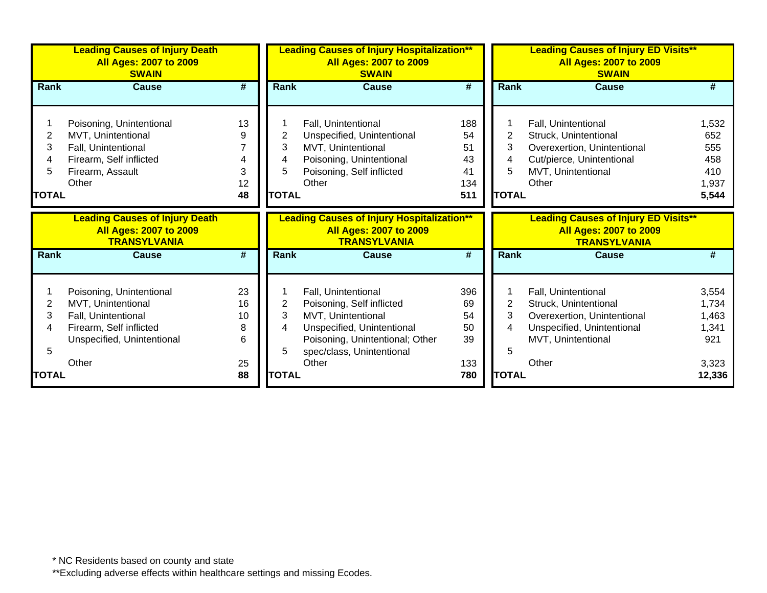|              | <b>Leading Causes of Injury Death</b><br><b>All Ages: 2007 to 2009</b><br><b>SWAIN</b>        |    |              | <b>Leading Causes of Injury Hospitalization**</b><br><b>All Ages: 2007 to 2009</b><br><b>SWAIN</b>        |                             | <b>Leading Causes of Injury ED Visits**</b><br><b>All Ages: 2007 to 2009</b><br><b>SWAIN</b> |                                                                                                     |        |
|--------------|-----------------------------------------------------------------------------------------------|----|--------------|-----------------------------------------------------------------------------------------------------------|-----------------------------|----------------------------------------------------------------------------------------------|-----------------------------------------------------------------------------------------------------|--------|
| Rank         | <b>Cause</b>                                                                                  | #  | <b>Rank</b>  | <b>Cause</b>                                                                                              | #                           | Rank                                                                                         | <b>Cause</b>                                                                                        | #      |
|              | Poisoning, Unintentional                                                                      | 13 |              | Fall, Unintentional                                                                                       | 188                         |                                                                                              | Fall, Unintentional                                                                                 | 1,532  |
| 2            | MVT, Unintentional                                                                            | 9  | 2            | Unspecified, Unintentional                                                                                | 54                          | $\overline{2}$                                                                               | Struck, Unintentional                                                                               | 652    |
|              | Fall, Unintentional                                                                           |    | 3            | MVT, Unintentional                                                                                        | 51                          | 3                                                                                            | Overexertion, Unintentional                                                                         | 555    |
|              | Firearm, Self inflicted                                                                       |    | 4            | Poisoning, Unintentional                                                                                  | 43                          | 4                                                                                            | Cut/pierce, Unintentional                                                                           | 458    |
|              | Firearm, Assault                                                                              | 3  | 5            | Poisoning, Self inflicted                                                                                 | 41                          | 5                                                                                            | MVT, Unintentional                                                                                  | 410    |
|              | Other                                                                                         | 12 |              | Other                                                                                                     | 134                         |                                                                                              | Other                                                                                               | 1,937  |
| <b>TOTAL</b> |                                                                                               | 48 | <b>TOTAL</b> |                                                                                                           | 511                         | <b>TOTAL</b>                                                                                 |                                                                                                     | 5,544  |
|              | <b>Leading Causes of Injury Death</b><br><b>All Ages: 2007 to 2009</b><br><b>TRANSYLVANIA</b> |    |              | <b>Leading Causes of Injury Hospitalization**</b><br><b>All Ages: 2007 to 2009</b><br><b>TRANSYLVANIA</b> |                             |                                                                                              | <b>Leading Causes of Injury ED Visits**</b><br><b>All Ages: 2007 to 2009</b><br><b>TRANSYLVANIA</b> |        |
| <b>Rank</b>  | <b>Cause</b>                                                                                  | #  | <b>Rank</b>  | <b>Cause</b>                                                                                              | $\overline{\boldsymbol{t}}$ | Rank                                                                                         | <b>Cause</b>                                                                                        | #      |
|              | Poisoning, Unintentional                                                                      | 23 |              | Fall, Unintentional                                                                                       | 396                         |                                                                                              | Fall, Unintentional                                                                                 | 3,554  |
| 2            | MVT, Unintentional                                                                            | 16 | $\mathbf 2$  | Poisoning, Self inflicted                                                                                 | 69                          | $\overline{2}$                                                                               | Struck, Unintentional                                                                               | 1,734  |
| 3            | Fall, Unintentional                                                                           | 10 | 3            | MVT, Unintentional                                                                                        | 54                          | 3                                                                                            | Overexertion, Unintentional                                                                         | 1,463  |
|              | Firearm, Self inflicted                                                                       | 8  | 4            | Unspecified, Unintentional                                                                                | 50                          | 4                                                                                            | Unspecified, Unintentional                                                                          | 1,341  |
|              | Unspecified, Unintentional                                                                    | 6  |              | Poisoning, Unintentional; Other                                                                           | 39                          |                                                                                              | MVT, Unintentional                                                                                  | 921    |
|              |                                                                                               |    | 5            | spec/class, Unintentional                                                                                 |                             | 5                                                                                            |                                                                                                     |        |
|              | Other                                                                                         | 25 |              | Other                                                                                                     | 133                         |                                                                                              | Other                                                                                               | 3,323  |
| <b>TOTAL</b> |                                                                                               | 88 | <b>TOTAL</b> |                                                                                                           | 780                         | <b>TOTAL</b>                                                                                 |                                                                                                     | 12,336 |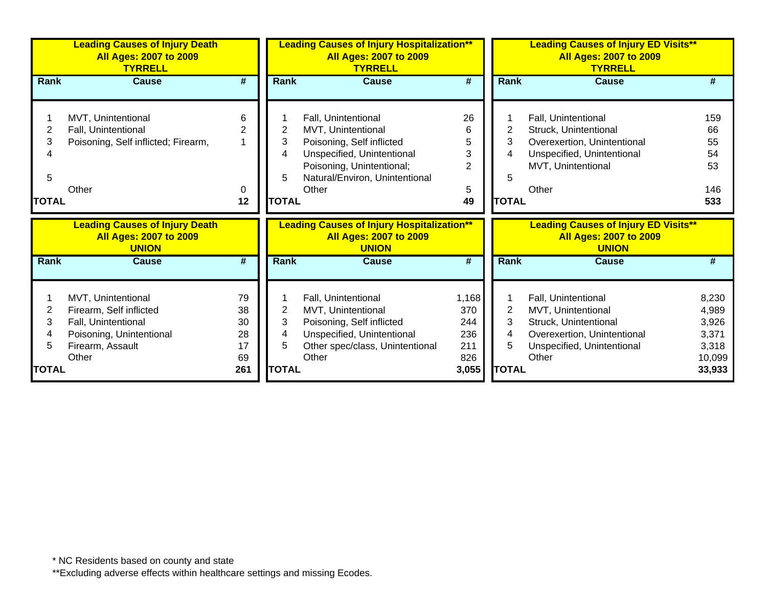| <b>Leading Causes of Injury Death</b><br><b>All Ages: 2007 to 2009</b><br><b>TYRRELL</b> |                                               |                |              | <b>Leading Causes of Injury Hospitalization**</b><br><b>All Ages: 2007 to 2009</b><br><b>TYRRELL</b> |                     |              | <b>Leading Causes of Injury ED Visits**</b><br><b>All Ages: 2007 to 2009</b><br><b>TYRRELL</b> |                  |  |  |
|------------------------------------------------------------------------------------------|-----------------------------------------------|----------------|--------------|------------------------------------------------------------------------------------------------------|---------------------|--------------|------------------------------------------------------------------------------------------------|------------------|--|--|
| <b>Rank</b>                                                                              | <b>Cause</b>                                  | #              | Rank         | <b>Cause</b>                                                                                         | #                   | Rank         | <b>Cause</b>                                                                                   |                  |  |  |
|                                                                                          |                                               |                |              |                                                                                                      |                     |              |                                                                                                |                  |  |  |
|                                                                                          | MVT, Unintentional                            | 6              |              | Fall, Unintentional                                                                                  | 26                  |              | Fall, Unintentional                                                                            | 159              |  |  |
| 2                                                                                        | Fall, Unintentional                           | $\overline{2}$ | 2            | MVT, Unintentional                                                                                   | 6                   | 2            | Struck, Unintentional                                                                          | 66               |  |  |
| 3                                                                                        | Poisoning, Self inflicted; Firearm,           |                | 3            | Poisoning, Self inflicted                                                                            | 5                   | 3            | Overexertion, Unintentional                                                                    | 55               |  |  |
|                                                                                          |                                               |                | 4            | Unspecified, Unintentional<br>Poisoning, Unintentional;                                              | 3<br>$\overline{2}$ | 4            | Unspecified, Unintentional                                                                     | 54<br>53         |  |  |
| 5                                                                                        |                                               |                | 5            | Natural/Environ, Unintentional                                                                       |                     | 5            | MVT, Unintentional                                                                             |                  |  |  |
|                                                                                          | Other                                         | 0              |              | Other                                                                                                | 5                   |              | Other                                                                                          | 146              |  |  |
| <b>TOTAL</b>                                                                             |                                               | 12             | <b>TOTAL</b> |                                                                                                      | 49                  | <b>TOTAL</b> |                                                                                                | 533              |  |  |
|                                                                                          |                                               |                |              |                                                                                                      |                     |              |                                                                                                |                  |  |  |
|                                                                                          |                                               |                |              |                                                                                                      |                     |              |                                                                                                |                  |  |  |
|                                                                                          | <b>Leading Causes of Injury Death</b>         |                |              | <b>Leading Causes of Injury Hospitalization**</b>                                                    |                     |              | <b>Leading Causes of Injury ED Visits**</b>                                                    |                  |  |  |
|                                                                                          | <b>All Ages: 2007 to 2009</b><br><b>UNION</b> |                |              | <b>All Ages: 2007 to 2009</b><br><b>UNION</b>                                                        |                     |              | <b>All Ages: 2007 to 2009</b><br><b>UNION</b>                                                  |                  |  |  |
| <b>Rank</b>                                                                              | <b>Cause</b>                                  | #              | <b>Rank</b>  | <b>Cause</b>                                                                                         | #                   | Rank         | Cause                                                                                          | Ш                |  |  |
|                                                                                          |                                               |                |              |                                                                                                      |                     |              |                                                                                                |                  |  |  |
|                                                                                          | MVT, Unintentional                            | 79             |              | Fall, Unintentional                                                                                  | 1,168               |              |                                                                                                | 8,230            |  |  |
| 2                                                                                        | Firearm, Self inflicted                       | 38             | 2            | MVT, Unintentional                                                                                   | 370                 | 2            | Fall, Unintentional<br>MVT, Unintentional                                                      | 4,989            |  |  |
| 3                                                                                        | Fall, Unintentional                           | 30             | 3            | Poisoning, Self inflicted                                                                            | 244                 | 3            | Struck, Unintentional                                                                          | 3,926            |  |  |
| 4                                                                                        | Poisoning, Unintentional                      | 28             | 4            | Unspecified, Unintentional                                                                           | 236                 | 4            | Overexertion, Unintentional                                                                    | 3,371            |  |  |
| 5                                                                                        | Firearm, Assault                              | 17             | 5            | Other spec/class, Unintentional                                                                      | 211                 | 5            | Unspecified, Unintentional                                                                     | 3,318            |  |  |
| TOTAL                                                                                    | Other                                         | 69<br>261      | <b>TOTAL</b> | Other                                                                                                | 826<br>3,055        | <b>TOTAL</b> | Other                                                                                          | 10,099<br>33,933 |  |  |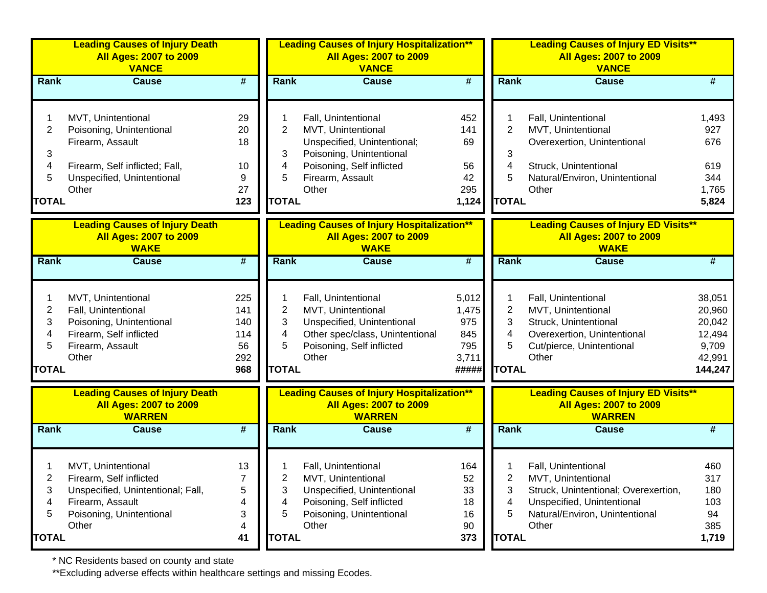| <b>Leading Causes of Injury Death</b><br><b>All Ages: 2007 to 2009</b><br><b>VANCE</b> |                                                                                         |                             |                         | <b>Leading Causes of Injury Hospitalization**</b><br><b>All Ages: 2007 to 2009</b><br><b>VANCE</b>  |                             |                | <b>Leading Causes of Injury ED Visits**</b><br>All Ages: 2007 to 2009<br><b>VANCE</b>         |                 |  |  |
|----------------------------------------------------------------------------------------|-----------------------------------------------------------------------------------------|-----------------------------|-------------------------|-----------------------------------------------------------------------------------------------------|-----------------------------|----------------|-----------------------------------------------------------------------------------------------|-----------------|--|--|
| Rank                                                                                   | <b>Cause</b>                                                                            | #                           | Rank                    | <b>Cause</b>                                                                                        | $\overline{\boldsymbol{H}}$ | <b>Rank</b>    | <b>Cause</b>                                                                                  | #               |  |  |
|                                                                                        | MVT, Unintentional                                                                      | 29                          |                         | Fall, Unintentional                                                                                 | 452                         |                | Fall, Unintentional                                                                           | 1,493           |  |  |
| $\overline{2}$                                                                         | Poisoning, Unintentional                                                                | 20                          | $\overline{2}$          | MVT, Unintentional                                                                                  | 141                         | $\overline{2}$ | MVT, Unintentional                                                                            | 927             |  |  |
|                                                                                        | Firearm, Assault                                                                        | 18                          |                         | Unspecified, Unintentional;                                                                         | 69                          |                | Overexertion, Unintentional                                                                   | 676             |  |  |
| 3                                                                                      |                                                                                         |                             | 3                       | Poisoning, Unintentional                                                                            |                             | 3              |                                                                                               |                 |  |  |
| 4                                                                                      | Firearm, Self inflicted; Fall,                                                          | 10                          | 4                       | Poisoning, Self inflicted                                                                           | 56                          | 4              | Struck, Unintentional                                                                         | 619             |  |  |
| 5                                                                                      | Unspecified, Unintentional                                                              | 9                           | 5                       | Firearm, Assault                                                                                    | 42                          | 5              | Natural/Environ, Unintentional                                                                | 344             |  |  |
|                                                                                        | Other                                                                                   | 27                          |                         | Other                                                                                               | 295                         |                | Other                                                                                         | 1,765           |  |  |
| <b>TOTAL</b>                                                                           |                                                                                         | 123                         | <b>TOTAL</b>            |                                                                                                     | 1,124                       | <b>TOTAL</b>   |                                                                                               | 5,824           |  |  |
|                                                                                        | <b>Leading Causes of Injury Death</b>                                                   |                             |                         | <b>Leading Causes of Injury Hospitalization**</b>                                                   |                             |                | <b>Leading Causes of Injury ED Visits**</b>                                                   |                 |  |  |
|                                                                                        | <b>All Ages: 2007 to 2009</b><br><b>WAKE</b>                                            |                             |                         | <b>All Ages: 2007 to 2009</b><br><b>WAKE</b>                                                        |                             |                | <b>All Ages: 2007 to 2009</b><br><b>WAKE</b>                                                  |                 |  |  |
| <b>Rank</b>                                                                            | <b>Cause</b>                                                                            | $\overline{\boldsymbol{r}}$ | <b>Rank</b>             | <b>Cause</b>                                                                                        | $\overline{\boldsymbol{H}}$ | Rank           | <b>Cause</b>                                                                                  | #               |  |  |
|                                                                                        |                                                                                         |                             |                         |                                                                                                     |                             |                |                                                                                               |                 |  |  |
|                                                                                        | MVT, Unintentional                                                                      | 225                         | 1                       | Fall, Unintentional                                                                                 | 5,012                       | 1              | Fall, Unintentional                                                                           | 38,051          |  |  |
| $\overline{2}$                                                                         | Fall, Unintentional                                                                     | 141                         | $\overline{\mathbf{c}}$ | MVT, Unintentional                                                                                  | 1,475                       | $\overline{c}$ | MVT, Unintentional                                                                            | 20,960          |  |  |
| 3                                                                                      | Poisoning, Unintentional                                                                | 140                         | 3                       | Unspecified, Unintentional                                                                          | 975                         | 3              | Struck, Unintentional                                                                         | 20,042          |  |  |
| 4                                                                                      | Firearm, Self inflicted                                                                 | 114                         | 4<br>5                  | Other spec/class, Unintentional                                                                     | 845<br>795                  | 4<br>5         | Overexertion, Unintentional                                                                   | 12,494          |  |  |
| 5                                                                                      | Firearm, Assault<br>Other                                                               | 56<br>292                   |                         | Poisoning, Self inflicted<br>Other                                                                  | 3,711                       |                | Cut/pierce, Unintentional<br>Other                                                            | 9,709<br>42,991 |  |  |
| <b>TOTAL</b>                                                                           |                                                                                         | 968                         | <b>TOTAL</b>            |                                                                                                     | #####                       | <b>TOTAL</b>   |                                                                                               | 144,247         |  |  |
|                                                                                        |                                                                                         |                             |                         |                                                                                                     |                             |                |                                                                                               |                 |  |  |
|                                                                                        | <b>Leading Causes of Injury Death</b><br><b>All Ages: 2007 to 2009</b><br><b>WARREN</b> |                             |                         | <b>Leading Causes of Injury Hospitalization**</b><br><b>All Ages: 2007 to 2009</b><br><b>WARREN</b> |                             |                | <b>Leading Causes of Injury ED Visits**</b><br><b>All Ages: 2007 to 2009</b><br><b>WARREN</b> |                 |  |  |
| Rank                                                                                   | <b>Cause</b>                                                                            | $\overline{\boldsymbol{r}}$ | <b>Rank</b>             | <b>Cause</b>                                                                                        | #                           | Rank           | <b>Cause</b>                                                                                  | #               |  |  |
|                                                                                        |                                                                                         |                             |                         |                                                                                                     |                             |                |                                                                                               |                 |  |  |
|                                                                                        | MVT, Unintentional                                                                      | 13                          |                         | Fall, Unintentional                                                                                 | 164                         |                | Fall, Unintentional                                                                           | 460             |  |  |
| 2                                                                                      | Firearm, Self inflicted<br>Unspecified, Unintentional; Fall,                            | 7<br>$\mathbf 5$            | 2                       | MVT, Unintentional<br>Unspecified, Unintentional                                                    | 52<br>33                    | 2              | MVT, Unintentional<br>Struck, Unintentional; Overexertion,                                    | 317<br>180      |  |  |
| 3<br>4                                                                                 | Firearm, Assault                                                                        | 4                           | 3<br>4                  | Poisoning, Self inflicted                                                                           | 18                          | 3<br>4         | Unspecified, Unintentional                                                                    | 103             |  |  |
| 5                                                                                      | Poisoning, Unintentional                                                                | 3                           | 5                       | Poisoning, Unintentional                                                                            | 16                          | 5              | Natural/Environ, Unintentional                                                                | 94              |  |  |
|                                                                                        | Other                                                                                   | 4                           |                         | Other                                                                                               | 90                          |                | Other                                                                                         | 385             |  |  |
| <b>TOTAL</b>                                                                           |                                                                                         | 41                          | <b>TOTAL</b>            |                                                                                                     | 373                         | <b>TOTAL</b>   |                                                                                               | 1,719           |  |  |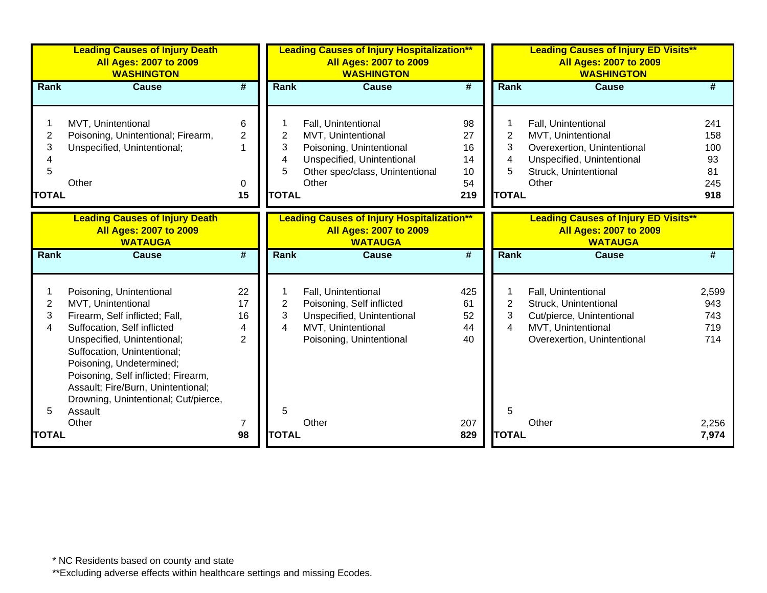| <b>Leading Causes of Injury Death</b><br><b>All Ages: 2007 to 2009</b><br><b>WASHINGTON</b> |                                                                                                                                                                                                             |                                |                                               | <b>Leading Causes of Injury Hospitalization**</b><br><b>All Ages: 2007 to 2009</b><br><b>WASHINGTON</b>                                         |                                         |                                                    | <b>Leading Causes of Injury ED Visits**</b><br><b>All Ages: 2007 to 2009</b><br><b>WASHINGTON</b>                                        |                                             |  |  |
|---------------------------------------------------------------------------------------------|-------------------------------------------------------------------------------------------------------------------------------------------------------------------------------------------------------------|--------------------------------|-----------------------------------------------|-------------------------------------------------------------------------------------------------------------------------------------------------|-----------------------------------------|----------------------------------------------------|------------------------------------------------------------------------------------------------------------------------------------------|---------------------------------------------|--|--|
| <b>Rank</b>                                                                                 | <b>Cause</b>                                                                                                                                                                                                | #                              | <b>Rank</b>                                   | <b>Cause</b>                                                                                                                                    | $\overline{\boldsymbol{t}}$             | <b>Rank</b>                                        | <b>Cause</b>                                                                                                                             | #                                           |  |  |
| 2<br>3<br>5<br><b>TOTAL</b>                                                                 | MVT, Unintentional<br>Poisoning, Unintentional; Firearm,<br>Unspecified, Unintentional;<br>Other                                                                                                            | 6<br>$\overline{2}$<br>0<br>15 | $\overline{2}$<br>3<br>4<br>5<br><b>TOTAL</b> | Fall, Unintentional<br>MVT, Unintentional<br>Poisoning, Unintentional<br>Unspecified, Unintentional<br>Other spec/class, Unintentional<br>Other | 98<br>27<br>16<br>14<br>10<br>54<br>219 | 1<br>$\overline{2}$<br>3<br>4<br>5<br><b>TOTAL</b> | Fall, Unintentional<br>MVT, Unintentional<br>Overexertion, Unintentional<br>Unspecified, Unintentional<br>Struck, Unintentional<br>Other | 241<br>158<br>100<br>93<br>81<br>245<br>918 |  |  |
|                                                                                             | <b>Leading Causes of Injury Death</b><br><b>All Ages: 2007 to 2009</b><br><b>WATAUGA</b>                                                                                                                    |                                |                                               | <b>Leading Causes of Injury Hospitalization**</b><br><b>All Ages: 2007 to 2009</b><br><b>WATAUGA</b>                                            |                                         |                                                    | <b>Leading Causes of Injury ED Visits**</b><br><b>All Ages: 2007 to 2009</b><br><b>WATAUGA</b>                                           |                                             |  |  |
| Rank                                                                                        | <b>Cause</b>                                                                                                                                                                                                | #                              | Rank                                          | <b>Cause</b>                                                                                                                                    | #                                       | <b>Rank</b>                                        | <b>Cause</b>                                                                                                                             | #                                           |  |  |
|                                                                                             | Poisoning, Unintentional                                                                                                                                                                                    | 22                             |                                               | Fall, Unintentional                                                                                                                             | 425                                     | 1                                                  | Fall, Unintentional                                                                                                                      | 2,599                                       |  |  |
| 2                                                                                           | MVT, Unintentional                                                                                                                                                                                          | 17                             | $\overline{2}$                                | Poisoning, Self inflicted                                                                                                                       | 61                                      | $\overline{2}$                                     | Struck, Unintentional                                                                                                                    | 943                                         |  |  |
| 3                                                                                           | Firearm, Self inflicted; Fall,                                                                                                                                                                              | 16                             | 3                                             | Unspecified, Unintentional                                                                                                                      | 52                                      | 3                                                  | Cut/pierce, Unintentional                                                                                                                | 743                                         |  |  |
| 4                                                                                           | Suffocation, Self inflicted                                                                                                                                                                                 | 4                              | $\overline{\mathbf{4}}$                       | MVT, Unintentional                                                                                                                              | 44                                      | $\overline{4}$                                     | MVT, Unintentional                                                                                                                       | 719                                         |  |  |
|                                                                                             | Unspecified, Unintentional;<br>Suffocation, Unintentional;<br>Poisoning, Undetermined;<br>Poisoning, Self inflicted; Firearm,<br>Assault; Fire/Burn, Unintentional;<br>Drowning, Unintentional; Cut/pierce, | $\overline{2}$                 |                                               | Poisoning, Unintentional                                                                                                                        | 40                                      |                                                    | Overexertion, Unintentional                                                                                                              | 714                                         |  |  |
|                                                                                             | Assault                                                                                                                                                                                                     |                                | 5                                             |                                                                                                                                                 |                                         | 5                                                  |                                                                                                                                          |                                             |  |  |
| <b>TOTAL</b>                                                                                | Other                                                                                                                                                                                                       | 7<br>98                        | <b>TOTAL</b>                                  | Other                                                                                                                                           | 207<br>829                              | <b>TOTAL</b>                                       | Other                                                                                                                                    | 2,256<br>7,974                              |  |  |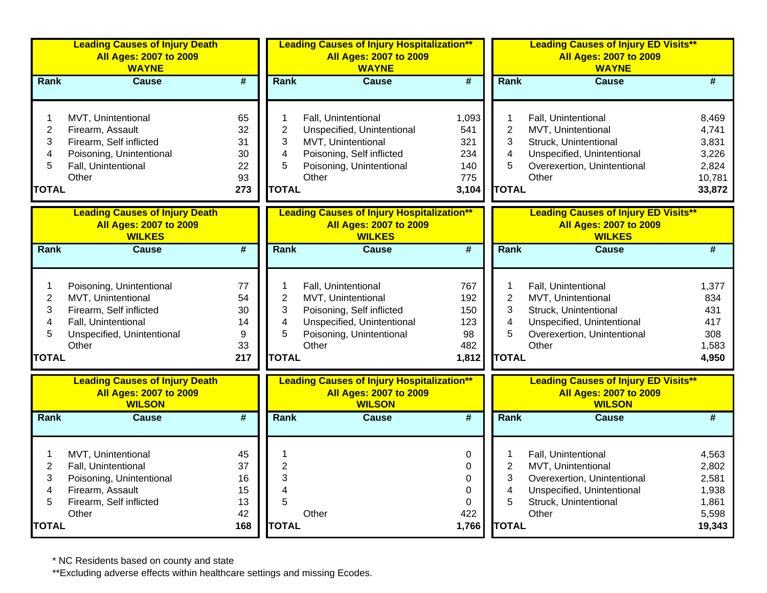| <b>Leading Causes of Injury Death</b><br><b>All Ages: 2007 to 2009</b><br><b>WAYNE</b> |                                                                                         |                             |                              | <b>Leading Causes of Injury Hospitalization**</b><br><b>All Ages: 2007 to 2009</b><br><b>WAYNE</b>  |                             |                     | <b>Leading Causes of Injury ED Visits**</b><br><b>All Ages: 2007 to 2009</b><br><b>WAYNE</b>  |                             |  |  |
|----------------------------------------------------------------------------------------|-----------------------------------------------------------------------------------------|-----------------------------|------------------------------|-----------------------------------------------------------------------------------------------------|-----------------------------|---------------------|-----------------------------------------------------------------------------------------------|-----------------------------|--|--|
| Rank                                                                                   | <b>Cause</b>                                                                            | $\overline{\boldsymbol{t}}$ | Rank                         | <b>Cause</b>                                                                                        | $\overline{\boldsymbol{t}}$ | Rank                | <b>Cause</b>                                                                                  | #                           |  |  |
| 1<br>$\mathbf{2}$                                                                      | MVT, Unintentional<br>Firearm, Assault                                                  | 65<br>32                    | 1<br>2                       | Fall, Unintentional<br>Unspecified, Unintentional                                                   | 1,093<br>541                | 1<br>$\overline{2}$ | Fall, Unintentional<br>MVT, Unintentional                                                     | 8,469<br>4,741              |  |  |
| 3                                                                                      | Firearm, Self inflicted                                                                 | 31                          | 3                            | MVT, Unintentional                                                                                  | 321                         | 3                   | Struck, Unintentional                                                                         | 3,831                       |  |  |
| 4<br>5                                                                                 | Poisoning, Unintentional<br>Fall, Unintentional                                         | 30<br>22                    | 4<br>5                       | Poisoning, Self inflicted<br>Poisoning, Unintentional                                               | 234<br>140                  | 4<br>5              | Unspecified, Unintentional<br>Overexertion, Unintentional                                     | 3,226<br>2,824              |  |  |
|                                                                                        | Other                                                                                   | 93                          |                              | Other                                                                                               | 775                         |                     | Other                                                                                         | 10,781                      |  |  |
| <b>TOTAL</b>                                                                           |                                                                                         | 273                         | <b>TOTAL</b>                 |                                                                                                     | 3,104                       | <b>TOTAL</b>        |                                                                                               | 33,872                      |  |  |
|                                                                                        | <b>Leading Causes of Injury Death</b><br><b>All Ages: 2007 to 2009</b><br><b>WILKES</b> |                             |                              | <b>Leading Causes of Injury Hospitalization**</b><br><b>All Ages: 2007 to 2009</b><br><b>WILKES</b> |                             |                     | <b>Leading Causes of Injury ED Visits**</b><br><b>All Ages: 2007 to 2009</b><br><b>WILKES</b> |                             |  |  |
| Rank                                                                                   | <b>Cause</b>                                                                            | $\overline{\boldsymbol{t}}$ | Rank                         | <b>Cause</b>                                                                                        | $\overline{\boldsymbol{t}}$ | Rank                | <b>Cause</b>                                                                                  | $\overline{\boldsymbol{H}}$ |  |  |
| 1                                                                                      | Poisoning, Unintentional                                                                | 77                          |                              | Fall, Unintentional                                                                                 | 767                         | 1                   | Fall, Unintentional                                                                           | 1,377                       |  |  |
| $\mathbf{2}$                                                                           | MVT, Unintentional                                                                      | 54                          | $\overline{2}$               | MVT, Unintentional                                                                                  | 192                         | $\overline{2}$      | MVT, Unintentional                                                                            | 834                         |  |  |
| 3<br>4                                                                                 | Firearm, Self inflicted<br>Fall, Unintentional                                          | 30<br>14                    | 3<br>$\overline{\mathbf{4}}$ | Poisoning, Self inflicted<br>Unspecified, Unintentional                                             | 150<br>123                  | 3<br>4              | Struck, Unintentional<br>Unspecified, Unintentional                                           | 431<br>417                  |  |  |
| 5                                                                                      | Unspecified, Unintentional                                                              | 9                           | 5                            | Poisoning, Unintentional                                                                            | 98                          | 5                   | Overexertion, Unintentional                                                                   | 308                         |  |  |
|                                                                                        | Other                                                                                   | 33                          |                              | Other                                                                                               | 482                         |                     | Other                                                                                         | 1,583                       |  |  |
| <b>TOTAL</b>                                                                           |                                                                                         | 217                         | <b>TOTAL</b>                 |                                                                                                     | 1,812                       | <b>TOTAL</b>        |                                                                                               | 4,950                       |  |  |
|                                                                                        | <b>Leading Causes of Injury Death</b><br><b>All Ages: 2007 to 2009</b><br><b>WILSON</b> |                             |                              | <b>Leading Causes of Injury Hospitalization**</b><br><b>All Ages: 2007 to 2009</b><br><b>WILSON</b> |                             |                     | <b>Leading Causes of Injury ED Visits**</b><br><b>All Ages: 2007 to 2009</b><br><b>WILSON</b> |                             |  |  |
| <b>Rank</b>                                                                            | <b>Cause</b>                                                                            | $\overline{\boldsymbol{t}}$ | Rank                         | <b>Cause</b>                                                                                        | $\overline{\boldsymbol{t}}$ | Rank                | <b>Cause</b>                                                                                  | #                           |  |  |
| 1                                                                                      | MVT, Unintentional                                                                      | 45                          | 1                            |                                                                                                     | 0                           | 1                   | Fall, Unintentional                                                                           | 4,563                       |  |  |
| $\overline{2}$                                                                         | Fall, Unintentional                                                                     | 37                          | $\overline{2}$               |                                                                                                     | 0                           | $\overline{2}$      | MVT, Unintentional                                                                            | 2,802                       |  |  |
| 3                                                                                      | Poisoning, Unintentional                                                                | 16                          | 3                            |                                                                                                     | 0                           | 3                   | Overexertion, Unintentional                                                                   | 2,581                       |  |  |
| 4<br>5                                                                                 | Firearm, Assault<br>Firearm, Self inflicted                                             | 15<br>13                    | 4<br>5                       |                                                                                                     | $\Omega$<br>0               | 4<br>5              | Unspecified, Unintentional<br>Struck, Unintentional                                           | 1,938<br>1,861              |  |  |
|                                                                                        | Other                                                                                   | 42                          |                              | Other                                                                                               | 422                         |                     | Other                                                                                         | 5,598                       |  |  |
| <b>TOTAL</b>                                                                           |                                                                                         | 168                         | <b>TOTAL</b>                 |                                                                                                     | 1,766                       | <b>TOTAL</b>        |                                                                                               | 19,343                      |  |  |